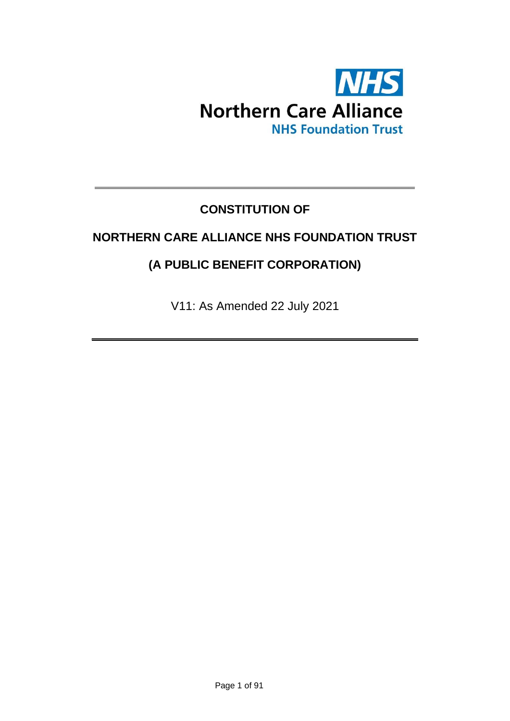

# **CONSTITUTION OF**

**\_\_\_\_\_\_\_\_\_\_\_\_\_\_\_\_\_\_\_\_\_\_\_\_\_\_\_\_\_\_\_\_\_\_\_\_\_\_\_\_\_\_\_\_\_\_\_\_**

## **NORTHERN CARE ALLIANCE NHS FOUNDATION TRUST**

# **(A PUBLIC BENEFIT CORPORATION)**

V11: As Amended 22 July 2021

**\_\_\_\_\_\_\_\_\_\_\_\_\_\_\_\_\_\_\_\_\_\_\_\_\_\_\_\_\_\_\_\_\_\_\_\_\_\_\_\_\_\_\_\_\_\_\_\_\_**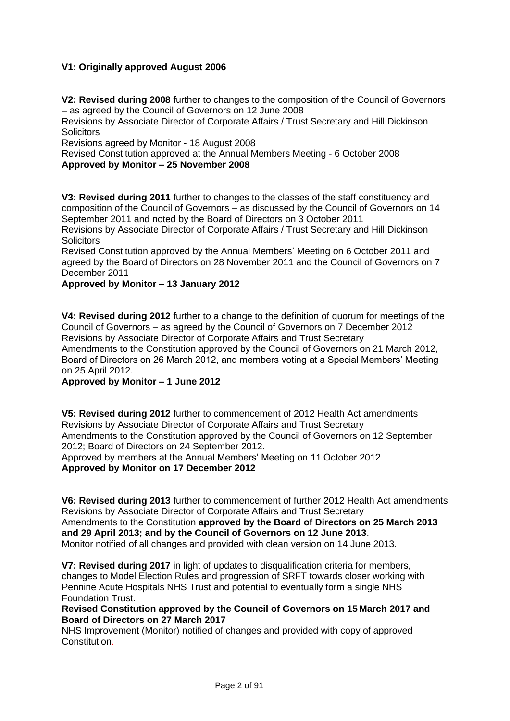#### **V1: Originally approved August 2006**

**V2: Revised during 2008** further to changes to the composition of the Council of Governors – as agreed by the Council of Governors on 12 June 2008

Revisions by Associate Director of Corporate Affairs / Trust Secretary and Hill Dickinson **Solicitors** 

Revisions agreed by Monitor - 18 August 2008

Revised Constitution approved at the Annual Members Meeting - 6 October 2008 **Approved by Monitor – 25 November 2008**

**V3: Revised during 2011** further to changes to the classes of the staff constituency and composition of the Council of Governors – as discussed by the Council of Governors on 14 September 2011 and noted by the Board of Directors on 3 October 2011

Revisions by Associate Director of Corporate Affairs / Trust Secretary and Hill Dickinson **Solicitors** 

Revised Constitution approved by the Annual Members' Meeting on 6 October 2011 and agreed by the Board of Directors on 28 November 2011 and the Council of Governors on 7 December 2011

#### **Approved by Monitor – 13 January 2012**

**V4: Revised during 2012** further to a change to the definition of quorum for meetings of the Council of Governors – as agreed by the Council of Governors on 7 December 2012 Revisions by Associate Director of Corporate Affairs and Trust Secretary Amendments to the Constitution approved by the Council of Governors on 21 March 2012, Board of Directors on 26 March 2012, and members voting at a Special Members' Meeting on 25 April 2012.

#### **Approved by Monitor – 1 June 2012**

**V5: Revised during 2012** further to commencement of 2012 Health Act amendments Revisions by Associate Director of Corporate Affairs and Trust Secretary Amendments to the Constitution approved by the Council of Governors on 12 September 2012; Board of Directors on 24 September 2012.

Approved by members at the Annual Members' Meeting on 11 October 2012 **Approved by Monitor on 17 December 2012**

**V6: Revised during 2013** further to commencement of further 2012 Health Act amendments Revisions by Associate Director of Corporate Affairs and Trust Secretary Amendments to the Constitution **approved by the Board of Directors on 25 March 2013 and 29 April 2013; and by the Council of Governors on 12 June 2013**. Monitor notified of all changes and provided with clean version on 14 June 2013.

**V7: Revised during 2017** in light of updates to disqualification criteria for members, changes to Model Election Rules and progression of SRFT towards closer working with Pennine Acute Hospitals NHS Trust and potential to eventually form a single NHS Foundation Trust.

**Revised Constitution approved by the Council of Governors on 15 March 2017 and Board of Directors on 27 March 2017**

NHS Improvement (Monitor) notified of changes and provided with copy of approved Constitution.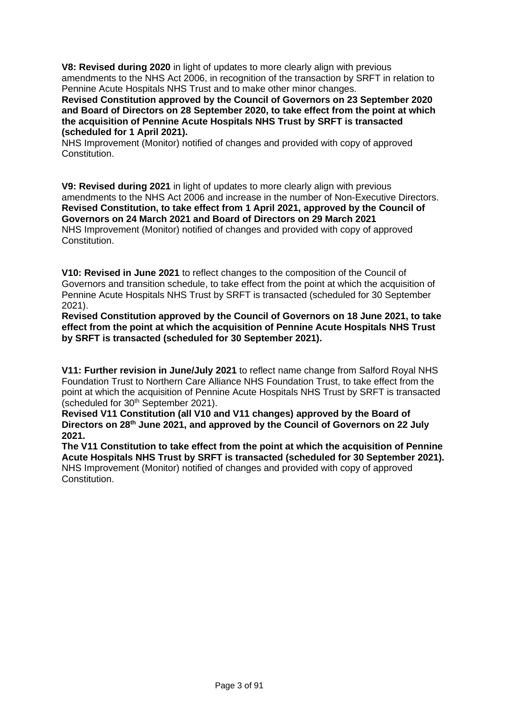**V8: Revised during 2020** in light of updates to more clearly align with previous amendments to the NHS Act 2006, in recognition of the transaction by SRFT in relation to Pennine Acute Hospitals NHS Trust and to make other minor changes.

**Revised Constitution approved by the Council of Governors on 23 September 2020 and Board of Directors on 28 September 2020, to take effect from the point at which the acquisition of Pennine Acute Hospitals NHS Trust by SRFT is transacted (scheduled for 1 April 2021).**

NHS Improvement (Monitor) notified of changes and provided with copy of approved Constitution.

**V9: Revised during 2021** in light of updates to more clearly align with previous amendments to the NHS Act 2006 and increase in the number of Non-Executive Directors. **Revised Constitution, to take effect from 1 April 2021, approved by the Council of Governors on 24 March 2021 and Board of Directors on 29 March 2021** NHS Improvement (Monitor) notified of changes and provided with copy of approved Constitution.

**V10: Revised in June 2021** to reflect changes to the composition of the Council of Governors and transition schedule, to take effect from the point at which the acquisition of Pennine Acute Hospitals NHS Trust by SRFT is transacted (scheduled for 30 September 2021).

**Revised Constitution approved by the Council of Governors on 18 June 2021, to take effect from the point at which the acquisition of Pennine Acute Hospitals NHS Trust by SRFT is transacted (scheduled for 30 September 2021).**

**V11: Further revision in June/July 2021** to reflect name change from Salford Royal NHS Foundation Trust to Northern Care Alliance NHS Foundation Trust, to take effect from the point at which the acquisition of Pennine Acute Hospitals NHS Trust by SRFT is transacted (scheduled for  $30<sup>th</sup>$  September 2021).

**Revised V11 Constitution (all V10 and V11 changes) approved by the Board of Directors on 28th June 2021, and approved by the Council of Governors on 22 July 2021.**

**The V11 Constitution to take effect from the point at which the acquisition of Pennine Acute Hospitals NHS Trust by SRFT is transacted (scheduled for 30 September 2021).** NHS Improvement (Monitor) notified of changes and provided with copy of approved Constitution.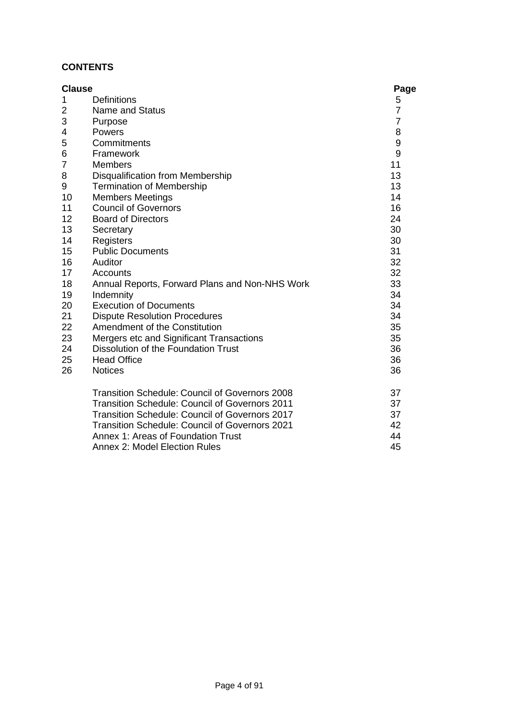#### **CONTENTS**

| <b>Clause</b> |                                                       | Page           |
|---------------|-------------------------------------------------------|----------------|
| 1             | <b>Definitions</b>                                    | 5              |
| 2             | <b>Name and Status</b>                                | $\overline{7}$ |
| 3             | Purpose                                               | $\overline{7}$ |
| 4             | Powers                                                | 8              |
| 5             | Commitments                                           | 9              |
| 6             | Framework                                             | 9              |
| 7             | <b>Members</b>                                        | 11             |
| 8             | <b>Disqualification from Membership</b>               | 13             |
| 9             | <b>Termination of Membership</b>                      | 13             |
| 10            | <b>Members Meetings</b>                               | 14             |
| 11            | <b>Council of Governors</b>                           | 16             |
| 12            | <b>Board of Directors</b>                             | 24             |
| 13            | Secretary                                             | 30             |
| 14            | Registers                                             | 30             |
| 15            | <b>Public Documents</b>                               | 31             |
| 16            | Auditor                                               | 32             |
| 17            | Accounts                                              | 32             |
| 18            | Annual Reports, Forward Plans and Non-NHS Work        | 33             |
| 19            | Indemnity                                             | 34             |
| 20            | <b>Execution of Documents</b>                         | 34             |
| 21            | <b>Dispute Resolution Procedures</b>                  | 34             |
| 22            | Amendment of the Constitution                         | 35             |
| 23            | Mergers etc and Significant Transactions              | 35             |
| 24            | Dissolution of the Foundation Trust                   | 36             |
| 25            | <b>Head Office</b>                                    | 36             |
| 26            | <b>Notices</b>                                        | 36             |
|               | <b>Transition Schedule: Council of Governors 2008</b> | 37             |
|               | <b>Transition Schedule: Council of Governors 2011</b> | 37             |
|               | <b>Transition Schedule: Council of Governors 2017</b> | 37             |
|               | <b>Transition Schedule: Council of Governors 2021</b> | 42             |
|               | Annex 1: Areas of Foundation Trust                    | 44             |
|               | <b>Annex 2: Model Election Rules</b>                  | 45             |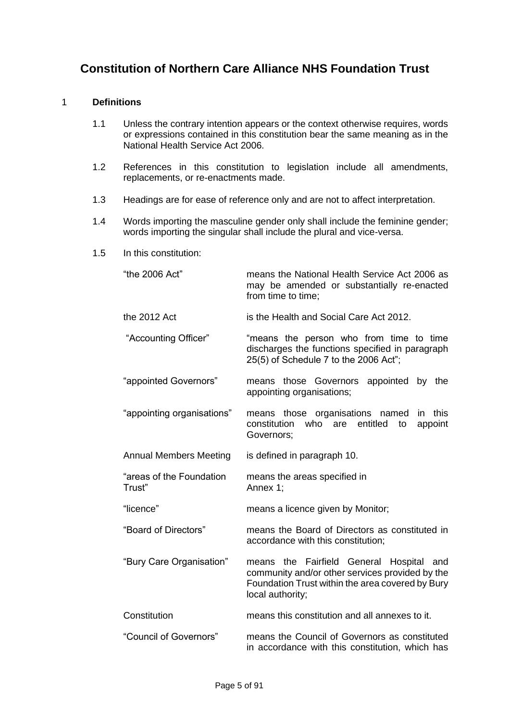### **Constitution of Northern Care Alliance NHS Foundation Trust**

#### <span id="page-4-0"></span>1 **Definitions**

- 1.1 Unless the contrary intention appears or the context otherwise requires, words or expressions contained in this constitution bear the same meaning as in the National Health Service Act 2006.
- 1.2 References in this constitution to legislation include all amendments, replacements, or re-enactments made.
- 1.3 Headings are for ease of reference only and are not to affect interpretation.
- 1.4 Words importing the masculine gender only shall include the feminine gender; words importing the singular shall include the plural and vice-versa.
- 1.5 In this constitution:

| "the 2006 Act"                     | means the National Health Service Act 2006 as<br>may be amended or substantially re-enacted<br>from time to time;                                                            |
|------------------------------------|------------------------------------------------------------------------------------------------------------------------------------------------------------------------------|
| the 2012 Act                       | is the Health and Social Care Act 2012.                                                                                                                                      |
| "Accounting Officer"               | "means the person who from time to time<br>discharges the functions specified in paragraph<br>25(5) of Schedule 7 to the 2006 Act";                                          |
| "appointed Governors"              | those Governors appointed by the<br>means<br>appointing organisations;                                                                                                       |
| "appointing organisations"         | means those organisations named<br>in this<br>constitution<br>who<br>entitled<br>are<br>to<br>appoint<br>Governors;                                                          |
| <b>Annual Members Meeting</b>      | is defined in paragraph 10.                                                                                                                                                  |
| "areas of the Foundation<br>Trust" | means the areas specified in<br>Annex 1;                                                                                                                                     |
| "licence"                          | means a licence given by Monitor;                                                                                                                                            |
| "Board of Directors"               | means the Board of Directors as constituted in<br>accordance with this constitution;                                                                                         |
| "Bury Care Organisation"           | Fairfield General Hospital<br>the<br>and<br>means<br>community and/or other services provided by the<br>Foundation Trust within the area covered by Bury<br>local authority; |
| Constitution                       | means this constitution and all annexes to it.                                                                                                                               |
| "Council of Governors"             | means the Council of Governors as constituted<br>in accordance with this constitution, which has                                                                             |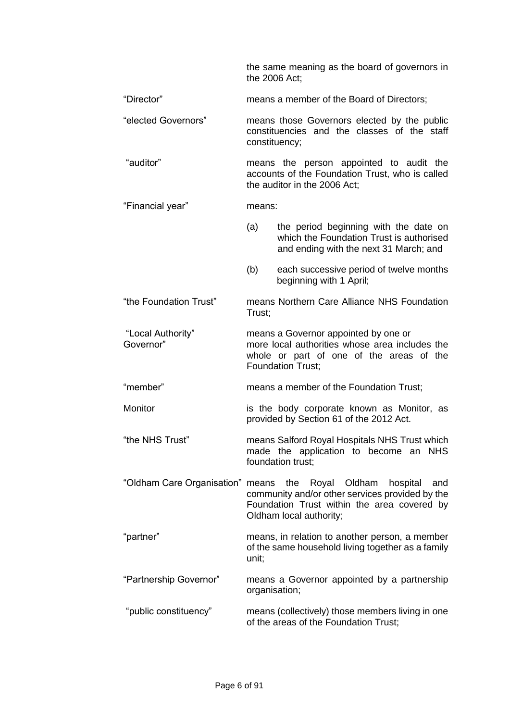|                                  |               | the same meaning as the board of governors in<br>the 2006 Act;                                                                                                   |  |
|----------------------------------|---------------|------------------------------------------------------------------------------------------------------------------------------------------------------------------|--|
| "Director"                       |               | means a member of the Board of Directors;                                                                                                                        |  |
| "elected Governors"              |               | means those Governors elected by the public<br>constituencies and the classes of the staff<br>constituency;                                                      |  |
| "auditor"                        |               | means the person appointed to audit the<br>accounts of the Foundation Trust, who is called<br>the auditor in the 2006 Act;                                       |  |
| "Financial year"                 | means:        |                                                                                                                                                                  |  |
|                                  | (a)           | the period beginning with the date on<br>which the Foundation Trust is authorised<br>and ending with the next 31 March; and                                      |  |
|                                  | (b)           | each successive period of twelve months<br>beginning with 1 April;                                                                                               |  |
| "the Foundation Trust"           | Trust;        | means Northern Care Alliance NHS Foundation                                                                                                                      |  |
| "Local Authority"<br>Governor"   |               | means a Governor appointed by one or<br>more local authorities whose area includes the<br>whole or part of one of the areas of the<br><b>Foundation Trust:</b>   |  |
| "member"                         |               | means a member of the Foundation Trust;                                                                                                                          |  |
| Monitor                          |               | is the body corporate known as Monitor, as<br>provided by Section 61 of the 2012 Act.                                                                            |  |
| "the NHS Trust"                  |               | means Salford Royal Hospitals NHS Trust which<br>made the application to become an<br><b>NHS</b><br>foundation trust;                                            |  |
| "Oldham Care Organisation" means |               | the<br>Royal Oldham hospital<br>and<br>community and/or other services provided by the<br>Foundation Trust within the area covered by<br>Oldham local authority; |  |
| "partner"                        | unit;         | means, in relation to another person, a member<br>of the same household living together as a family                                                              |  |
| "Partnership Governor"           | organisation; | means a Governor appointed by a partnership                                                                                                                      |  |
| "public constituency"            |               | means (collectively) those members living in one<br>of the areas of the Foundation Trust;                                                                        |  |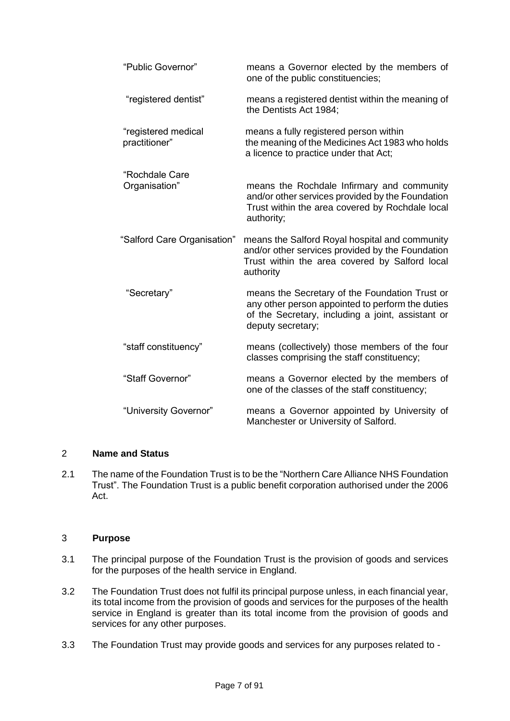| "Public Governor"                    | means a Governor elected by the members of<br>one of the public constituencies;                                                                                              |  |  |
|--------------------------------------|------------------------------------------------------------------------------------------------------------------------------------------------------------------------------|--|--|
| "registered dentist"                 | means a registered dentist within the meaning of<br>the Dentists Act 1984;                                                                                                   |  |  |
| "registered medical<br>practitioner" | means a fully registered person within<br>the meaning of the Medicines Act 1983 who holds<br>a licence to practice under that Act;                                           |  |  |
| "Rochdale Care                       |                                                                                                                                                                              |  |  |
| Organisation"                        | means the Rochdale Infirmary and community<br>and/or other services provided by the Foundation<br>Trust within the area covered by Rochdale local<br>authority;              |  |  |
| "Salford Care Organisation"          | means the Salford Royal hospital and community<br>and/or other services provided by the Foundation<br>Trust within the area covered by Salford local<br>authority            |  |  |
| "Secretary"                          | means the Secretary of the Foundation Trust or<br>any other person appointed to perform the duties<br>of the Secretary, including a joint, assistant or<br>deputy secretary; |  |  |
| "staff constituency"                 | means (collectively) those members of the four<br>classes comprising the staff constituency;                                                                                 |  |  |
| "Staff Governor"                     | means a Governor elected by the members of<br>one of the classes of the staff constituency;                                                                                  |  |  |
| "University Governor"                | means a Governor appointed by University of<br>Manchester or University of Salford.                                                                                          |  |  |

#### <span id="page-6-0"></span>2 **Name and Status**

2.1 The name of the Foundation Trust is to be the "Northern Care Alliance NHS Foundation Trust". The Foundation Trust is a public benefit corporation authorised under the 2006 Act.

#### <span id="page-6-1"></span>3 **Purpose**

- 3.1 The principal purpose of the Foundation Trust is the provision of goods and services for the purposes of the health service in England.
- 3.2 The Foundation Trust does not fulfil its principal purpose unless, in each financial year, its total income from the provision of goods and services for the purposes of the health service in England is greater than its total income from the provision of goods and services for any other purposes.
- 3.3 The Foundation Trust may provide goods and services for any purposes related to -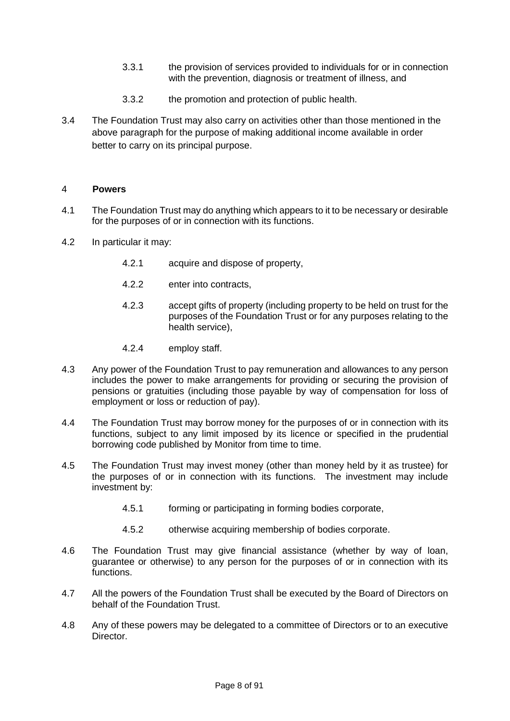- 3.3.1 the provision of services provided to individuals for or in connection with the prevention, diagnosis or treatment of illness, and
- 3.3.2 the promotion and protection of public health.
- 3.4 The Foundation Trust may also carry on activities other than those mentioned in the above paragraph for the purpose of making additional income available in order better to carry on its principal purpose.

#### <span id="page-7-0"></span>4 **Powers**

- 4.1 The Foundation Trust may do anything which appears to it to be necessary or desirable for the purposes of or in connection with its functions.
- 4.2 In particular it may:
	- 4.2.1 acquire and dispose of property,
	- 4.2.2 enter into contracts,
	- 4.2.3 accept gifts of property (including property to be held on trust for the purposes of the Foundation Trust or for any purposes relating to the health service),
	- 4.2.4 employ staff.
- 4.3 Any power of the Foundation Trust to pay remuneration and allowances to any person includes the power to make arrangements for providing or securing the provision of pensions or gratuities (including those payable by way of compensation for loss of employment or loss or reduction of pay).
- 4.4 The Foundation Trust may borrow money for the purposes of or in connection with its functions, subject to any limit imposed by its licence or specified in the prudential borrowing code published by Monitor from time to time.
- 4.5 The Foundation Trust may invest money (other than money held by it as trustee) for the purposes of or in connection with its functions. The investment may include investment by:
	- 4.5.1 forming or participating in forming bodies corporate,
	- 4.5.2 otherwise acquiring membership of bodies corporate.
- 4.6 The Foundation Trust may give financial assistance (whether by way of loan, guarantee or otherwise) to any person for the purposes of or in connection with its functions.
- 4.7 All the powers of the Foundation Trust shall be executed by the Board of Directors on behalf of the Foundation Trust.
- 4.8 Any of these powers may be delegated to a committee of Directors or to an executive Director.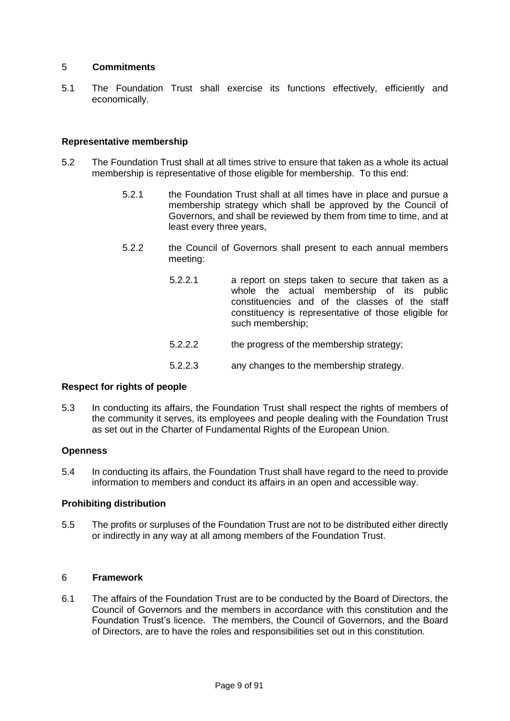#### <span id="page-8-0"></span>5 **Commitments**

5.1 The Foundation Trust shall exercise its functions effectively, efficiently and economically.

#### **Representative membership**

- 5.2 The Foundation Trust shall at all times strive to ensure that taken as a whole its actual membership is representative of those eligible for membership. To this end:
	- 5.2.1 the Foundation Trust shall at all times have in place and pursue a membership strategy which shall be approved by the Council of Governors, and shall be reviewed by them from time to time, and at least every three years,
	- 5.2.2 the Council of Governors shall present to each annual members meeting:
		- 5.2.2.1 a report on steps taken to secure that taken as a whole the actual membership of its public constituencies and of the classes of the staff constituency is representative of those eligible for such membership;
		- 5.2.2.2 the progress of the membership strategy;
		- 5.2.2.3 any changes to the membership strategy.

#### **Respect for rights of people**

5.3 In conducting its affairs, the Foundation Trust shall respect the rights of members of the community it serves, its employees and people dealing with the Foundation Trust as set out in the Charter of Fundamental Rights of the European Union.

#### **Openness**

5.4 In conducting its affairs, the Foundation Trust shall have regard to the need to provide information to members and conduct its affairs in an open and accessible way.

#### **Prohibiting distribution**

5.5 The profits or surpluses of the Foundation Trust are not to be distributed either directly or indirectly in any way at all among members of the Foundation Trust.

#### <span id="page-8-1"></span>6 **Framework**

6.1 The affairs of the Foundation Trust are to be conducted by the Board of Directors, the Council of Governors and the members in accordance with this constitution and the Foundation Trust's licence. The members, the Council of Governors, and the Board of Directors, are to have the roles and responsibilities set out in this constitution.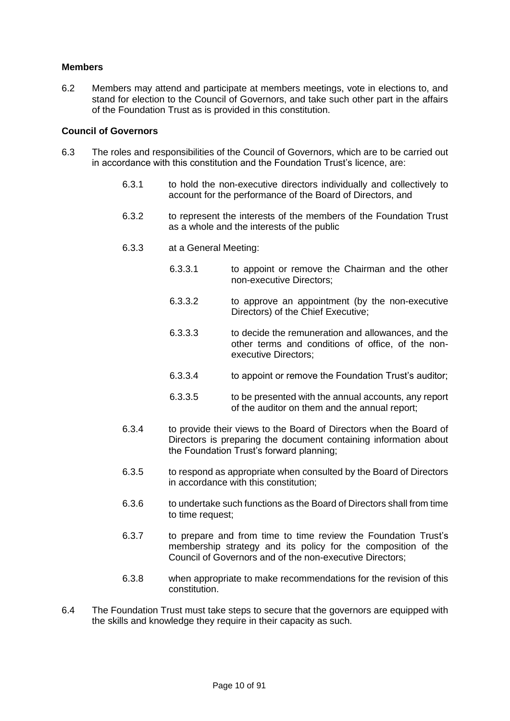#### **Members**

6.2 Members may attend and participate at members meetings, vote in elections to, and stand for election to the Council of Governors, and take such other part in the affairs of the Foundation Trust as is provided in this constitution.

#### **Council of Governors**

- 6.3 The roles and responsibilities of the Council of Governors, which are to be carried out in accordance with this constitution and the Foundation Trust's licence, are:
	- 6.3.1 to hold the non-executive directors individually and collectively to account for the performance of the Board of Directors, and
	- 6.3.2 to represent the interests of the members of the Foundation Trust as a whole and the interests of the public
	- 6.3.3 at a General Meeting:
		- 6.3.3.1 to appoint or remove the Chairman and the other non-executive Directors;
		- 6.3.3.2 to approve an appointment (by the non-executive Directors) of the Chief Executive;
		- 6.3.3.3 to decide the remuneration and allowances, and the other terms and conditions of office, of the nonexecutive Directors;
		- 6.3.3.4 to appoint or remove the Foundation Trust's auditor;
		- 6.3.3.5 to be presented with the annual accounts, any report of the auditor on them and the annual report;
	- 6.3.4 to provide their views to the Board of Directors when the Board of Directors is preparing the document containing information about the Foundation Trust's forward planning;
	- 6.3.5 to respond as appropriate when consulted by the Board of Directors in accordance with this constitution;
	- 6.3.6 to undertake such functions as the Board of Directors shall from time to time request;
	- 6.3.7 to prepare and from time to time review the Foundation Trust's membership strategy and its policy for the composition of the Council of Governors and of the non-executive Directors;
	- 6.3.8 when appropriate to make recommendations for the revision of this constitution.
- 6.4 The Foundation Trust must take steps to secure that the governors are equipped with the skills and knowledge they require in their capacity as such.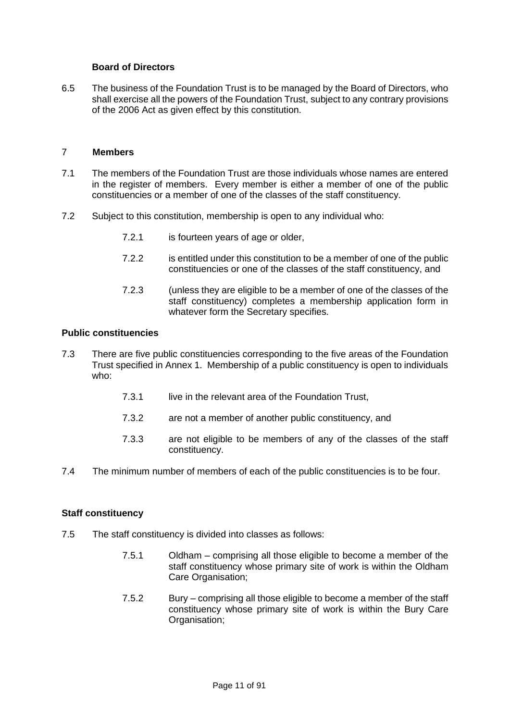#### **Board of Directors**

6.5 The business of the Foundation Trust is to be managed by the Board of Directors, who shall exercise all the powers of the Foundation Trust, subject to any contrary provisions of the 2006 Act as given effect by this constitution.

#### <span id="page-10-0"></span>7 **Members**

- 7.1 The members of the Foundation Trust are those individuals whose names are entered in the register of members. Every member is either a member of one of the public constituencies or a member of one of the classes of the staff constituency.
- 7.2 Subject to this constitution, membership is open to any individual who:
	- 7.2.1 is fourteen years of age or older,
	- 7.2.2 is entitled under this constitution to be a member of one of the public constituencies or one of the classes of the staff constituency, and
	- 7.2.3 (unless they are eligible to be a member of one of the classes of the staff constituency) completes a membership application form in whatever form the Secretary specifies.

#### **Public constituencies**

- 7.3 There are five public constituencies corresponding to the five areas of the Foundation Trust specified in Annex 1. Membership of a public constituency is open to individuals who:
	- 7.3.1 live in the relevant area of the Foundation Trust,
	- 7.3.2 are not a member of another public constituency, and
	- 7.3.3 are not eligible to be members of any of the classes of the staff constituency.
- 7.4 The minimum number of members of each of the public constituencies is to be four.

#### **Staff constituency**

- 7.5 The staff constituency is divided into classes as follows:
	- 7.5.1 Oldham comprising all those eligible to become a member of the staff constituency whose primary site of work is within the Oldham Care Organisation;
	- 7.5.2 Bury comprising all those eligible to become a member of the staff constituency whose primary site of work is within the Bury Care Organisation;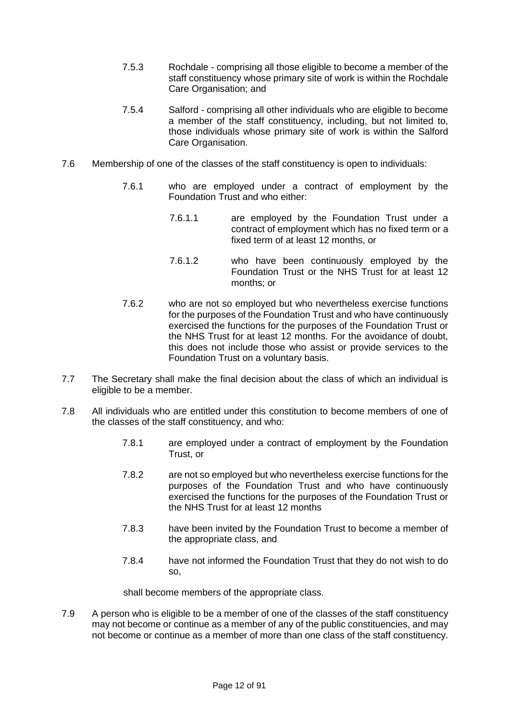- 7.5.3 Rochdale comprising all those eligible to become a member of the staff constituency whose primary site of work is within the Rochdale Care Organisation; and
- 7.5.4 Salford comprising all other individuals who are eligible to become a member of the staff constituency, including, but not limited to, those individuals whose primary site of work is within the Salford Care Organisation.
- 7.6 Membership of one of the classes of the staff constituency is open to individuals:
	- 7.6.1 who are employed under a contract of employment by the Foundation Trust and who either:
		- 7.6.1.1 are employed by the Foundation Trust under a contract of employment which has no fixed term or a fixed term of at least 12 months, or
		- 7.6.1.2 who have been continuously employed by the Foundation Trust or the NHS Trust for at least 12 months; or
	- 7.6.2 who are not so employed but who nevertheless exercise functions for the purposes of the Foundation Trust and who have continuously exercised the functions for the purposes of the Foundation Trust or the NHS Trust for at least 12 months. For the avoidance of doubt, this does not include those who assist or provide services to the Foundation Trust on a voluntary basis.
- 7.7 The Secretary shall make the final decision about the class of which an individual is eligible to be a member.
- 7.8 All individuals who are entitled under this constitution to become members of one of the classes of the staff constituency, and who:
	- 7.8.1 are employed under a contract of employment by the Foundation Trust, or
	- 7.8.2 are not so employed but who nevertheless exercise functions for the purposes of the Foundation Trust and who have continuously exercised the functions for the purposes of the Foundation Trust or the NHS Trust for at least 12 months
	- 7.8.3 have been invited by the Foundation Trust to become a member of the appropriate class, and
	- 7.8.4 have not informed the Foundation Trust that they do not wish to do so,

shall become members of the appropriate class.

7.9 A person who is eligible to be a member of one of the classes of the staff constituency may not become or continue as a member of any of the public constituencies, and may not become or continue as a member of more than one class of the staff constituency.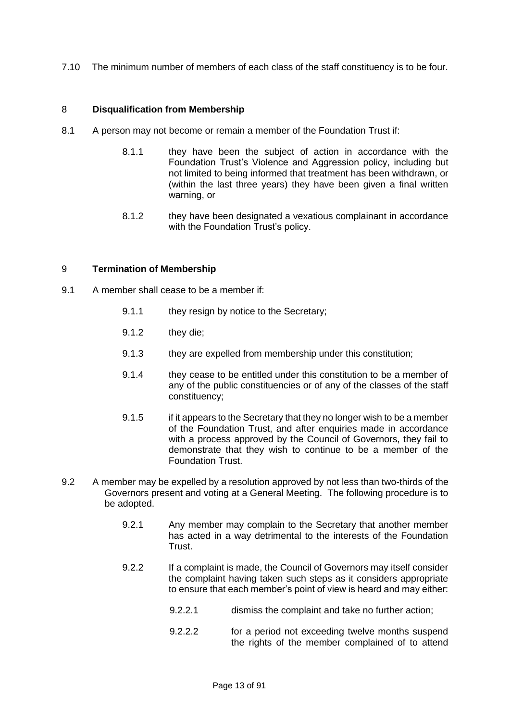7.10 The minimum number of members of each class of the staff constituency is to be four.

#### <span id="page-12-0"></span>8 **Disqualification from Membership**

- 8.1 A person may not become or remain a member of the Foundation Trust if:
	- 8.1.1 they have been the subject of action in accordance with the Foundation Trust's Violence and Aggression policy, including but not limited to being informed that treatment has been withdrawn, or (within the last three years) they have been given a final written warning, or
	- 8.1.2 they have been designated a vexatious complainant in accordance with the Foundation Trust's policy.

#### <span id="page-12-1"></span>9 **Termination of Membership**

- 9.1 A member shall cease to be a member if:
	- 9.1.1 they resign by notice to the Secretary;
	- 9.1.2 they die;
	- 9.1.3 they are expelled from membership under this constitution;
	- 9.1.4 they cease to be entitled under this constitution to be a member of any of the public constituencies or of any of the classes of the staff constituency;
	- 9.1.5 if it appears to the Secretary that they no longer wish to be a member of the Foundation Trust, and after enquiries made in accordance with a process approved by the Council of Governors, they fail to demonstrate that they wish to continue to be a member of the Foundation Trust.
- 9.2 A member may be expelled by a resolution approved by not less than two-thirds of the Governors present and voting at a General Meeting. The following procedure is to be adopted.
	- 9.2.1 Any member may complain to the Secretary that another member has acted in a way detrimental to the interests of the Foundation Trust.
	- 9.2.2 If a complaint is made, the Council of Governors may itself consider the complaint having taken such steps as it considers appropriate to ensure that each member's point of view is heard and may either:
		- 9.2.2.1 dismiss the complaint and take no further action;
		- 9.2.2.2 for a period not exceeding twelve months suspend the rights of the member complained of to attend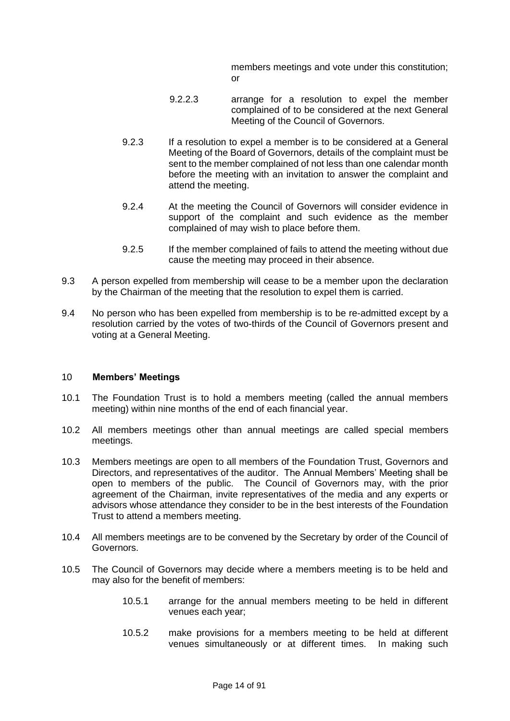members meetings and vote under this constitution; or

- 9.2.2.3 arrange for a resolution to expel the member complained of to be considered at the next General Meeting of the Council of Governors.
- 9.2.3 If a resolution to expel a member is to be considered at a General Meeting of the Board of Governors, details of the complaint must be sent to the member complained of not less than one calendar month before the meeting with an invitation to answer the complaint and attend the meeting.
- 9.2.4 At the meeting the Council of Governors will consider evidence in support of the complaint and such evidence as the member complained of may wish to place before them.
- 9.2.5 If the member complained of fails to attend the meeting without due cause the meeting may proceed in their absence.
- 9.3 A person expelled from membership will cease to be a member upon the declaration by the Chairman of the meeting that the resolution to expel them is carried.
- 9.4 No person who has been expelled from membership is to be re-admitted except by a resolution carried by the votes of two-thirds of the Council of Governors present and voting at a General Meeting.

#### <span id="page-13-0"></span>10 **Members' Meetings**

- 10.1 The Foundation Trust is to hold a members meeting (called the annual members meeting) within nine months of the end of each financial year.
- 10.2 All members meetings other than annual meetings are called special members meetings.
- 10.3 Members meetings are open to all members of the Foundation Trust, Governors and Directors, and representatives of the auditor. The Annual Members' Meeting shall be open to members of the public. The Council of Governors may, with the prior agreement of the Chairman, invite representatives of the media and any experts or advisors whose attendance they consider to be in the best interests of the Foundation Trust to attend a members meeting.
- 10.4 All members meetings are to be convened by the Secretary by order of the Council of Governors.
- 10.5 The Council of Governors may decide where a members meeting is to be held and may also for the benefit of members:
	- 10.5.1 arrange for the annual members meeting to be held in different venues each year;
	- 10.5.2 make provisions for a members meeting to be held at different venues simultaneously or at different times. In making such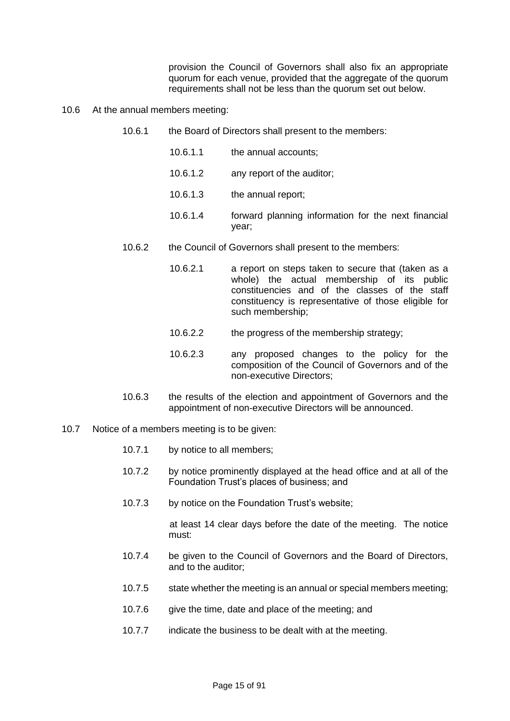provision the Council of Governors shall also fix an appropriate quorum for each venue, provided that the aggregate of the quorum requirements shall not be less than the quorum set out below.

- 10.6 At the annual members meeting:
	- 10.6.1 the Board of Directors shall present to the members:
		- 10.6.1.1 the annual accounts;
		- 10.6.1.2 any report of the auditor;
		- 10.6.1.3 the annual report;
		- 10.6.1.4 forward planning information for the next financial year;
	- 10.6.2 the Council of Governors shall present to the members:
		- 10.6.2.1 a report on steps taken to secure that (taken as a whole) the actual membership of its public constituencies and of the classes of the staff constituency is representative of those eligible for such membership;
		- 10.6.2.2 the progress of the membership strategy;
		- 10.6.2.3 any proposed changes to the policy for the composition of the Council of Governors and of the non-executive Directors;
	- 10.6.3 the results of the election and appointment of Governors and the appointment of non-executive Directors will be announced.
- 10.7 Notice of a members meeting is to be given:
	- 10.7.1 by notice to all members;
	- 10.7.2 by notice prominently displayed at the head office and at all of the Foundation Trust's places of business; and
	- 10.7.3 by notice on the Foundation Trust's website;

at least 14 clear days before the date of the meeting. The notice must:

- 10.7.4 be given to the Council of Governors and the Board of Directors, and to the auditor;
- 10.7.5 state whether the meeting is an annual or special members meeting;
- 10.7.6 give the time, date and place of the meeting; and
- 10.7.7 indicate the business to be dealt with at the meeting.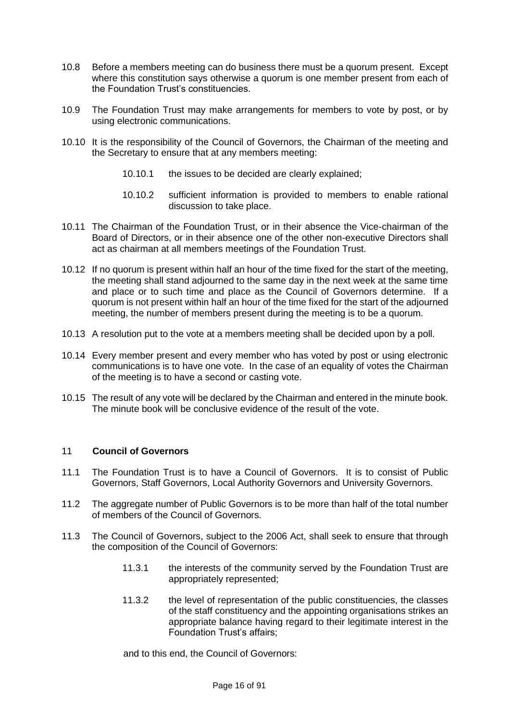- 10.8 Before a members meeting can do business there must be a quorum present. Except where this constitution says otherwise a quorum is one member present from each of the Foundation Trust's constituencies.
- 10.9 The Foundation Trust may make arrangements for members to vote by post, or by using electronic communications.
- 10.10 It is the responsibility of the Council of Governors, the Chairman of the meeting and the Secretary to ensure that at any members meeting:
	- 10.10.1 the issues to be decided are clearly explained;
	- 10.10.2 sufficient information is provided to members to enable rational discussion to take place.
- 10.11 The Chairman of the Foundation Trust, or in their absence the Vice-chairman of the Board of Directors, or in their absence one of the other non-executive Directors shall act as chairman at all members meetings of the Foundation Trust.
- 10.12 If no quorum is present within half an hour of the time fixed for the start of the meeting, the meeting shall stand adjourned to the same day in the next week at the same time and place or to such time and place as the Council of Governors determine. If a quorum is not present within half an hour of the time fixed for the start of the adjourned meeting, the number of members present during the meeting is to be a quorum.
- 10.13 A resolution put to the vote at a members meeting shall be decided upon by a poll.
- 10.14 Every member present and every member who has voted by post or using electronic communications is to have one vote. In the case of an equality of votes the Chairman of the meeting is to have a second or casting vote.
- 10.15 The result of any vote will be declared by the Chairman and entered in the minute book. The minute book will be conclusive evidence of the result of the vote.

#### <span id="page-15-0"></span>11 **Council of Governors**

- 11.1 The Foundation Trust is to have a Council of Governors. It is to consist of Public Governors, Staff Governors, Local Authority Governors and University Governors.
- 11.2 The aggregate number of Public Governors is to be more than half of the total number of members of the Council of Governors.
- 11.3 The Council of Governors, subject to the 2006 Act, shall seek to ensure that through the composition of the Council of Governors:
	- 11.3.1 the interests of the community served by the Foundation Trust are appropriately represented;
	- 11.3.2 the level of representation of the public constituencies, the classes of the staff constituency and the appointing organisations strikes an appropriate balance having regard to their legitimate interest in the Foundation Trust's affairs;

and to this end, the Council of Governors: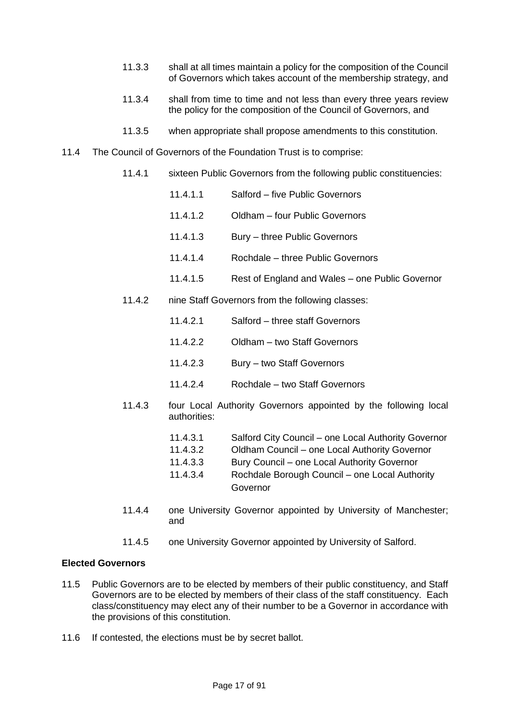- 11.3.3 shall at all times maintain a policy for the composition of the Council of Governors which takes account of the membership strategy, and
- 11.3.4 shall from time to time and not less than every three years review the policy for the composition of the Council of Governors, and
- 11.3.5 when appropriate shall propose amendments to this constitution.
- 11.4 The Council of Governors of the Foundation Trust is to comprise:
	- 11.4.1 sixteen Public Governors from the following public constituencies:
		- 11.4.1.1 Salford five Public Governors
		- 11.4.1.2 Oldham four Public Governors
		- 11.4.1.3 Bury three Public Governors
		- 11.4.1.4 Rochdale three Public Governors
		- 11.4.1.5 Rest of England and Wales one Public Governor
	- 11.4.2 nine Staff Governors from the following classes:
		- 11.4.2.1 Salford three staff Governors
		- 11.4.2.2 Oldham two Staff Governors
		- 11.4.2.3 Bury two Staff Governors
		- 11.4.2.4 Rochdale two Staff Governors
	- 11.4.3 four Local Authority Governors appointed by the following local authorities:
		- 11.4.3.1 Salford City Council one Local Authority Governor
		- 11.4.3.2 Oldham Council one Local Authority Governor
		- 11.4.3.3 Bury Council one Local Authority Governor
		- 11.4.3.4 Rochdale Borough Council one Local Authority Governor
	- 11.4.4 one University Governor appointed by University of Manchester; and
	- 11.4.5 one University Governor appointed by University of Salford.

#### **Elected Governors**

- 11.5 Public Governors are to be elected by members of their public constituency, and Staff Governors are to be elected by members of their class of the staff constituency. Each class/constituency may elect any of their number to be a Governor in accordance with the provisions of this constitution.
- 11.6 If contested, the elections must be by secret ballot.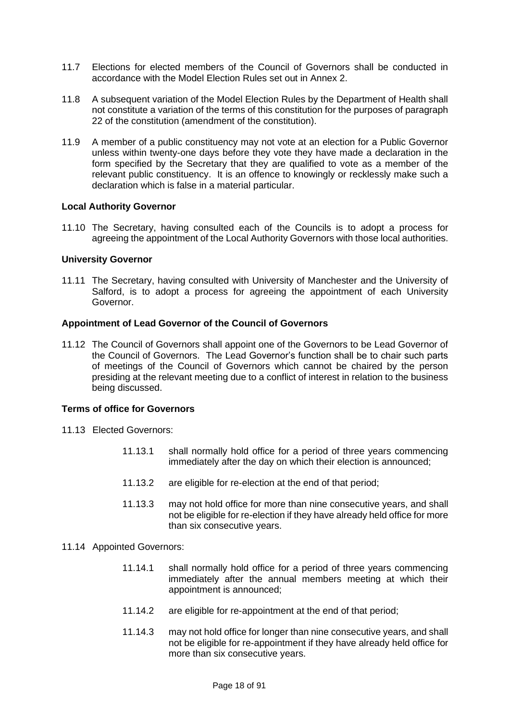- 11.7 Elections for elected members of the Council of Governors shall be conducted in accordance with the Model Election Rules set out in Annex 2.
- 11.8 A subsequent variation of the Model Election Rules by the Department of Health shall not constitute a variation of the terms of this constitution for the purposes of paragraph 22 of the constitution (amendment of the constitution).
- 11.9 A member of a public constituency may not vote at an election for a Public Governor unless within twenty-one days before they vote they have made a declaration in the form specified by the Secretary that they are qualified to vote as a member of the relevant public constituency. It is an offence to knowingly or recklessly make such a declaration which is false in a material particular.

#### **Local Authority Governor**

11.10 The Secretary, having consulted each of the Councils is to adopt a process for agreeing the appointment of the Local Authority Governors with those local authorities.

#### **University Governor**

11.11 The Secretary, having consulted with University of Manchester and the University of Salford, is to adopt a process for agreeing the appointment of each University Governor.

#### **Appointment of Lead Governor of the Council of Governors**

11.12 The Council of Governors shall appoint one of the Governors to be Lead Governor of the Council of Governors. The Lead Governor's function shall be to chair such parts of meetings of the Council of Governors which cannot be chaired by the person presiding at the relevant meeting due to a conflict of interest in relation to the business being discussed.

#### **Terms of office for Governors**

- 11.13 Elected Governors:
	- 11.13.1 shall normally hold office for a period of three years commencing immediately after the day on which their election is announced;
	- 11.13.2 are eligible for re-election at the end of that period;
	- 11.13.3 may not hold office for more than nine consecutive years, and shall not be eligible for re-election if they have already held office for more than six consecutive years.

#### 11.14 Appointed Governors:

- 11.14.1 shall normally hold office for a period of three years commencing immediately after the annual members meeting at which their appointment is announced;
- 11.14.2 are eligible for re-appointment at the end of that period;
- 11.14.3 may not hold office for longer than nine consecutive years, and shall not be eligible for re-appointment if they have already held office for more than six consecutive years.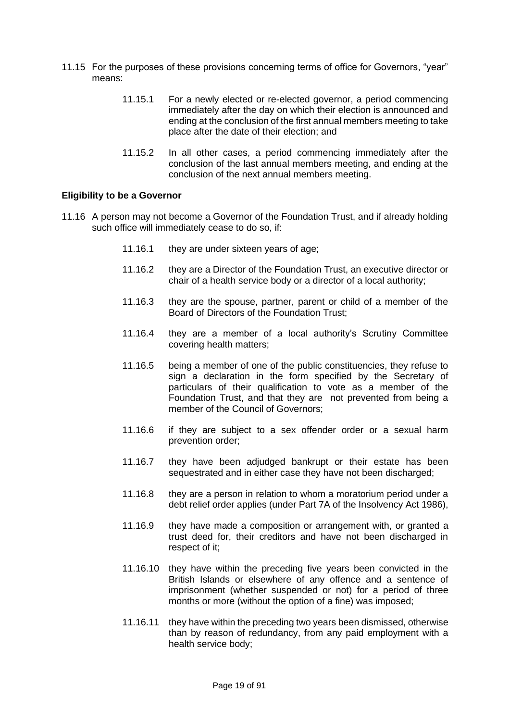- 11.15 For the purposes of these provisions concerning terms of office for Governors, "year" means:
	- 11.15.1 For a newly elected or re-elected governor, a period commencing immediately after the day on which their election is announced and ending at the conclusion of the first annual members meeting to take place after the date of their election; and
	- 11.15.2 In all other cases, a period commencing immediately after the conclusion of the last annual members meeting, and ending at the conclusion of the next annual members meeting.

#### **Eligibility to be a Governor**

- 11.16 A person may not become a Governor of the Foundation Trust, and if already holding such office will immediately cease to do so, if:
	- 11.16.1 they are under sixteen years of age:
	- 11.16.2 they are a Director of the Foundation Trust, an executive director or chair of a health service body or a director of a local authority;
	- 11.16.3 they are the spouse, partner, parent or child of a member of the Board of Directors of the Foundation Trust;
	- 11.16.4 they are a member of a local authority's Scrutiny Committee covering health matters;
	- 11.16.5 being a member of one of the public constituencies, they refuse to sign a declaration in the form specified by the Secretary of particulars of their qualification to vote as a member of the Foundation Trust, and that they are not prevented from being a member of the Council of Governors;
	- 11.16.6 if they are subject to a sex offender order or a sexual harm prevention order;
	- 11.16.7 they have been adjudged bankrupt or their estate has been sequestrated and in either case they have not been discharged;
	- 11.16.8 they are a person in relation to whom a moratorium period under a debt relief order applies (under Part 7A of the Insolvency Act 1986),
	- 11.16.9 they have made a composition or arrangement with, or granted a trust deed for, their creditors and have not been discharged in respect of it;
	- 11.16.10 they have within the preceding five years been convicted in the British Islands or elsewhere of any offence and a sentence of imprisonment (whether suspended or not) for a period of three months or more (without the option of a fine) was imposed;
	- 11.16.11 they have within the preceding two years been dismissed, otherwise than by reason of redundancy, from any paid employment with a health service body;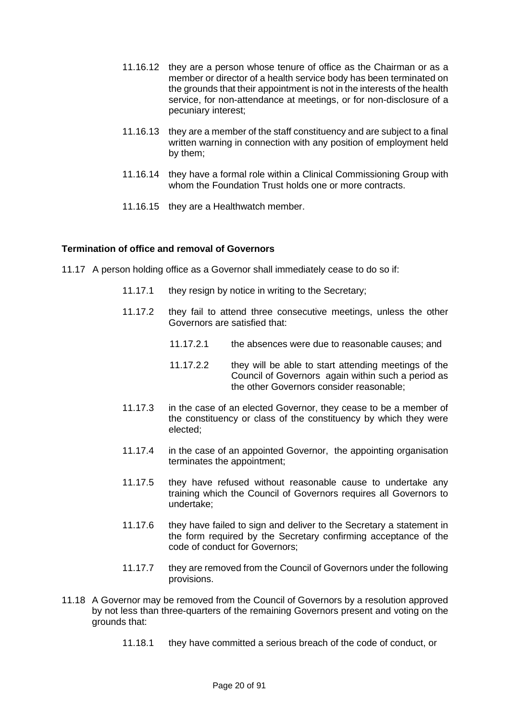- 11.16.12 they are a person whose tenure of office as the Chairman or as a member or director of a health service body has been terminated on the grounds that their appointment is not in the interests of the health service, for non-attendance at meetings, or for non-disclosure of a pecuniary interest;
- 11.16.13 they are a member of the staff constituency and are subject to a final written warning in connection with any position of employment held by them;
- 11.16.14 they have a formal role within a Clinical Commissioning Group with whom the Foundation Trust holds one or more contracts.
- 11.16.15 they are a Healthwatch member.

#### **Termination of office and removal of Governors**

- 11.17 A person holding office as a Governor shall immediately cease to do so if:
	- 11.17.1 they resign by notice in writing to the Secretary;
	- 11.17.2 they fail to attend three consecutive meetings, unless the other Governors are satisfied that:
		- 11.17.2.1 the absences were due to reasonable causes; and
		- 11.17.2.2 they will be able to start attending meetings of the Council of Governors again within such a period as the other Governors consider reasonable;
	- 11.17.3 in the case of an elected Governor, they cease to be a member of the constituency or class of the constituency by which they were elected;
	- 11.17.4 in the case of an appointed Governor, the appointing organisation terminates the appointment;
	- 11.17.5 they have refused without reasonable cause to undertake any training which the Council of Governors requires all Governors to undertake;
	- 11.17.6 they have failed to sign and deliver to the Secretary a statement in the form required by the Secretary confirming acceptance of the code of conduct for Governors;
	- 11.17.7 they are removed from the Council of Governors under the following provisions.
- 11.18 A Governor may be removed from the Council of Governors by a resolution approved by not less than three-quarters of the remaining Governors present and voting on the grounds that:
	- 11.18.1 they have committed a serious breach of the code of conduct, or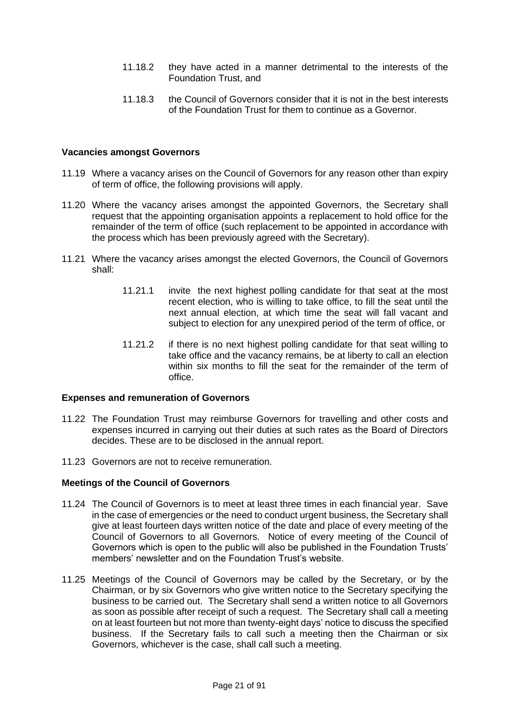- 11.18.2 they have acted in a manner detrimental to the interests of the Foundation Trust, and
- 11.18.3 the Council of Governors consider that it is not in the best interests of the Foundation Trust for them to continue as a Governor.

#### **Vacancies amongst Governors**

- 11.19 Where a vacancy arises on the Council of Governors for any reason other than expiry of term of office, the following provisions will apply.
- 11.20 Where the vacancy arises amongst the appointed Governors, the Secretary shall request that the appointing organisation appoints a replacement to hold office for the remainder of the term of office (such replacement to be appointed in accordance with the process which has been previously agreed with the Secretary).
- 11.21 Where the vacancy arises amongst the elected Governors, the Council of Governors shall:
	- 11.21.1 invite the next highest polling candidate for that seat at the most recent election, who is willing to take office, to fill the seat until the next annual election, at which time the seat will fall vacant and subject to election for any unexpired period of the term of office, or
	- 11.21.2 if there is no next highest polling candidate for that seat willing to take office and the vacancy remains, be at liberty to call an election within six months to fill the seat for the remainder of the term of office.

#### **Expenses and remuneration of Governors**

- 11.22 The Foundation Trust may reimburse Governors for travelling and other costs and expenses incurred in carrying out their duties at such rates as the Board of Directors decides. These are to be disclosed in the annual report.
- 11.23 Governors are not to receive remuneration.

#### **Meetings of the Council of Governors**

- 11.24 The Council of Governors is to meet at least three times in each financial year. Save in the case of emergencies or the need to conduct urgent business, the Secretary shall give at least fourteen days written notice of the date and place of every meeting of the Council of Governors to all Governors. Notice of every meeting of the Council of Governors which is open to the public will also be published in the Foundation Trusts' members' newsletter and on the Foundation Trust's website.
- 11.25 Meetings of the Council of Governors may be called by the Secretary, or by the Chairman, or by six Governors who give written notice to the Secretary specifying the business to be carried out. The Secretary shall send a written notice to all Governors as soon as possible after receipt of such a request. The Secretary shall call a meeting on at least fourteen but not more than twenty-eight days' notice to discuss the specified business. If the Secretary fails to call such a meeting then the Chairman or six Governors, whichever is the case, shall call such a meeting.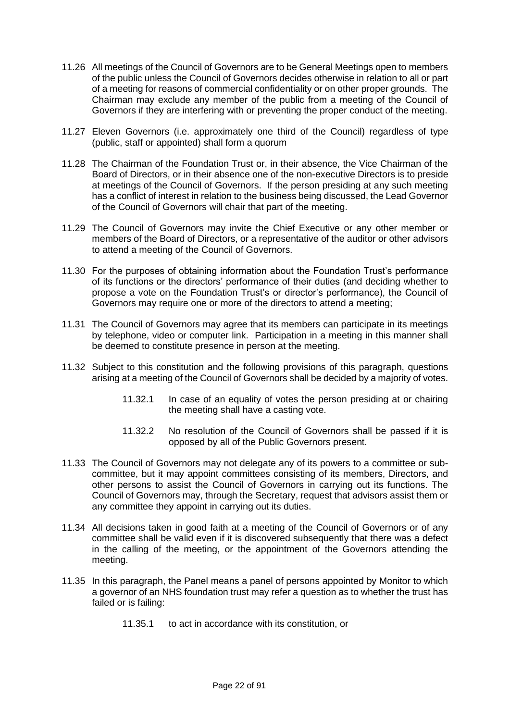- 11.26 All meetings of the Council of Governors are to be General Meetings open to members of the public unless the Council of Governors decides otherwise in relation to all or part of a meeting for reasons of commercial confidentiality or on other proper grounds. The Chairman may exclude any member of the public from a meeting of the Council of Governors if they are interfering with or preventing the proper conduct of the meeting.
- 11.27 Eleven Governors (i.e. approximately one third of the Council) regardless of type (public, staff or appointed) shall form a quorum
- 11.28 The Chairman of the Foundation Trust or, in their absence, the Vice Chairman of the Board of Directors, or in their absence one of the non-executive Directors is to preside at meetings of the Council of Governors. If the person presiding at any such meeting has a conflict of interest in relation to the business being discussed, the Lead Governor of the Council of Governors will chair that part of the meeting.
- 11.29 The Council of Governors may invite the Chief Executive or any other member or members of the Board of Directors, or a representative of the auditor or other advisors to attend a meeting of the Council of Governors.
- 11.30 For the purposes of obtaining information about the Foundation Trust's performance of its functions or the directors' performance of their duties (and deciding whether to propose a vote on the Foundation Trust's or director's performance), the Council of Governors may require one or more of the directors to attend a meeting;
- 11.31 The Council of Governors may agree that its members can participate in its meetings by telephone, video or computer link. Participation in a meeting in this manner shall be deemed to constitute presence in person at the meeting.
- 11.32 Subject to this constitution and the following provisions of this paragraph, questions arising at a meeting of the Council of Governors shall be decided by a majority of votes.
	- 11.32.1 In case of an equality of votes the person presiding at or chairing the meeting shall have a casting vote.
	- 11.32.2 No resolution of the Council of Governors shall be passed if it is opposed by all of the Public Governors present.
- 11.33 The Council of Governors may not delegate any of its powers to a committee or subcommittee, but it may appoint committees consisting of its members, Directors, and other persons to assist the Council of Governors in carrying out its functions. The Council of Governors may, through the Secretary, request that advisors assist them or any committee they appoint in carrying out its duties.
- 11.34 All decisions taken in good faith at a meeting of the Council of Governors or of any committee shall be valid even if it is discovered subsequently that there was a defect in the calling of the meeting, or the appointment of the Governors attending the meeting.
- 11.35 In this paragraph, the Panel means a panel of persons appointed by Monitor to which a governor of an NHS foundation trust may refer a question as to whether the trust has failed or is failing:
	- 11.35.1 to act in accordance with its constitution, or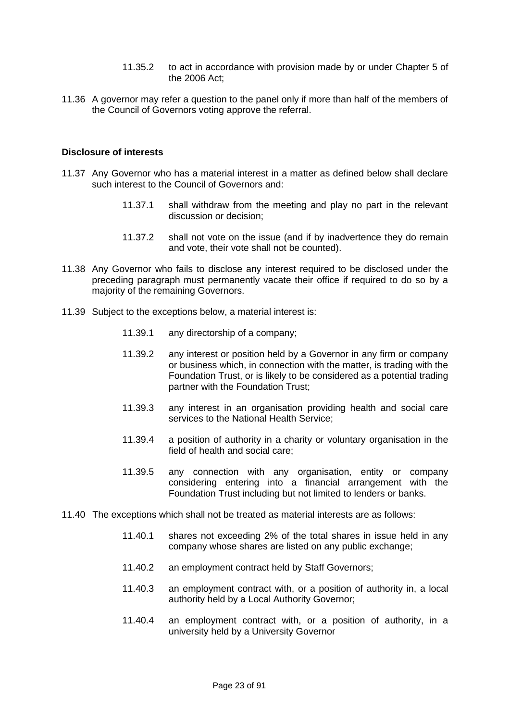- 11.35.2 to act in accordance with provision made by or under Chapter 5 of the 2006 Act;
- 11.36 A governor may refer a question to the panel only if more than half of the members of the Council of Governors voting approve the referral.

#### **Disclosure of interests**

- 11.37 Any Governor who has a material interest in a matter as defined below shall declare such interest to the Council of Governors and:
	- 11.37.1 shall withdraw from the meeting and play no part in the relevant discussion or decision;
	- 11.37.2 shall not vote on the issue (and if by inadvertence they do remain and vote, their vote shall not be counted).
- 11.38 Any Governor who fails to disclose any interest required to be disclosed under the preceding paragraph must permanently vacate their office if required to do so by a majority of the remaining Governors.
- 11.39 Subject to the exceptions below, a material interest is:
	- 11.39.1 any directorship of a company;
	- 11.39.2 any interest or position held by a Governor in any firm or company or business which, in connection with the matter, is trading with the Foundation Trust, or is likely to be considered as a potential trading partner with the Foundation Trust;
	- 11.39.3 any interest in an organisation providing health and social care services to the National Health Service;
	- 11.39.4 a position of authority in a charity or voluntary organisation in the field of health and social care;
	- 11.39.5 any connection with any organisation, entity or company considering entering into a financial arrangement with the Foundation Trust including but not limited to lenders or banks.
- 11.40 The exceptions which shall not be treated as material interests are as follows:
	- 11.40.1 shares not exceeding 2% of the total shares in issue held in any company whose shares are listed on any public exchange;
	- 11.40.2 an employment contract held by Staff Governors;
	- 11.40.3 an employment contract with, or a position of authority in, a local authority held by a Local Authority Governor;
	- 11.40.4 an employment contract with, or a position of authority, in a university held by a University Governor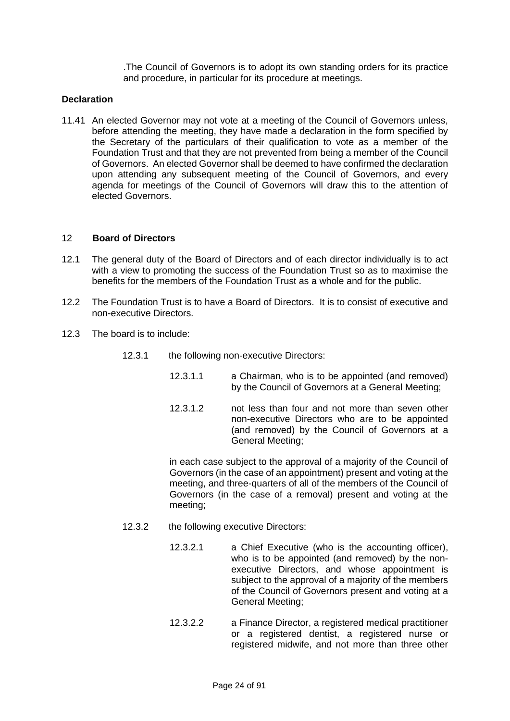.The Council of Governors is to adopt its own standing orders for its practice and procedure, in particular for its procedure at meetings.

#### **Declaration**

11.41 An elected Governor may not vote at a meeting of the Council of Governors unless, before attending the meeting, they have made a declaration in the form specified by the Secretary of the particulars of their qualification to vote as a member of the Foundation Trust and that they are not prevented from being a member of the Council of Governors. An elected Governor shall be deemed to have confirmed the declaration upon attending any subsequent meeting of the Council of Governors, and every agenda for meetings of the Council of Governors will draw this to the attention of elected Governors.

#### <span id="page-23-0"></span>12 **Board of Directors**

- 12.1 The general duty of the Board of Directors and of each director individually is to act with a view to promoting the success of the Foundation Trust so as to maximise the benefits for the members of the Foundation Trust as a whole and for the public.
- 12.2 The Foundation Trust is to have a Board of Directors. It is to consist of executive and non-executive Directors.
- 12.3 The board is to include:
	- 12.3.1 the following non-executive Directors:
		- 12.3.1.1 a Chairman, who is to be appointed (and removed) by the Council of Governors at a General Meeting;
		- 12.3.1.2 not less than four and not more than seven other non-executive Directors who are to be appointed (and removed) by the Council of Governors at a General Meeting;

in each case subject to the approval of a majority of the Council of Governors (in the case of an appointment) present and voting at the meeting, and three-quarters of all of the members of the Council of Governors (in the case of a removal) present and voting at the meeting;

- 12.3.2 the following executive Directors:
	- 12.3.2.1 a Chief Executive (who is the accounting officer), who is to be appointed (and removed) by the nonexecutive Directors, and whose appointment is subject to the approval of a majority of the members of the Council of Governors present and voting at a General Meeting;
	- 12.3.2.2 a Finance Director, a registered medical practitioner or a registered dentist, a registered nurse or registered midwife, and not more than three other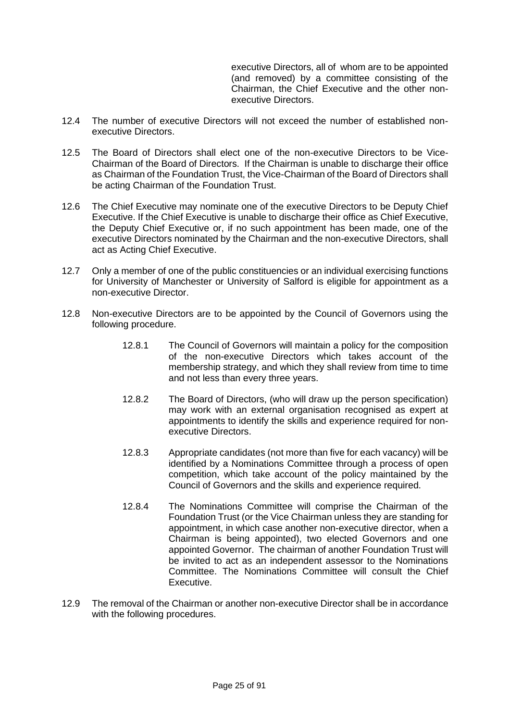executive Directors, all of whom are to be appointed (and removed) by a committee consisting of the Chairman, the Chief Executive and the other nonexecutive Directors.

- 12.4 The number of executive Directors will not exceed the number of established nonexecutive Directors.
- 12.5 The Board of Directors shall elect one of the non-executive Directors to be Vice-Chairman of the Board of Directors. If the Chairman is unable to discharge their office as Chairman of the Foundation Trust, the Vice-Chairman of the Board of Directors shall be acting Chairman of the Foundation Trust.
- 12.6 The Chief Executive may nominate one of the executive Directors to be Deputy Chief Executive. If the Chief Executive is unable to discharge their office as Chief Executive, the Deputy Chief Executive or, if no such appointment has been made, one of the executive Directors nominated by the Chairman and the non-executive Directors, shall act as Acting Chief Executive.
- 12.7 Only a member of one of the public constituencies or an individual exercising functions for University of Manchester or University of Salford is eligible for appointment as a non-executive Director.
- 12.8 Non-executive Directors are to be appointed by the Council of Governors using the following procedure.
	- 12.8.1 The Council of Governors will maintain a policy for the composition of the non-executive Directors which takes account of the membership strategy, and which they shall review from time to time and not less than every three years.
	- 12.8.2 The Board of Directors, (who will draw up the person specification) may work with an external organisation recognised as expert at appointments to identify the skills and experience required for nonexecutive Directors.
	- 12.8.3 Appropriate candidates (not more than five for each vacancy) will be identified by a Nominations Committee through a process of open competition, which take account of the policy maintained by the Council of Governors and the skills and experience required.
	- 12.8.4 The Nominations Committee will comprise the Chairman of the Foundation Trust (or the Vice Chairman unless they are standing for appointment, in which case another non-executive director, when a Chairman is being appointed), two elected Governors and one appointed Governor. The chairman of another Foundation Trust will be invited to act as an independent assessor to the Nominations Committee. The Nominations Committee will consult the Chief Executive.
- 12.9 The removal of the Chairman or another non-executive Director shall be in accordance with the following procedures.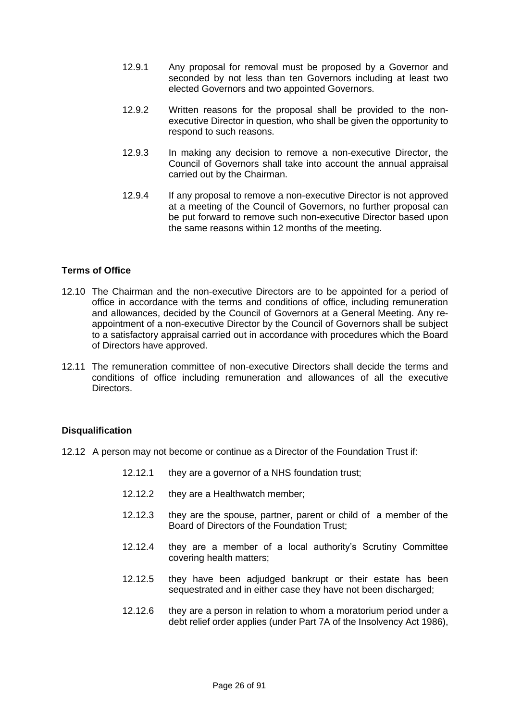- 12.9.1 Any proposal for removal must be proposed by a Governor and seconded by not less than ten Governors including at least two elected Governors and two appointed Governors.
- 12.9.2 Written reasons for the proposal shall be provided to the nonexecutive Director in question, who shall be given the opportunity to respond to such reasons.
- 12.9.3 In making any decision to remove a non-executive Director, the Council of Governors shall take into account the annual appraisal carried out by the Chairman.
- 12.9.4 If any proposal to remove a non-executive Director is not approved at a meeting of the Council of Governors, no further proposal can be put forward to remove such non-executive Director based upon the same reasons within 12 months of the meeting.

#### **Terms of Office**

- 12.10 The Chairman and the non-executive Directors are to be appointed for a period of office in accordance with the terms and conditions of office, including remuneration and allowances, decided by the Council of Governors at a General Meeting. Any reappointment of a non-executive Director by the Council of Governors shall be subject to a satisfactory appraisal carried out in accordance with procedures which the Board of Directors have approved.
- 12.11 The remuneration committee of non-executive Directors shall decide the terms and conditions of office including remuneration and allowances of all the executive Directors.

#### **Disqualification**

- 12.12 A person may not become or continue as a Director of the Foundation Trust if:
	- 12.12.1 they are a governor of a NHS foundation trust;
	- 12.12.2 they are a Healthwatch member;
	- 12.12.3 they are the spouse, partner, parent or child of a member of the Board of Directors of the Foundation Trust;
	- 12.12.4 they are a member of a local authority's Scrutiny Committee covering health matters;
	- 12.12.5 they have been adjudged bankrupt or their estate has been sequestrated and in either case they have not been discharged;
	- 12.12.6 they are a person in relation to whom a moratorium period under a debt relief order applies (under Part 7A of the Insolvency Act 1986),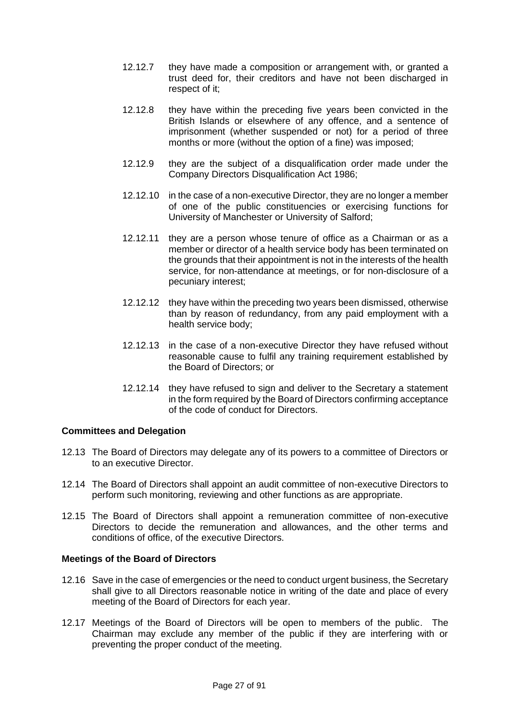- 12.12.7 they have made a composition or arrangement with, or granted a trust deed for, their creditors and have not been discharged in respect of it;
- 12.12.8 they have within the preceding five years been convicted in the British Islands or elsewhere of any offence, and a sentence of imprisonment (whether suspended or not) for a period of three months or more (without the option of a fine) was imposed;
- 12.12.9 they are the subject of a disqualification order made under the Company Directors Disqualification Act 1986;
- 12.12.10 in the case of a non-executive Director, they are no longer a member of one of the public constituencies or exercising functions for University of Manchester or University of Salford;
- 12.12.11 they are a person whose tenure of office as a Chairman or as a member or director of a health service body has been terminated on the grounds that their appointment is not in the interests of the health service, for non-attendance at meetings, or for non-disclosure of a pecuniary interest;
- 12.12.12 they have within the preceding two years been dismissed, otherwise than by reason of redundancy, from any paid employment with a health service body;
- 12.12.13 in the case of a non-executive Director they have refused without reasonable cause to fulfil any training requirement established by the Board of Directors; or
- 12.12.14 they have refused to sign and deliver to the Secretary a statement in the form required by the Board of Directors confirming acceptance of the code of conduct for Directors.

#### **Committees and Delegation**

- 12.13 The Board of Directors may delegate any of its powers to a committee of Directors or to an executive Director.
- 12.14 The Board of Directors shall appoint an audit committee of non-executive Directors to perform such monitoring, reviewing and other functions as are appropriate.
- 12.15 The Board of Directors shall appoint a remuneration committee of non-executive Directors to decide the remuneration and allowances, and the other terms and conditions of office, of the executive Directors.

#### **Meetings of the Board of Directors**

- 12.16 Save in the case of emergencies or the need to conduct urgent business, the Secretary shall give to all Directors reasonable notice in writing of the date and place of every meeting of the Board of Directors for each year.
- 12.17 Meetings of the Board of Directors will be open to members of the public. The Chairman may exclude any member of the public if they are interfering with or preventing the proper conduct of the meeting.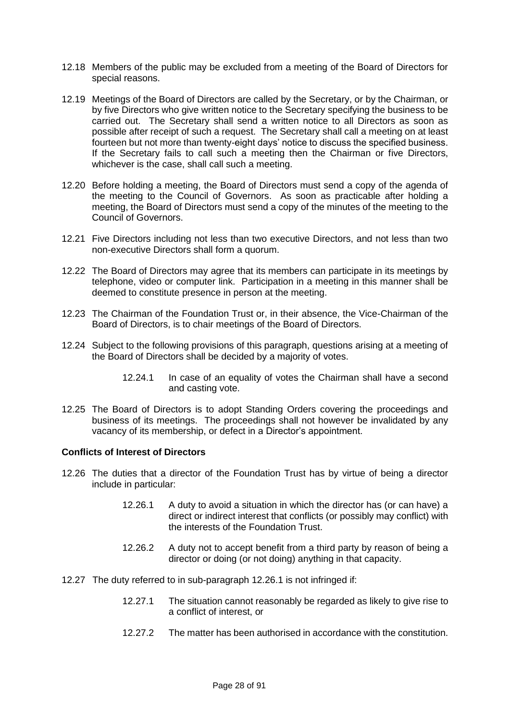- 12.18 Members of the public may be excluded from a meeting of the Board of Directors for special reasons.
- 12.19 Meetings of the Board of Directors are called by the Secretary, or by the Chairman, or by five Directors who give written notice to the Secretary specifying the business to be carried out. The Secretary shall send a written notice to all Directors as soon as possible after receipt of such a request. The Secretary shall call a meeting on at least fourteen but not more than twenty-eight days' notice to discuss the specified business. If the Secretary fails to call such a meeting then the Chairman or five Directors, whichever is the case, shall call such a meeting.
- 12.20 Before holding a meeting, the Board of Directors must send a copy of the agenda of the meeting to the Council of Governors. As soon as practicable after holding a meeting, the Board of Directors must send a copy of the minutes of the meeting to the Council of Governors.
- 12.21 Five Directors including not less than two executive Directors, and not less than two non-executive Directors shall form a quorum.
- 12.22 The Board of Directors may agree that its members can participate in its meetings by telephone, video or computer link. Participation in a meeting in this manner shall be deemed to constitute presence in person at the meeting.
- 12.23 The Chairman of the Foundation Trust or, in their absence, the Vice-Chairman of the Board of Directors, is to chair meetings of the Board of Directors.
- 12.24 Subject to the following provisions of this paragraph, questions arising at a meeting of the Board of Directors shall be decided by a majority of votes.
	- 12.24.1 In case of an equality of votes the Chairman shall have a second and casting vote.
- 12.25 The Board of Directors is to adopt Standing Orders covering the proceedings and business of its meetings. The proceedings shall not however be invalidated by any vacancy of its membership, or defect in a Director's appointment.

#### **Conflicts of Interest of Directors**

- 12.26 The duties that a director of the Foundation Trust has by virtue of being a director include in particular:
	- 12.26.1 A duty to avoid a situation in which the director has (or can have) a direct or indirect interest that conflicts (or possibly may conflict) with the interests of the Foundation Trust.
	- 12.26.2 A duty not to accept benefit from a third party by reason of being a director or doing (or not doing) anything in that capacity.
- 12.27 The duty referred to in sub-paragraph 12.26.1 is not infringed if:
	- 12.27.1 The situation cannot reasonably be regarded as likely to give rise to a conflict of interest, or
	- 12.27.2 The matter has been authorised in accordance with the constitution.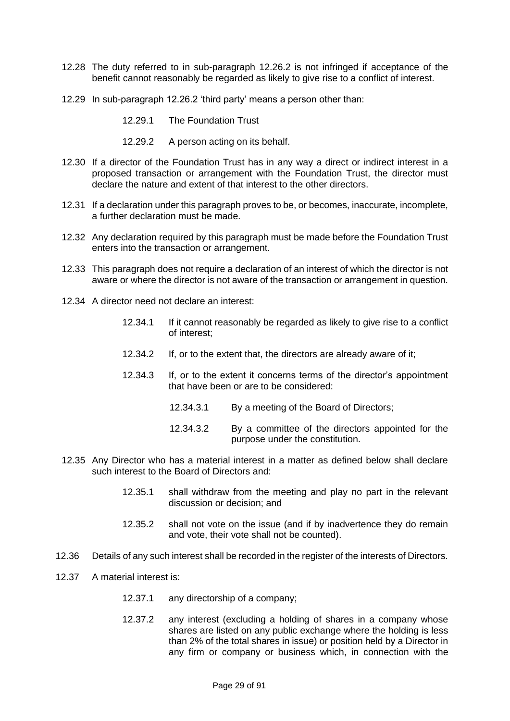- 12.28 The duty referred to in sub-paragraph 12.26.2 is not infringed if acceptance of the benefit cannot reasonably be regarded as likely to give rise to a conflict of interest.
- 12.29 In sub-paragraph 12.26.2 'third party' means a person other than:
	- 12.29.1 The Foundation Trust
	- 12.29.2 A person acting on its behalf.
- 12.30 If a director of the Foundation Trust has in any way a direct or indirect interest in a proposed transaction or arrangement with the Foundation Trust, the director must declare the nature and extent of that interest to the other directors.
- 12.31 If a declaration under this paragraph proves to be, or becomes, inaccurate, incomplete, a further declaration must be made.
- 12.32 Any declaration required by this paragraph must be made before the Foundation Trust enters into the transaction or arrangement.
- 12.33 This paragraph does not require a declaration of an interest of which the director is not aware or where the director is not aware of the transaction or arrangement in question.
- 12.34 A director need not declare an interest:
	- 12.34.1 If it cannot reasonably be regarded as likely to give rise to a conflict of interest;
	- 12.34.2 If, or to the extent that, the directors are already aware of it;
	- 12.34.3 If, or to the extent it concerns terms of the director's appointment that have been or are to be considered:
		- 12.34.3.1 By a meeting of the Board of Directors;
		- 12.34.3.2 By a committee of the directors appointed for the purpose under the constitution.
- 12.35 Any Director who has a material interest in a matter as defined below shall declare such interest to the Board of Directors and:
	- 12.35.1 shall withdraw from the meeting and play no part in the relevant discussion or decision; and
	- 12.35.2 shall not vote on the issue (and if by inadvertence they do remain and vote, their vote shall not be counted).
- 12.36 Details of any such interest shall be recorded in the register of the interests of Directors.
- 12.37 A material interest is:
	- 12.37.1 any directorship of a company;
	- 12.37.2 any interest (excluding a holding of shares in a company whose shares are listed on any public exchange where the holding is less than 2% of the total shares in issue) or position held by a Director in any firm or company or business which, in connection with the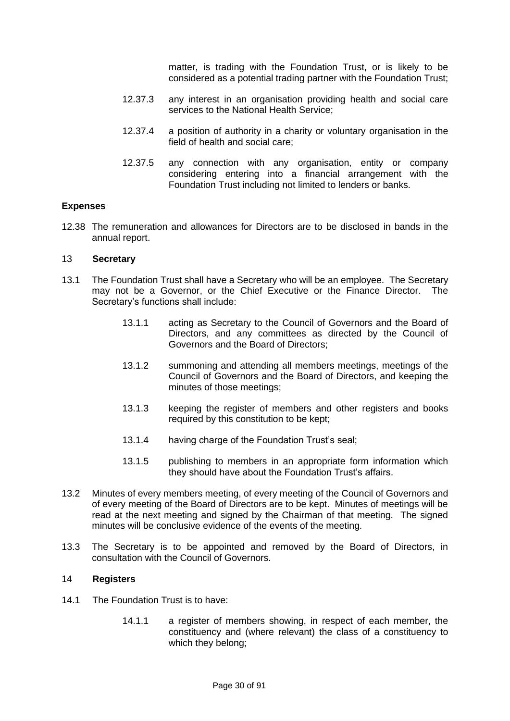matter, is trading with the Foundation Trust, or is likely to be considered as a potential trading partner with the Foundation Trust;

- 12.37.3 any interest in an organisation providing health and social care services to the National Health Service;
- 12.37.4 a position of authority in a charity or voluntary organisation in the field of health and social care;
- 12.37.5 any connection with any organisation, entity or company considering entering into a financial arrangement with the Foundation Trust including not limited to lenders or banks.

#### **Expenses**

12.38 The remuneration and allowances for Directors are to be disclosed in bands in the annual report.

#### <span id="page-29-0"></span>13 **Secretary**

- 13.1 The Foundation Trust shall have a Secretary who will be an employee. The Secretary may not be a Governor, or the Chief Executive or the Finance Director. The Secretary's functions shall include:
	- 13.1.1 acting as Secretary to the Council of Governors and the Board of Directors, and any committees as directed by the Council of Governors and the Board of Directors;
	- 13.1.2 summoning and attending all members meetings, meetings of the Council of Governors and the Board of Directors, and keeping the minutes of those meetings;
	- 13.1.3 keeping the register of members and other registers and books required by this constitution to be kept;
	- 13.1.4 having charge of the Foundation Trust's seal;
	- 13.1.5 publishing to members in an appropriate form information which they should have about the Foundation Trust's affairs.
- 13.2 Minutes of every members meeting, of every meeting of the Council of Governors and of every meeting of the Board of Directors are to be kept. Minutes of meetings will be read at the next meeting and signed by the Chairman of that meeting. The signed minutes will be conclusive evidence of the events of the meeting.
- 13.3 The Secretary is to be appointed and removed by the Board of Directors, in consultation with the Council of Governors.

#### <span id="page-29-1"></span>14 **Registers**

- 14.1 The Foundation Trust is to have:
	- 14.1.1 a register of members showing, in respect of each member, the constituency and (where relevant) the class of a constituency to which they belong;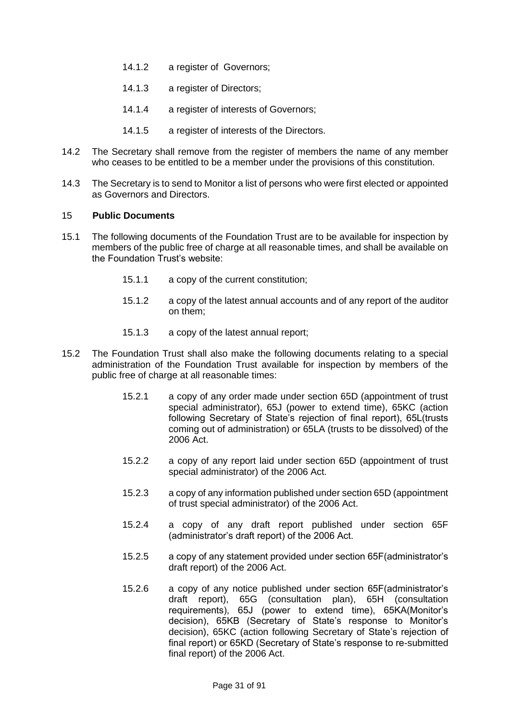- 14.1.2 a register of Governors;
- 14.1.3 a register of Directors;
- 14.1.4 a register of interests of Governors;
- 14.1.5 a register of interests of the Directors.
- 14.2 The Secretary shall remove from the register of members the name of any member who ceases to be entitled to be a member under the provisions of this constitution.
- 14.3 The Secretary is to send to Monitor a list of persons who were first elected or appointed as Governors and Directors.

#### <span id="page-30-0"></span>15 **Public Documents**

- 15.1 The following documents of the Foundation Trust are to be available for inspection by members of the public free of charge at all reasonable times, and shall be available on the Foundation Trust's website:
	- 15.1.1 a copy of the current constitution;
	- 15.1.2 a copy of the latest annual accounts and of any report of the auditor on them;
	- 15.1.3 a copy of the latest annual report;
- 15.2 The Foundation Trust shall also make the following documents relating to a special administration of the Foundation Trust available for inspection by members of the public free of charge at all reasonable times:
	- 15.2.1 a copy of any order made under section 65D (appointment of trust special administrator), 65J (power to extend time), 65KC (action following Secretary of State's rejection of final report), 65L (trusts coming out of administration) or 65LA (trusts to be dissolved) of the 2006 Act.
	- 15.2.2 a copy of any report laid under section 65D (appointment of trust special administrator) of the 2006 Act.
	- 15.2.3 a copy of any information published under section 65D (appointment of trust special administrator) of the 2006 Act.
	- 15.2.4 a copy of any draft report published under section 65F (administrator's draft report) of the 2006 Act.
	- 15.2.5 a copy of any statement provided under section 65F(administrator's draft report) of the 2006 Act.
	- 15.2.6 a copy of any notice published under section 65F(administrator's draft report), 65G (consultation plan), 65H (consultation requirements), 65J (power to extend time), 65KA(Monitor's decision), 65KB (Secretary of State's response to Monitor's decision), 65KC (action following Secretary of State's rejection of final report) or 65KD (Secretary of State's response to re-submitted final report) of the 2006 Act.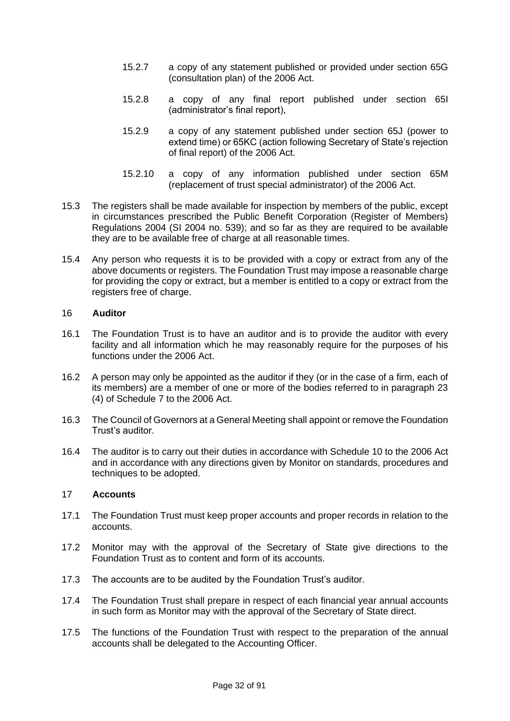- 15.2.7 a copy of any statement published or provided under section 65G (consultation plan) of the 2006 Act.
- 15.2.8 a copy of any final report published under section 65I (administrator's final report),
- 15.2.9 a copy of any statement published under section 65J (power to extend time) or 65KC (action following Secretary of State's rejection of final report) of the 2006 Act.
- 15.2.10 a copy of any information published under section 65M (replacement of trust special administrator) of the 2006 Act.
- 15.3 The registers shall be made available for inspection by members of the public, except in circumstances prescribed the Public Benefit Corporation (Register of Members) Regulations 2004 (SI 2004 no. 539); and so far as they are required to be available they are to be available free of charge at all reasonable times.
- 15.4 Any person who requests it is to be provided with a copy or extract from any of the above documents or registers. The Foundation Trust may impose a reasonable charge for providing the copy or extract, but a member is entitled to a copy or extract from the registers free of charge.

#### <span id="page-31-0"></span>16 **Auditor**

- 16.1 The Foundation Trust is to have an auditor and is to provide the auditor with every facility and all information which he may reasonably require for the purposes of his functions under the 2006 Act.
- 16.2 A person may only be appointed as the auditor if they (or in the case of a firm, each of its members) are a member of one or more of the bodies referred to in paragraph 23 (4) of Schedule 7 to the 2006 Act.
- 16.3 The Council of Governors at a General Meeting shall appoint or remove the Foundation Trust's auditor.
- 16.4 The auditor is to carry out their duties in accordance with Schedule 10 to the 2006 Act and in accordance with any directions given by Monitor on standards, procedures and techniques to be adopted.

#### <span id="page-31-1"></span>17 **Accounts**

- 17.1 The Foundation Trust must keep proper accounts and proper records in relation to the accounts.
- 17.2 Monitor may with the approval of the Secretary of State give directions to the Foundation Trust as to content and form of its accounts.
- 17.3 The accounts are to be audited by the Foundation Trust's auditor.
- 17.4 The Foundation Trust shall prepare in respect of each financial year annual accounts in such form as Monitor may with the approval of the Secretary of State direct.
- 17.5 The functions of the Foundation Trust with respect to the preparation of the annual accounts shall be delegated to the Accounting Officer.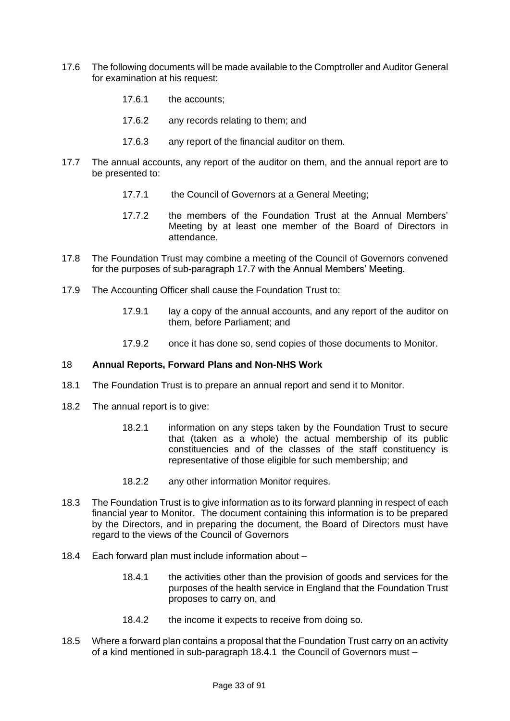- 17.6 The following documents will be made available to the Comptroller and Auditor General for examination at his request:
	- 17.6.1 the accounts;
	- 17.6.2 any records relating to them; and
	- 17.6.3 any report of the financial auditor on them.
- 17.7 The annual accounts, any report of the auditor on them, and the annual report are to be presented to:
	- 17.7.1 the Council of Governors at a General Meeting;
	- 17.7.2 the members of the Foundation Trust at the Annual Members' Meeting by at least one member of the Board of Directors in attendance.
- 17.8 The Foundation Trust may combine a meeting of the Council of Governors convened for the purposes of sub-paragraph 17.7 with the Annual Members' Meeting.
- 17.9 The Accounting Officer shall cause the Foundation Trust to:
	- 17.9.1 lay a copy of the annual accounts, and any report of the auditor on them, before Parliament; and
	- 17.9.2 once it has done so, send copies of those documents to Monitor.

#### <span id="page-32-0"></span>18 **Annual Reports, Forward Plans and Non-NHS Work**

- 18.1 The Foundation Trust is to prepare an annual report and send it to Monitor.
- 18.2 The annual report is to give:
	- 18.2.1 information on any steps taken by the Foundation Trust to secure that (taken as a whole) the actual membership of its public constituencies and of the classes of the staff constituency is representative of those eligible for such membership; and
	- 18.2.2 any other information Monitor requires.
- 18.3 The Foundation Trust is to give information as to its forward planning in respect of each financial year to Monitor. The document containing this information is to be prepared by the Directors, and in preparing the document, the Board of Directors must have regard to the views of the Council of Governors
- 18.4 Each forward plan must include information about
	- 18.4.1 the activities other than the provision of goods and services for the purposes of the health service in England that the Foundation Trust proposes to carry on, and
	- 18.4.2 the income it expects to receive from doing so.
- 18.5 Where a forward plan contains a proposal that the Foundation Trust carry on an activity of a kind mentioned in sub-paragraph 18.4.1 the Council of Governors must –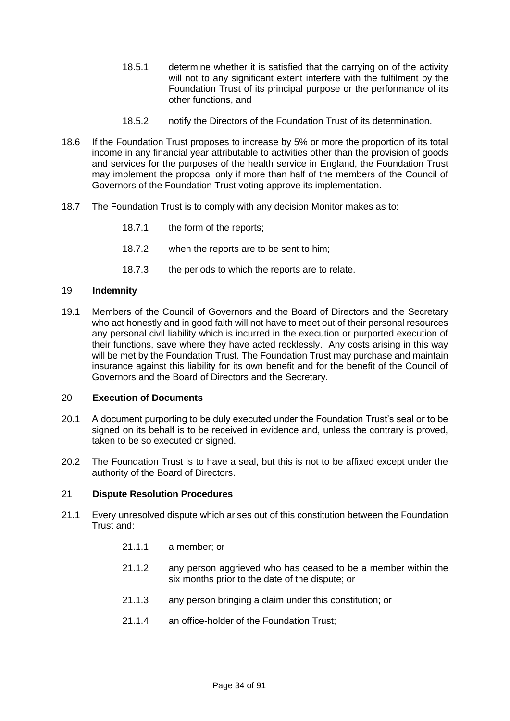- 18.5.1 determine whether it is satisfied that the carrying on of the activity will not to any significant extent interfere with the fulfilment by the Foundation Trust of its principal purpose or the performance of its other functions, and
- 18.5.2 notify the Directors of the Foundation Trust of its determination.
- 18.6 If the Foundation Trust proposes to increase by 5% or more the proportion of its total income in any financial year attributable to activities other than the provision of goods and services for the purposes of the health service in England, the Foundation Trust may implement the proposal only if more than half of the members of the Council of Governors of the Foundation Trust voting approve its implementation.
- 18.7 The Foundation Trust is to comply with any decision Monitor makes as to:
	- 18.7.1 the form of the reports;
	- 18.7.2 when the reports are to be sent to him;
	- 18.7.3 the periods to which the reports are to relate.

#### <span id="page-33-0"></span>19 **Indemnity**

19.1 Members of the Council of Governors and the Board of Directors and the Secretary who act honestly and in good faith will not have to meet out of their personal resources any personal civil liability which is incurred in the execution or purported execution of their functions, save where they have acted recklessly. Any costs arising in this way will be met by the Foundation Trust. The Foundation Trust may purchase and maintain insurance against this liability for its own benefit and for the benefit of the Council of Governors and the Board of Directors and the Secretary.

#### <span id="page-33-1"></span>20 **Execution of Documents**

- 20.1 A document purporting to be duly executed under the Foundation Trust's seal or to be signed on its behalf is to be received in evidence and, unless the contrary is proved, taken to be so executed or signed.
- 20.2 The Foundation Trust is to have a seal, but this is not to be affixed except under the authority of the Board of Directors.

#### <span id="page-33-2"></span>21 **Dispute Resolution Procedures**

- 21.1 Every unresolved dispute which arises out of this constitution between the Foundation Trust and:
	- 21.1.1 a member; or
	- 21.1.2 any person aggrieved who has ceased to be a member within the six months prior to the date of the dispute; or
	- 21.1.3 any person bringing a claim under this constitution; or
	- 21.1.4 an office-holder of the Foundation Trust;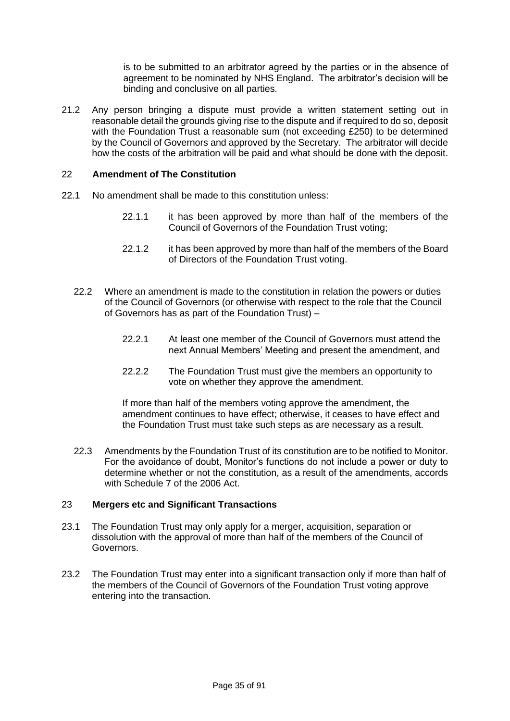is to be submitted to an arbitrator agreed by the parties or in the absence of agreement to be nominated by NHS England. The arbitrator's decision will be binding and conclusive on all parties.

21.2 Any person bringing a dispute must provide a written statement setting out in reasonable detail the grounds giving rise to the dispute and if required to do so, deposit with the Foundation Trust a reasonable sum (not exceeding £250) to be determined by the Council of Governors and approved by the Secretary. The arbitrator will decide how the costs of the arbitration will be paid and what should be done with the deposit.

#### <span id="page-34-0"></span>22 **Amendment of The Constitution**

- 22.1 No amendment shall be made to this constitution unless:
	- 22.1.1 it has been approved by more than half of the members of the Council of Governors of the Foundation Trust voting;
	- 22.1.2 it has been approved by more than half of the members of the Board of Directors of the Foundation Trust voting.
	- 22.2 Where an amendment is made to the constitution in relation the powers or duties of the Council of Governors (or otherwise with respect to the role that the Council of Governors has as part of the Foundation Trust) –
		- 22.2.1 At least one member of the Council of Governors must attend the next Annual Members' Meeting and present the amendment, and
		- 22.2.2 The Foundation Trust must give the members an opportunity to vote on whether they approve the amendment.

If more than half of the members voting approve the amendment, the amendment continues to have effect; otherwise, it ceases to have effect and the Foundation Trust must take such steps as are necessary as a result.

22.3 Amendments by the Foundation Trust of its constitution are to be notified to Monitor. For the avoidance of doubt, Monitor's functions do not include a power or duty to determine whether or not the constitution, as a result of the amendments, accords with Schedule 7 of the 2006 Act.

#### <span id="page-34-1"></span>23 **Mergers etc and Significant Transactions**

- 23.1 The Foundation Trust may only apply for a merger, acquisition, separation or dissolution with the approval of more than half of the members of the Council of Governors.
- 23.2 The Foundation Trust may enter into a significant transaction only if more than half of the members of the Council of Governors of the Foundation Trust voting approve entering into the transaction.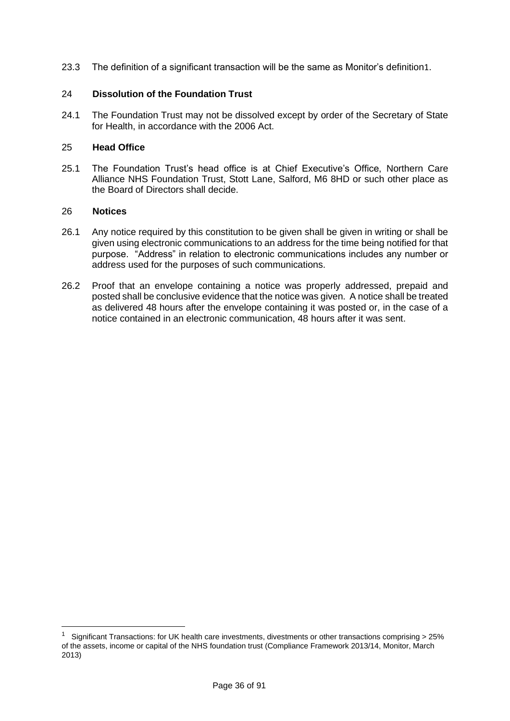23.3 The definition of a significant transaction will be the same as Monitor's definition1.

#### <span id="page-35-0"></span>24 **Dissolution of the Foundation Trust**

24.1 The Foundation Trust may not be dissolved except by order of the Secretary of State for Health, in accordance with the 2006 Act.

#### <span id="page-35-1"></span>25 **Head Office**

25.1 The Foundation Trust's head office is at Chief Executive's Office, Northern Care Alliance NHS Foundation Trust, Stott Lane, Salford, M6 8HD or such other place as the Board of Directors shall decide.

#### <span id="page-35-2"></span>26 **Notices**

- 26.1 Any notice required by this constitution to be given shall be given in writing or shall be given using electronic communications to an address for the time being notified for that purpose. "Address" in relation to electronic communications includes any number or address used for the purposes of such communications.
- 26.2 Proof that an envelope containing a notice was properly addressed, prepaid and posted shall be conclusive evidence that the notice was given. A notice shall be treated as delivered 48 hours after the envelope containing it was posted or, in the case of a notice contained in an electronic communication, 48 hours after it was sent.

<sup>&</sup>lt;sup>1</sup> Significant Transactions: for UK health care investments, divestments or other transactions comprising > 25% of the assets, income or capital of the NHS foundation trust (Compliance Framework 2013/14, Monitor, March 2013)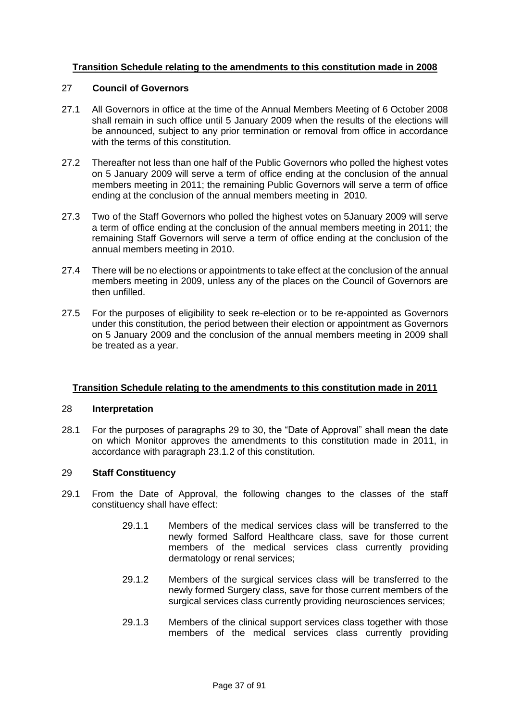# **Transition Schedule relating to the amendments to this constitution made in 2008**

### 27 **Council of Governors**

- 27.1 All Governors in office at the time of the Annual Members Meeting of 6 October 2008 shall remain in such office until 5 January 2009 when the results of the elections will be announced, subject to any prior termination or removal from office in accordance with the terms of this constitution.
- 27.2 Thereafter not less than one half of the Public Governors who polled the highest votes on 5 January 2009 will serve a term of office ending at the conclusion of the annual members meeting in 2011; the remaining Public Governors will serve a term of office ending at the conclusion of the annual members meeting in 2010.
- 27.3 Two of the Staff Governors who polled the highest votes on 5January 2009 will serve a term of office ending at the conclusion of the annual members meeting in 2011; the remaining Staff Governors will serve a term of office ending at the conclusion of the annual members meeting in 2010.
- 27.4 There will be no elections or appointments to take effect at the conclusion of the annual members meeting in 2009, unless any of the places on the Council of Governors are then unfilled.
- 27.5 For the purposes of eligibility to seek re-election or to be re-appointed as Governors under this constitution, the period between their election or appointment as Governors on 5 January 2009 and the conclusion of the annual members meeting in 2009 shall be treated as a year.

# **Transition Schedule relating to the amendments to this constitution made in 2011**

#### 28 **Interpretation**

28.1 For the purposes of paragraphs 29 to 30, the "Date of Approval" shall mean the date on which Monitor approves the amendments to this constitution made in 2011, in accordance with paragraph 23.1.2 of this constitution.

# 29 **Staff Constituency**

- 29.1 From the Date of Approval, the following changes to the classes of the staff constituency shall have effect:
	- 29.1.1 Members of the medical services class will be transferred to the newly formed Salford Healthcare class, save for those current members of the medical services class currently providing dermatology or renal services;
	- 29.1.2 Members of the surgical services class will be transferred to the newly formed Surgery class, save for those current members of the surgical services class currently providing neurosciences services;
	- 29.1.3 Members of the clinical support services class together with those members of the medical services class currently providing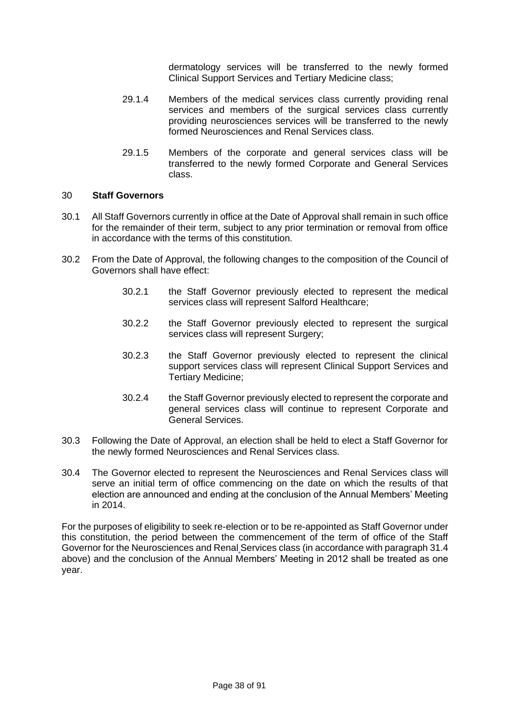dermatology services will be transferred to the newly formed Clinical Support Services and Tertiary Medicine class;

- 29.1.4 Members of the medical services class currently providing renal services and members of the surgical services class currently providing neurosciences services will be transferred to the newly formed Neurosciences and Renal Services class.
- 29.1.5 Members of the corporate and general services class will be transferred to the newly formed Corporate and General Services class.

### 30 **Staff Governors**

- 30.1 All Staff Governors currently in office at the Date of Approval shall remain in such office for the remainder of their term, subject to any prior termination or removal from office in accordance with the terms of this constitution.
- 30.2 From the Date of Approval, the following changes to the composition of the Council of Governors shall have effect:
	- 30.2.1 the Staff Governor previously elected to represent the medical services class will represent Salford Healthcare;
	- 30.2.2 the Staff Governor previously elected to represent the surgical services class will represent Surgery;
	- 30.2.3 the Staff Governor previously elected to represent the clinical support services class will represent Clinical Support Services and Tertiary Medicine;
	- 30.2.4 the Staff Governor previously elected to represent the corporate and general services class will continue to represent Corporate and General Services.
- 30.3 Following the Date of Approval, an election shall be held to elect a Staff Governor for the newly formed Neurosciences and Renal Services class.
- 30.4 The Governor elected to represent the Neurosciences and Renal Services class will serve an initial term of office commencing on the date on which the results of that election are announced and ending at the conclusion of the Annual Members' Meeting in 2014.

For the purposes of eligibility to seek re-election or to be re-appointed as Staff Governor under this constitution, the period between the commencement of the term of office of the Staff Governor for the Neurosciences and Renal Services class (in accordance with paragraph 31.4 above) and the conclusion of the Annual Members' Meeting in 2012 shall be treated as one year.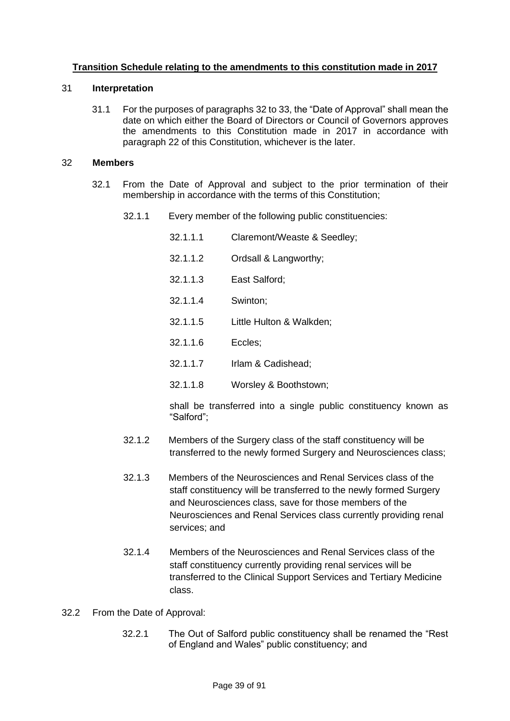# **Transition Schedule relating to the amendments to this constitution made in 2017**

### 31 **Interpretation**

31.1 For the purposes of paragraphs 32 to 33, the "Date of Approval" shall mean the date on which either the Board of Directors or Council of Governors approves the amendments to this Constitution made in 2017 in accordance with paragraph 22 of this Constitution, whichever is the later.

#### 32 **Members**

- 32.1 From the Date of Approval and subject to the prior termination of their membership in accordance with the terms of this Constitution;
	- 32.1.1 Every member of the following public constituencies:
		- 32.1.1.1 Claremont/Weaste & Seedley;
		- 32.1.1.2 Ordsall & Langworthy;
		- 32.1.1.3 East Salford;
		- 32.1.1.4 Swinton;
		- 32.1.1.5 Little Hulton & Walkden;
		- 32.1.1.6 Eccles;
		- 32.1.1.7 Irlam & Cadishead;
		- 32.1.1.8 Worsley & Boothstown;

shall be transferred into a single public constituency known as "Salford";

- 32.1.2 Members of the Surgery class of the staff constituency will be transferred to the newly formed Surgery and Neurosciences class;
- 32.1.3 Members of the Neurosciences and Renal Services class of the staff constituency will be transferred to the newly formed Surgery and Neurosciences class, save for those members of the Neurosciences and Renal Services class currently providing renal services; and
- 32.1.4 Members of the Neurosciences and Renal Services class of the staff constituency currently providing renal services will be transferred to the Clinical Support Services and Tertiary Medicine class.

#### 32.2 From the Date of Approval:

32.2.1 The Out of Salford public constituency shall be renamed the "Rest of England and Wales" public constituency; and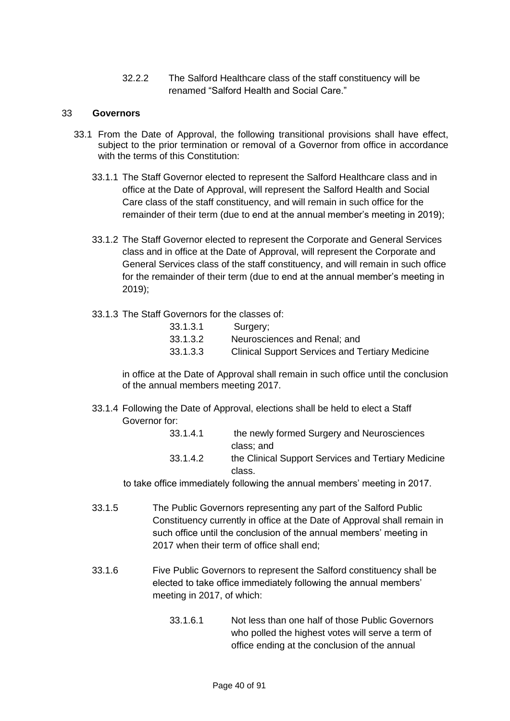32.2.2 The Salford Healthcare class of the staff constituency will be renamed "Salford Health and Social Care."

### 33 **Governors**

- 33.1 From the Date of Approval, the following transitional provisions shall have effect, subject to the prior termination or removal of a Governor from office in accordance with the terms of this Constitution:
	- 33.1.1 The Staff Governor elected to represent the Salford Healthcare class and in office at the Date of Approval, will represent the Salford Health and Social Care class of the staff constituency, and will remain in such office for the remainder of their term (due to end at the annual member's meeting in 2019);
	- 33.1.2 The Staff Governor elected to represent the Corporate and General Services class and in office at the Date of Approval, will represent the Corporate and General Services class of the staff constituency, and will remain in such office for the remainder of their term (due to end at the annual member's meeting in 2019);
	- 33.1.3 The Staff Governors for the classes of:

| 33.1.3.1 | Surgery;                                               |
|----------|--------------------------------------------------------|
| 33.1.3.2 | Neurosciences and Renal; and                           |
| 33.1.3.3 | <b>Clinical Support Services and Tertiary Medicine</b> |

in office at the Date of Approval shall remain in such office until the conclusion of the annual members meeting 2017.

33.1.4 Following the Date of Approval, elections shall be held to elect a Staff Governor for:

| 33.1.4.1 | the newly formed Surgery and Neurosciences      |  |
|----------|-------------------------------------------------|--|
|          | class: and                                      |  |
| 22.112   | the Clinical Cunnet Cemicae and Textics (Medici |  |

33.1.4.2 the Clinical Support Services and Tertiary Medicine class.

to take office immediately following the annual members' meeting in 2017.

- 33.1.5 The Public Governors representing any part of the Salford Public Constituency currently in office at the Date of Approval shall remain in such office until the conclusion of the annual members' meeting in 2017 when their term of office shall end;
- 33.1.6 Five Public Governors to represent the Salford constituency shall be elected to take office immediately following the annual members' meeting in 2017, of which:
	- 33.1.6.1 Not less than one half of those Public Governors who polled the highest votes will serve a term of office ending at the conclusion of the annual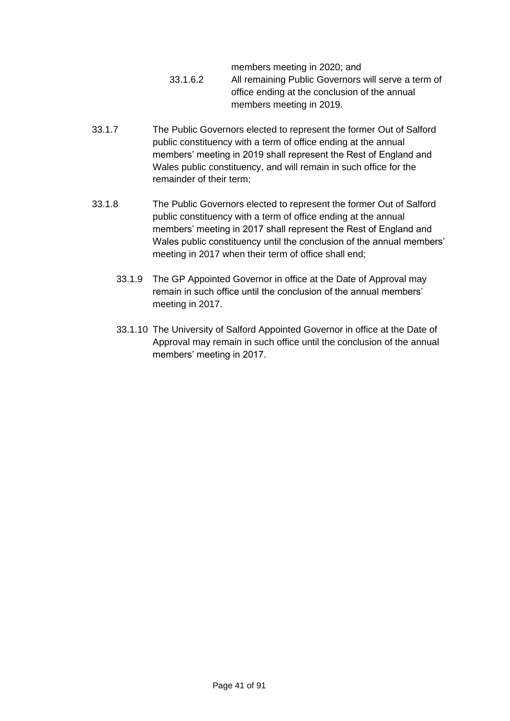- members meeting in 2020; and 33.1.6.2 All remaining Public Governors will serve a term of office ending at the conclusion of the annual members meeting in 2019.
- 33.1.7 The Public Governors elected to represent the former Out of Salford public constituency with a term of office ending at the annual members' meeting in 2019 shall represent the Rest of England and Wales public constituency, and will remain in such office for the remainder of their term;
- 33.1.8 The Public Governors elected to represent the former Out of Salford public constituency with a term of office ending at the annual members' meeting in 2017 shall represent the Rest of England and Wales public constituency until the conclusion of the annual members' meeting in 2017 when their term of office shall end;
	- 33.1.9 The GP Appointed Governor in office at the Date of Approval may remain in such office until the conclusion of the annual members' meeting in 2017.
	- 33.1.10 The University of Salford Appointed Governor in office at the Date of Approval may remain in such office until the conclusion of the annual members' meeting in 2017.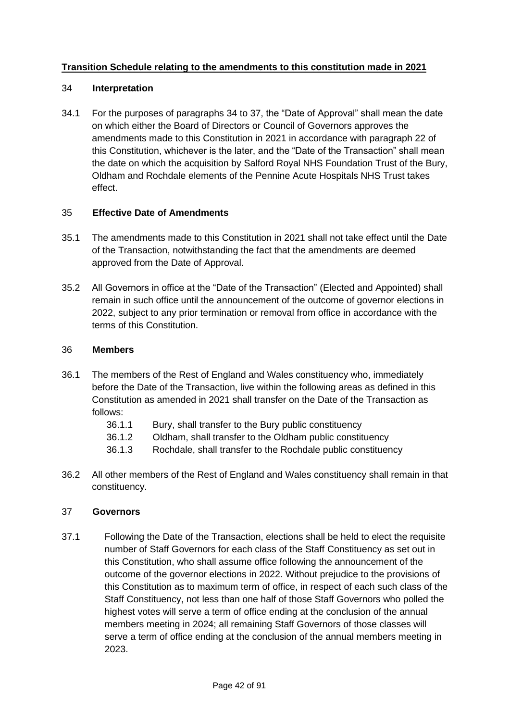# **Transition Schedule relating to the amendments to this constitution made in 2021**

# 34 **Interpretation**

34.1 For the purposes of paragraphs 34 to 37, the "Date of Approval" shall mean the date on which either the Board of Directors or Council of Governors approves the amendments made to this Constitution in 2021 in accordance with paragraph 22 of this Constitution, whichever is the later, and the "Date of the Transaction" shall mean the date on which the acquisition by Salford Royal NHS Foundation Trust of the Bury, Oldham and Rochdale elements of the Pennine Acute Hospitals NHS Trust takes effect.

# 35 **Effective Date of Amendments**

- 35.1 The amendments made to this Constitution in 2021 shall not take effect until the Date of the Transaction, notwithstanding the fact that the amendments are deemed approved from the Date of Approval.
- 35.2 All Governors in office at the "Date of the Transaction" (Elected and Appointed) shall remain in such office until the announcement of the outcome of governor elections in 2022, subject to any prior termination or removal from office in accordance with the terms of this Constitution.

### 36 **Members**

- 36.1 The members of the Rest of England and Wales constituency who, immediately before the Date of the Transaction, live within the following areas as defined in this Constitution as amended in 2021 shall transfer on the Date of the Transaction as follows:
	- 36.1.1 Bury, shall transfer to the Bury public constituency
	- 36.1.2 Oldham, shall transfer to the Oldham public constituency
	- 36.1.3 Rochdale, shall transfer to the Rochdale public constituency
- 36.2 All other members of the Rest of England and Wales constituency shall remain in that constituency.

# 37 **Governors**

37.1 Following the Date of the Transaction, elections shall be held to elect the requisite number of Staff Governors for each class of the Staff Constituency as set out in this Constitution, who shall assume office following the announcement of the outcome of the governor elections in 2022. Without prejudice to the provisions of this Constitution as to maximum term of office, in respect of each such class of the Staff Constituency, not less than one half of those Staff Governors who polled the highest votes will serve a term of office ending at the conclusion of the annual members meeting in 2024; all remaining Staff Governors of those classes will serve a term of office ending at the conclusion of the annual members meeting in 2023.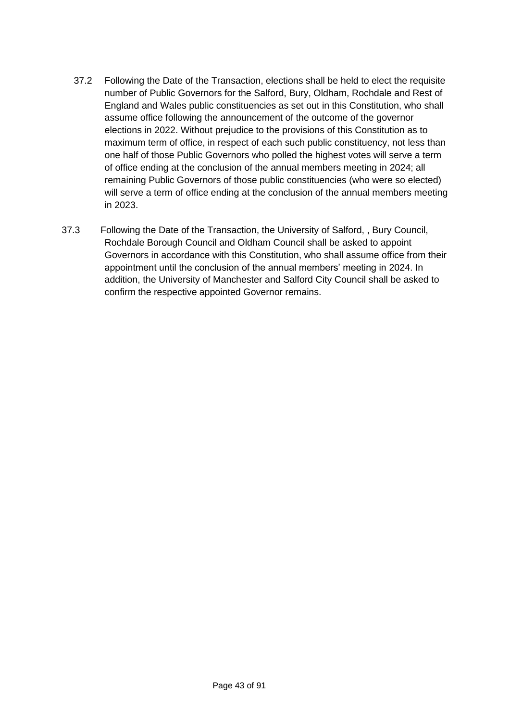- 37.2 Following the Date of the Transaction, elections shall be held to elect the requisite number of Public Governors for the Salford, Bury, Oldham, Rochdale and Rest of England and Wales public constituencies as set out in this Constitution, who shall assume office following the announcement of the outcome of the governor elections in 2022. Without prejudice to the provisions of this Constitution as to maximum term of office, in respect of each such public constituency, not less than one half of those Public Governors who polled the highest votes will serve a term of office ending at the conclusion of the annual members meeting in 2024; all remaining Public Governors of those public constituencies (who were so elected) will serve a term of office ending at the conclusion of the annual members meeting in 2023.
- 37.3 Following the Date of the Transaction, the University of Salford, , Bury Council, Rochdale Borough Council and Oldham Council shall be asked to appoint Governors in accordance with this Constitution, who shall assume office from their appointment until the conclusion of the annual members' meeting in 2024. In addition, the University of Manchester and Salford City Council shall be asked to confirm the respective appointed Governor remains.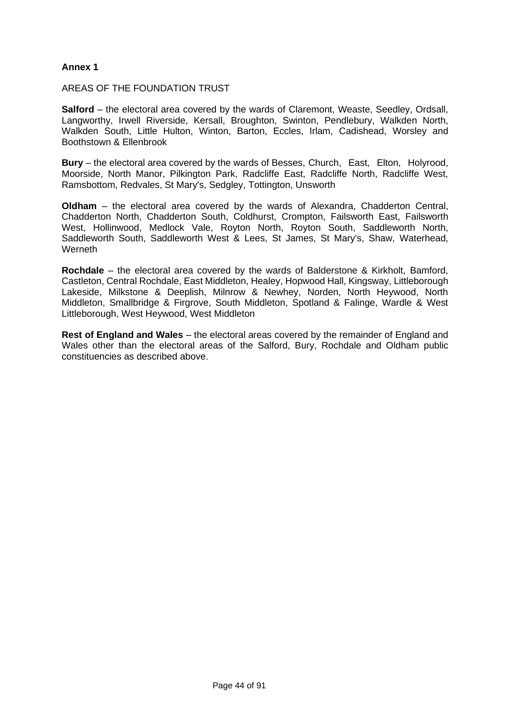### **Annex 1**

AREAS OF THE FOUNDATION TRUST

**Salford** – the electoral area covered by the wards of Claremont, Weaste, Seedley, Ordsall, Langworthy, Irwell Riverside, Kersall, Broughton, Swinton, Pendlebury, Walkden North, Walkden South, Little Hulton, Winton, Barton, Eccles, Irlam, Cadishead, Worsley and Boothstown & Ellenbrook

**Bury** – the electoral area covered by the wards of Besses, Church, East, Elton, Holyrood, Moorside, North Manor, Pilkington Park, Radcliffe East, Radcliffe North, Radcliffe West, Ramsbottom, Redvales, St Mary's, Sedgley, Tottington, Unsworth

**Oldham** – the electoral area covered by the wards of Alexandra, Chadderton Central, Chadderton North, Chadderton South, Coldhurst, Crompton, Failsworth East, Failsworth West, Hollinwood, Medlock Vale, Royton North, Royton South, Saddleworth North, Saddleworth South, Saddleworth West & Lees, St James, St Mary's, Shaw, Waterhead, Werneth

**Rochdale** – the electoral area covered by the wards of Balderstone & Kirkholt, Bamford, Castleton, Central Rochdale, East Middleton, Healey, Hopwood Hall, Kingsway, Littleborough Lakeside, Milkstone & Deeplish, Milnrow & Newhey, Norden, North Heywood, North Middleton, Smallbridge & Firgrove, South Middleton, Spotland & Falinge, Wardle & West Littleborough, West Heywood, West Middleton

**Rest of England and Wales** – the electoral areas covered by the remainder of England and Wales other than the electoral areas of the Salford, Bury, Rochdale and Oldham public constituencies as described above.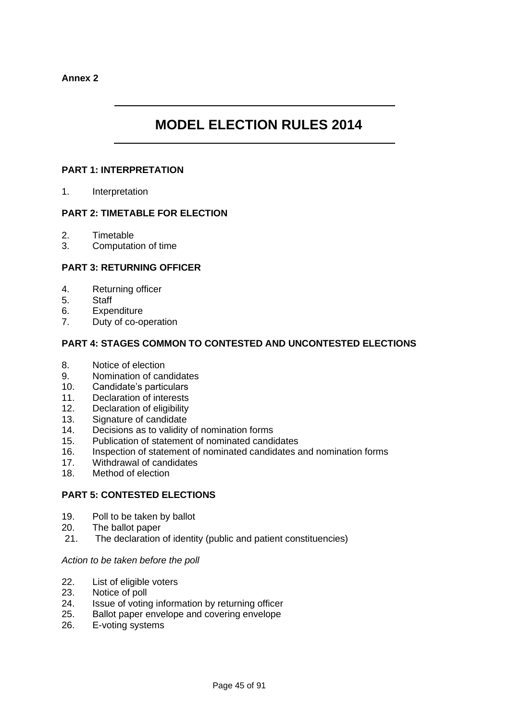# **MODEL ELECTION RULES 2014**

# **PART 1: INTERPRETATION**

1. Interpretation

### **PART 2: TIMETABLE FOR ELECTION**

- 2. Timetable
- 3. Computation of time

### **PART 3: RETURNING OFFICER**

- 4. Returning officer
- 5. Staff
- 6. Expenditure
- 7. Duty of co-operation

### **PART 4: STAGES COMMON TO CONTESTED AND UNCONTESTED ELECTIONS**

- 8. Notice of election
- 9. Nomination of candidates
- 10. Candidate's particulars
- 11. Declaration of interests
- 12. Declaration of eligibility
- 13. Signature of candidate
- 14. Decisions as to validity of nomination forms
- 15. Publication of statement of nominated candidates
- 16. Inspection of statement of nominated candidates and nomination forms
- 17. Withdrawal of candidates
- 18. Method of election

# **PART 5: CONTESTED ELECTIONS**

- 19. Poll to be taken by ballot
- 20. The ballot paper
- 21. The declaration of identity (public and patient constituencies)

#### *Action to be taken before the poll*

- 22. List of eligible voters
- 23. Notice of poll
- 24. Issue of voting information by returning officer
- 25. Ballot paper envelope and covering envelope
- 26. E-voting systems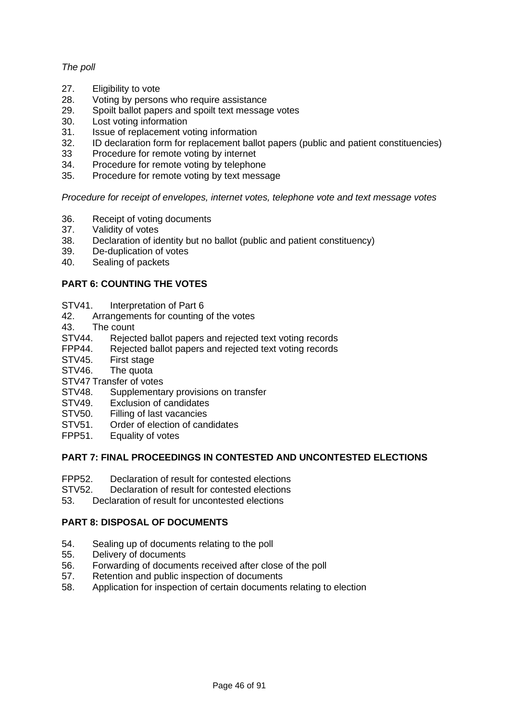# *The poll*

- 27. Eligibility to vote
- 28. Voting by persons who require assistance
- 29. Spoilt ballot papers and spoilt text message votes
- 30. Lost voting information
- 31. Issue of replacement voting information
- 32. ID declaration form for replacement ballot papers (public and patient constituencies)
- 33 Procedure for remote voting by internet
- 34. Procedure for remote voting by telephone
- 35. Procedure for remote voting by text message

*Procedure for receipt of envelopes, internet votes, telephone vote and text message votes*

- 36. Receipt of voting documents
- 37. Validity of votes
- 38. Declaration of identity but no ballot (public and patient constituency)
- 39. De-duplication of votes
- 40. Sealing of packets

# **PART 6: COUNTING THE VOTES**

- STV41. Interpretation of Part 6
- 42. Arrangements for counting of the votes
- 43. The count
- STV44. Rejected ballot papers and rejected text voting records
- FPP44. Rejected ballot papers and rejected text voting records
- STV45. First stage
- STV46. The quota
- STV47 Transfer of votes
- STV48. Supplementary provisions on transfer
- STV49. Exclusion of candidates
- STV50. Filling of last vacancies
- STV51. Order of election of candidates
- FPP51. Equality of votes

# **PART 7: FINAL PROCEEDINGS IN CONTESTED AND UNCONTESTED ELECTIONS**

- FPP52. Declaration of result for contested elections
- STV52. Declaration of result for contested elections
- 53. Declaration of result for uncontested elections

# **PART 8: DISPOSAL OF DOCUMENTS**

- 54. Sealing up of documents relating to the poll
- 55. Delivery of documents
- 56. Forwarding of documents received after close of the poll
- 57. Retention and public inspection of documents
- 58. Application for inspection of certain documents relating to election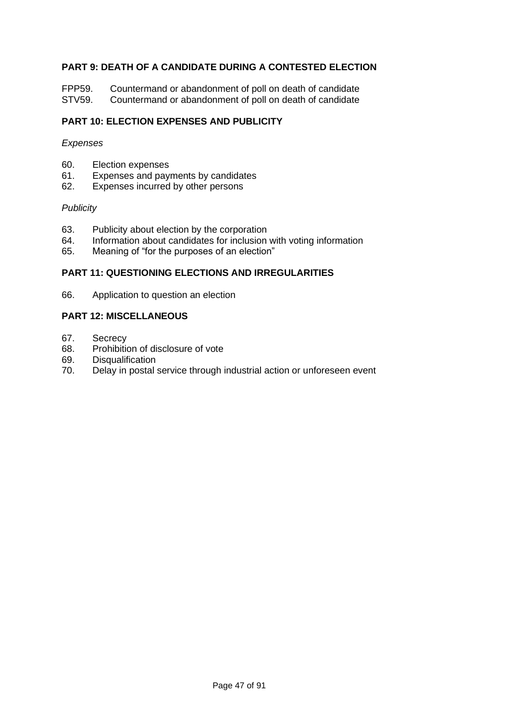# **PART 9: DEATH OF A CANDIDATE DURING A CONTESTED ELECTION**

FPP59. Countermand or abandonment of poll on death of candidate<br>STV59. Countermand or abandonment of poll on death of candidate Countermand or abandonment of poll on death of candidate

# **PART 10: ELECTION EXPENSES AND PUBLICITY**

### *Expenses*

- 60. Election expenses
- 61. Expenses and payments by candidates 62. Expenses incurred by other persons
- Expenses incurred by other persons

#### *Publicity*

- 63. Publicity about election by the corporation
- 64. Information about candidates for inclusion with voting information
- 65. Meaning of "for the purposes of an election"

### **PART 11: QUESTIONING ELECTIONS AND IRREGULARITIES**

66. Application to question an election

# **PART 12: MISCELLANEOUS**

- 67. Secrecy
- 68. Prohibition of disclosure of vote
- 69. Disqualification
- 70. Delay in postal service through industrial action or unforeseen event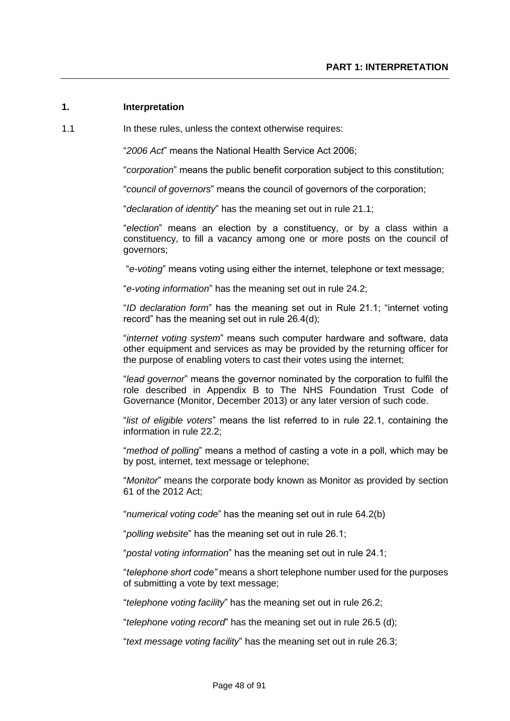#### **1. Interpretation**

1.1 In these rules, unless the context otherwise requires:

"*2006 Act*" means the National Health Service Act 2006;

"*corporation*" means the public benefit corporation subject to this constitution;

"*council of governors*" means the council of governors of the corporation;

"*declaration of identity*" has the meaning set out in rule 21.1;

"*election*" means an election by a constituency, or by a class within a constituency, to fill a vacancy among one or more posts on the council of governors;

"*e-voting*" means voting using either the internet, telephone or text message;

"*e-voting information*" has the meaning set out in rule 24.2;

"*ID declaration form*" has the meaning set out in Rule 21.1; "internet voting record" has the meaning set out in rule 26.4(d);

"*internet voting system*" means such computer hardware and software, data other equipment and services as may be provided by the returning officer for the purpose of enabling voters to cast their votes using the internet;

"*lead governor*" means the governor nominated by the corporation to fulfil the role described in Appendix B to The NHS Foundation Trust Code of Governance (Monitor, December 2013) or any later version of such code.

"*list of eligible voters*" means the list referred to in rule 22.1, containing the information in rule 22.2;

"*method of polling*" means a method of casting a vote in a poll, which may be by post, internet, text message or telephone;

"*Monitor*" means the corporate body known as Monitor as provided by section 61 of the 2012 Act;

"*numerical voting code*" has the meaning set out in rule 64.2(b)

"*polling website*" has the meaning set out in rule 26.1;

"*postal voting information*" has the meaning set out in rule 24.1;

"*telephone short code"* means a short telephone number used for the purposes of submitting a vote by text message;

"*telephone voting facility*" has the meaning set out in rule 26.2;

"*telephone voting record*" has the meaning set out in rule 26.5 (d);

"*text message voting facility*" has the meaning set out in rule 26.3;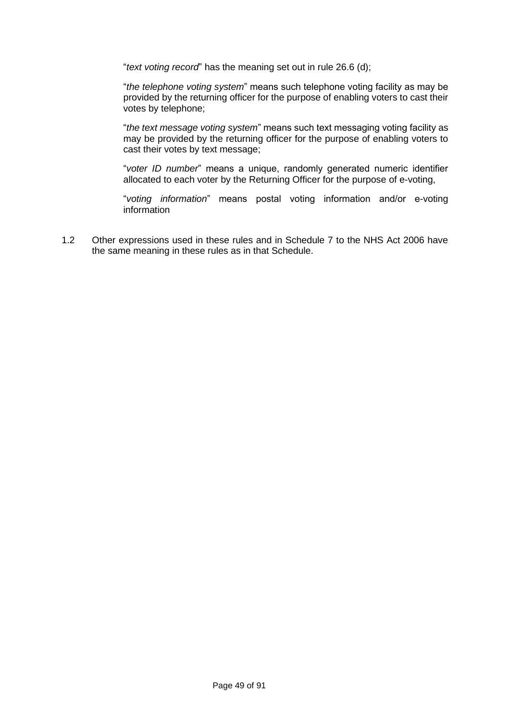"*text voting record*" has the meaning set out in rule 26.6 (d);

"*the telephone voting system*" means such telephone voting facility as may be provided by the returning officer for the purpose of enabling voters to cast their votes by telephone;

"*the text message voting system*" means such text messaging voting facility as may be provided by the returning officer for the purpose of enabling voters to cast their votes by text message;

"*voter ID number*" means a unique, randomly generated numeric identifier allocated to each voter by the Returning Officer for the purpose of e-voting,

"*voting information*" means postal voting information and/or e-voting information

1.2 Other expressions used in these rules and in Schedule 7 to the NHS Act 2006 have the same meaning in these rules as in that Schedule.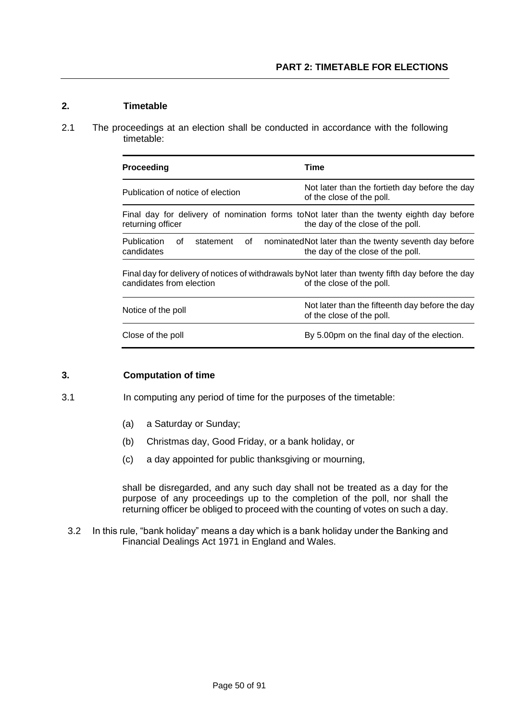# **2. Timetable**

2.1 The proceedings at an election shall be conducted in accordance with the following timetable:

| <b>Proceeding</b>                                         | Time                                                                                                                            |
|-----------------------------------------------------------|---------------------------------------------------------------------------------------------------------------------------------|
| Publication of notice of election                         | Not later than the fortieth day before the day<br>of the close of the poll.                                                     |
| returning officer                                         | Final day for delivery of nomination forms to Not later than the twenty eighth day before<br>the day of the close of the poll.  |
| <b>Publication</b><br>statement<br>of<br>οf<br>candidates | nominated Not later than the twenty seventh day before<br>the day of the close of the poll.                                     |
| candidates from election                                  | Final day for delivery of notices of withdrawals by Not later than twenty fifth day before the day<br>of the close of the poll. |
| Notice of the poll                                        | Not later than the fifteenth day before the day<br>of the close of the poll.                                                    |
| Close of the poll                                         | By 5.00pm on the final day of the election.                                                                                     |

# **3. Computation of time**

- 3.1 In computing any period of time for the purposes of the timetable:
	- (a) a Saturday or Sunday;
	- (b) Christmas day, Good Friday, or a bank holiday, or
	- (c) a day appointed for public thanksgiving or mourning,

shall be disregarded, and any such day shall not be treated as a day for the purpose of any proceedings up to the completion of the poll, nor shall the returning officer be obliged to proceed with the counting of votes on such a day.

3.2 In this rule, "bank holiday" means a day which is a bank holiday under the Banking and Financial Dealings Act 1971 in England and Wales.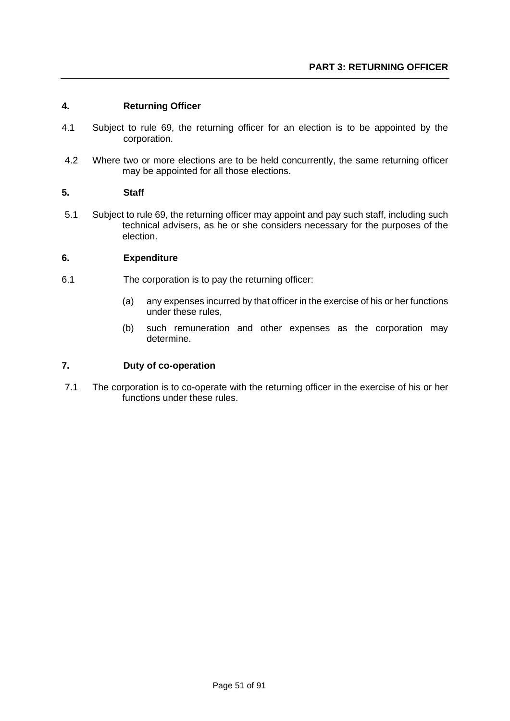# **4. Returning Officer**

- 4.1 Subject to rule 69, the returning officer for an election is to be appointed by the corporation.
- 4.2 Where two or more elections are to be held concurrently, the same returning officer may be appointed for all those elections.

### **5. Staff**

5.1 Subject to rule 69, the returning officer may appoint and pay such staff, including such technical advisers, as he or she considers necessary for the purposes of the election.

### **6. Expenditure**

- 6.1 The corporation is to pay the returning officer:
	- (a) any expenses incurred by that officer in the exercise of his or her functions under these rules,
	- (b) such remuneration and other expenses as the corporation may determine.

# **7. Duty of co-operation**

7.1 The corporation is to co-operate with the returning officer in the exercise of his or her functions under these rules.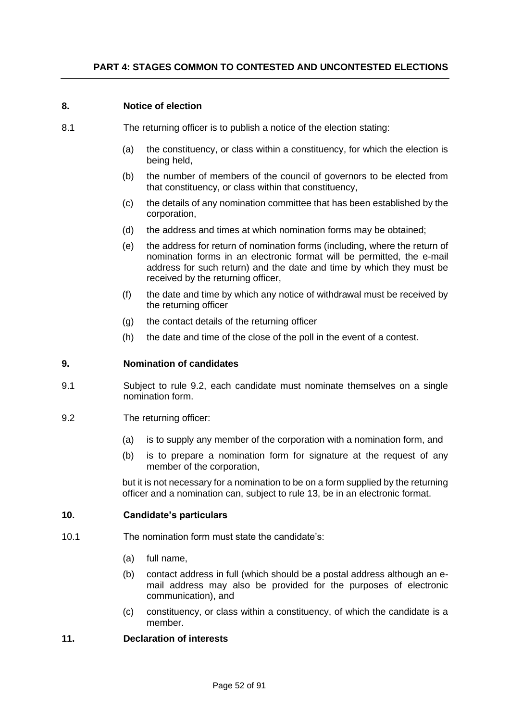### **8. Notice of election**

- 8.1 The returning officer is to publish a notice of the election stating:
	- (a) the constituency, or class within a constituency, for which the election is being held,
	- (b) the number of members of the council of governors to be elected from that constituency, or class within that constituency,
	- (c) the details of any nomination committee that has been established by the corporation,
	- (d) the address and times at which nomination forms may be obtained;
	- (e) the address for return of nomination forms (including, where the return of nomination forms in an electronic format will be permitted, the e-mail address for such return) and the date and time by which they must be received by the returning officer,
	- (f) the date and time by which any notice of withdrawal must be received by the returning officer
	- (g) the contact details of the returning officer
	- (h) the date and time of the close of the poll in the event of a contest.

### **9. Nomination of candidates**

- 9.1 Subject to rule 9.2, each candidate must nominate themselves on a single nomination form.
- 9.2 The returning officer:
	- (a) is to supply any member of the corporation with a nomination form, and
	- (b) is to prepare a nomination form for signature at the request of any member of the corporation,

but it is not necessary for a nomination to be on a form supplied by the returning officer and a nomination can, subject to rule 13, be in an electronic format.

#### **10. Candidate's particulars**

- 10.1 The nomination form must state the candidate's:
	- (a) full name,
	- (b) contact address in full (which should be a postal address although an email address may also be provided for the purposes of electronic communication), and
	- (c) constituency, or class within a constituency, of which the candidate is a member.

# **11. Declaration of interests**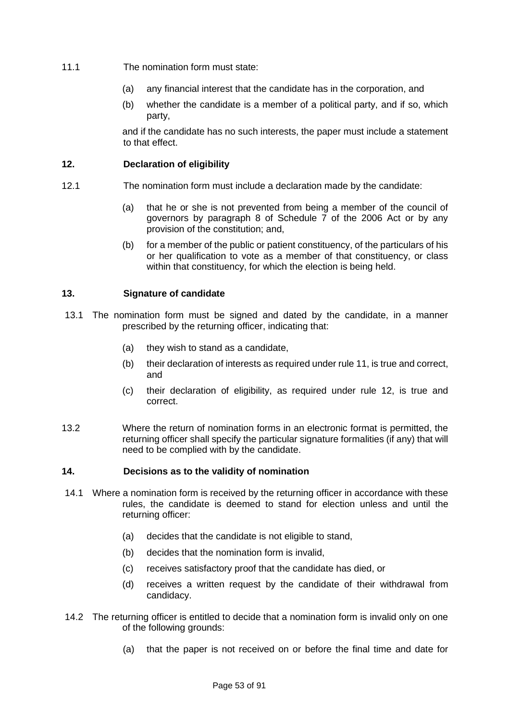- 11.1 The nomination form must state:
	- (a) any financial interest that the candidate has in the corporation, and
	- (b) whether the candidate is a member of a political party, and if so, which party,

and if the candidate has no such interests, the paper must include a statement to that effect.

# **12. Declaration of eligibility**

- 12.1 The nomination form must include a declaration made by the candidate:
	- (a) that he or she is not prevented from being a member of the council of governors by paragraph 8 of Schedule 7 of the 2006 Act or by any provision of the constitution; and,
	- (b) for a member of the public or patient constituency, of the particulars of his or her qualification to vote as a member of that constituency, or class within that constituency, for which the election is being held.

# **13. Signature of candidate**

- 13.1 The nomination form must be signed and dated by the candidate, in a manner prescribed by the returning officer, indicating that:
	- (a) they wish to stand as a candidate,
	- (b) their declaration of interests as required under rule 11, is true and correct, and
	- (c) their declaration of eligibility, as required under rule 12, is true and correct.
- 13.2 Where the return of nomination forms in an electronic format is permitted, the returning officer shall specify the particular signature formalities (if any) that will need to be complied with by the candidate.

# **14. Decisions as to the validity of nomination**

- 14.1 Where a nomination form is received by the returning officer in accordance with these rules, the candidate is deemed to stand for election unless and until the returning officer:
	- (a) decides that the candidate is not eligible to stand,
	- (b) decides that the nomination form is invalid,
	- (c) receives satisfactory proof that the candidate has died, or
	- (d) receives a written request by the candidate of their withdrawal from candidacy.
- 14.2 The returning officer is entitled to decide that a nomination form is invalid only on one of the following grounds:
	- (a) that the paper is not received on or before the final time and date for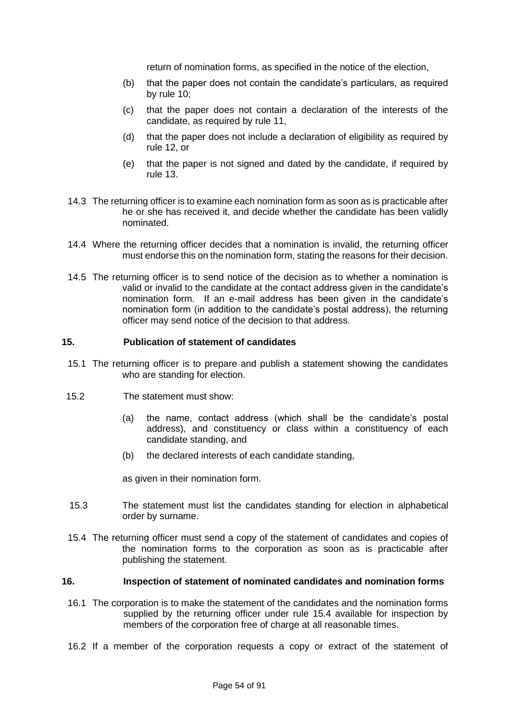return of nomination forms, as specified in the notice of the election,

- (b) that the paper does not contain the candidate's particulars, as required by rule 10;
- (c) that the paper does not contain a declaration of the interests of the candidate, as required by rule 11,
- (d) that the paper does not include a declaration of eligibility as required by rule 12, or
- (e) that the paper is not signed and dated by the candidate, if required by rule 13.
- 14.3 The returning officer is to examine each nomination form as soon as is practicable after he or she has received it, and decide whether the candidate has been validly nominated.
- 14.4 Where the returning officer decides that a nomination is invalid, the returning officer must endorse this on the nomination form, stating the reasons for their decision.
- 14.5 The returning officer is to send notice of the decision as to whether a nomination is valid or invalid to the candidate at the contact address given in the candidate's nomination form. If an e-mail address has been given in the candidate's nomination form (in addition to the candidate's postal address), the returning officer may send notice of the decision to that address.

### **15. Publication of statement of candidates**

- 15.1 The returning officer is to prepare and publish a statement showing the candidates who are standing for election.
- 15.2 The statement must show:
	- (a) the name, contact address (which shall be the candidate's postal address), and constituency or class within a constituency of each candidate standing, and
	- (b) the declared interests of each candidate standing,

as given in their nomination form.

- 15.3 The statement must list the candidates standing for election in alphabetical order by surname.
- 15.4 The returning officer must send a copy of the statement of candidates and copies of the nomination forms to the corporation as soon as is practicable after publishing the statement.

#### **16. Inspection of statement of nominated candidates and nomination forms**

- 16.1 The corporation is to make the statement of the candidates and the nomination forms supplied by the returning officer under rule 15.4 available for inspection by members of the corporation free of charge at all reasonable times.
- 16.2 If a member of the corporation requests a copy or extract of the statement of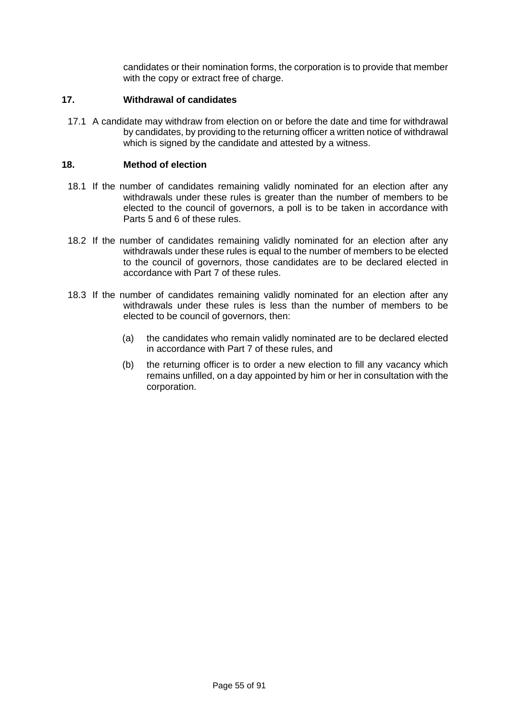candidates or their nomination forms, the corporation is to provide that member with the copy or extract free of charge.

# **17. Withdrawal of candidates**

17.1 A candidate may withdraw from election on or before the date and time for withdrawal by candidates, by providing to the returning officer a written notice of withdrawal which is signed by the candidate and attested by a witness.

### **18. Method of election**

- 18.1 If the number of candidates remaining validly nominated for an election after any withdrawals under these rules is greater than the number of members to be elected to the council of governors, a poll is to be taken in accordance with Parts 5 and 6 of these rules.
- 18.2 If the number of candidates remaining validly nominated for an election after any withdrawals under these rules is equal to the number of members to be elected to the council of governors, those candidates are to be declared elected in accordance with Part 7 of these rules.
- 18.3 If the number of candidates remaining validly nominated for an election after any withdrawals under these rules is less than the number of members to be elected to be council of governors, then:
	- (a) the candidates who remain validly nominated are to be declared elected in accordance with Part 7 of these rules, and
	- (b) the returning officer is to order a new election to fill any vacancy which remains unfilled, on a day appointed by him or her in consultation with the corporation.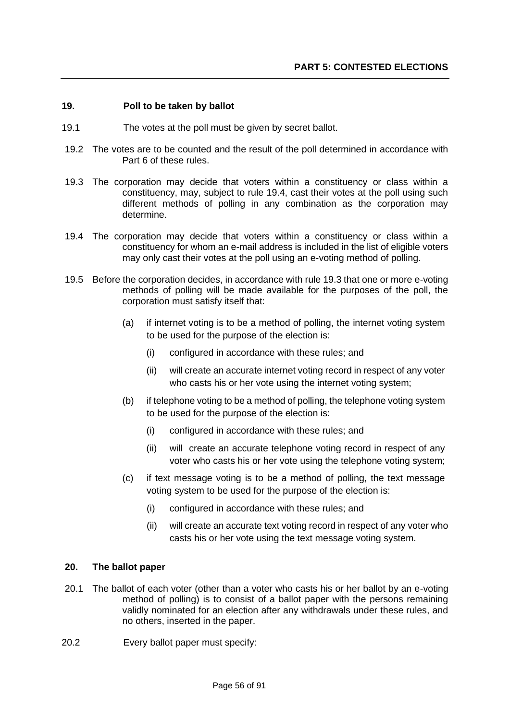### **19. Poll to be taken by ballot**

- 19.1 The votes at the poll must be given by secret ballot.
- 19.2 The votes are to be counted and the result of the poll determined in accordance with Part 6 of these rules.
- 19.3 The corporation may decide that voters within a constituency or class within a constituency, may, subject to rule 19.4, cast their votes at the poll using such different methods of polling in any combination as the corporation may determine.
- 19.4 The corporation may decide that voters within a constituency or class within a constituency for whom an e-mail address is included in the list of eligible voters may only cast their votes at the poll using an e-voting method of polling.
- 19.5 Before the corporation decides, in accordance with rule 19.3 that one or more e-voting methods of polling will be made available for the purposes of the poll, the corporation must satisfy itself that:
	- (a) if internet voting is to be a method of polling, the internet voting system to be used for the purpose of the election is:
		- (i) configured in accordance with these rules; and
		- (ii) will create an accurate internet voting record in respect of any voter who casts his or her vote using the internet voting system;
	- (b) if telephone voting to be a method of polling, the telephone voting system to be used for the purpose of the election is:
		- (i) configured in accordance with these rules; and
		- (ii) will create an accurate telephone voting record in respect of any voter who casts his or her vote using the telephone voting system;
	- (c) if text message voting is to be a method of polling, the text message voting system to be used for the purpose of the election is:
		- (i) configured in accordance with these rules; and
		- (ii) will create an accurate text voting record in respect of any voter who casts his or her vote using the text message voting system.

### **20. The ballot paper**

- 20.1 The ballot of each voter (other than a voter who casts his or her ballot by an e-voting method of polling) is to consist of a ballot paper with the persons remaining validly nominated for an election after any withdrawals under these rules, and no others, inserted in the paper.
- 20.2 Every ballot paper must specify: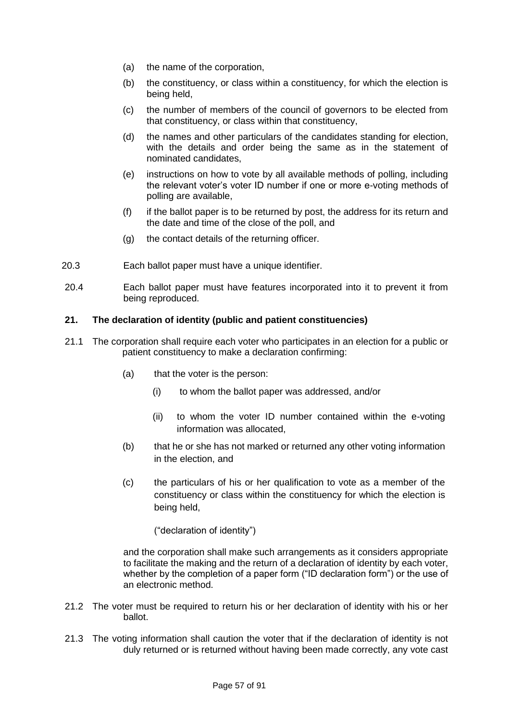- (a) the name of the corporation,
- (b) the constituency, or class within a constituency, for which the election is being held,
- (c) the number of members of the council of governors to be elected from that constituency, or class within that constituency,
- (d) the names and other particulars of the candidates standing for election, with the details and order being the same as in the statement of nominated candidates,
- (e) instructions on how to vote by all available methods of polling, including the relevant voter's voter ID number if one or more e-voting methods of polling are available,
- (f) if the ballot paper is to be returned by post, the address for its return and the date and time of the close of the poll, and
- (g) the contact details of the returning officer.
- 20.3 Each ballot paper must have a unique identifier.
- 20.4 Each ballot paper must have features incorporated into it to prevent it from being reproduced.

# **21. The declaration of identity (public and patient constituencies)**

- 21.1 The corporation shall require each voter who participates in an election for a public or patient constituency to make a declaration confirming:
	- (a) that the voter is the person:
		- (i) to whom the ballot paper was addressed, and/or
		- (ii) to whom the voter ID number contained within the e-voting information was allocated,
	- (b) that he or she has not marked or returned any other voting information in the election, and
	- (c) the particulars of his or her qualification to vote as a member of the constituency or class within the constituency for which the election is being held,

("declaration of identity")

and the corporation shall make such arrangements as it considers appropriate to facilitate the making and the return of a declaration of identity by each voter, whether by the completion of a paper form ("ID declaration form") or the use of an electronic method.

- 21.2 The voter must be required to return his or her declaration of identity with his or her ballot.
- 21.3 The voting information shall caution the voter that if the declaration of identity is not duly returned or is returned without having been made correctly, any vote cast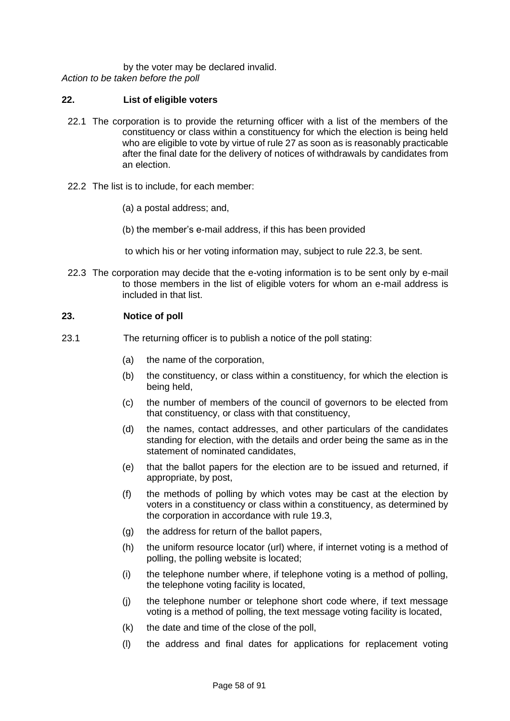by the voter may be declared invalid. *Action to be taken before the poll*

### **22. List of eligible voters**

- 22.1 The corporation is to provide the returning officer with a list of the members of the constituency or class within a constituency for which the election is being held who are eligible to vote by virtue of rule 27 as soon as is reasonably practicable after the final date for the delivery of notices of withdrawals by candidates from an election.
- 22.2 The list is to include, for each member:
	- (a) a postal address; and,
	- (b) the member's e-mail address, if this has been provided
	- to which his or her voting information may, subject to rule 22.3, be sent.
- 22.3 The corporation may decide that the e-voting information is to be sent only by e-mail to those members in the list of eligible voters for whom an e-mail address is included in that list.

### **23. Notice of poll**

- 23.1 The returning officer is to publish a notice of the poll stating:
	- (a) the name of the corporation,
	- (b) the constituency, or class within a constituency, for which the election is being held,
	- (c) the number of members of the council of governors to be elected from that constituency, or class with that constituency,
	- (d) the names, contact addresses, and other particulars of the candidates standing for election, with the details and order being the same as in the statement of nominated candidates,
	- (e) that the ballot papers for the election are to be issued and returned, if appropriate, by post,
	- (f) the methods of polling by which votes may be cast at the election by voters in a constituency or class within a constituency, as determined by the corporation in accordance with rule 19.3,
	- (g) the address for return of the ballot papers,
	- (h) the uniform resource locator (url) where, if internet voting is a method of polling, the polling website is located;
	- (i) the telephone number where, if telephone voting is a method of polling, the telephone voting facility is located,
	- (j) the telephone number or telephone short code where, if text message voting is a method of polling, the text message voting facility is located,
	- (k) the date and time of the close of the poll,
	- (l) the address and final dates for applications for replacement voting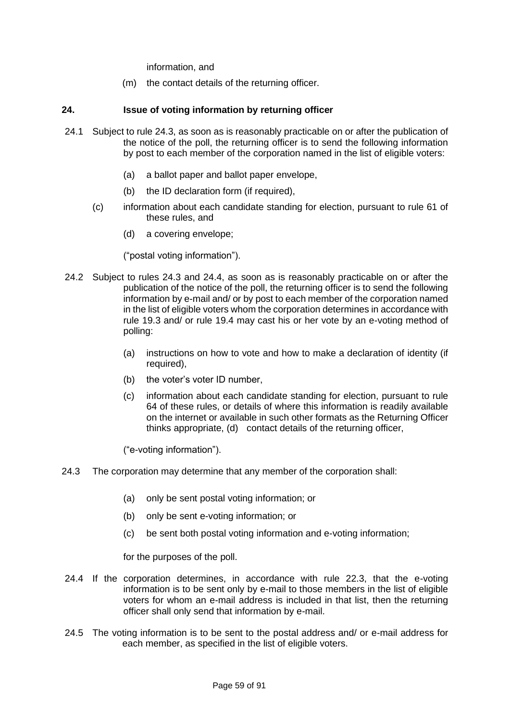information, and

(m) the contact details of the returning officer.

### **24. Issue of voting information by returning officer**

- 24.1 Subject to rule 24.3, as soon as is reasonably practicable on or after the publication of the notice of the poll, the returning officer is to send the following information by post to each member of the corporation named in the list of eligible voters:
	- (a) a ballot paper and ballot paper envelope,
	- (b) the ID declaration form (if required),
	- (c) information about each candidate standing for election, pursuant to rule 61 of these rules, and
		- (d) a covering envelope;

("postal voting information").

- 24.2 Subject to rules 24.3 and 24.4, as soon as is reasonably practicable on or after the publication of the notice of the poll, the returning officer is to send the following information by e-mail and/ or by post to each member of the corporation named in the list of eligible voters whom the corporation determines in accordance with rule 19.3 and/ or rule 19.4 may cast his or her vote by an e-voting method of polling:
	- (a) instructions on how to vote and how to make a declaration of identity (if required),
	- (b) the voter's voter ID number,
	- (c) information about each candidate standing for election, pursuant to rule 64 of these rules, or details of where this information is readily available on the internet or available in such other formats as the Returning Officer thinks appropriate, (d) contact details of the returning officer,

("e-voting information").

- 24.3 The corporation may determine that any member of the corporation shall:
	- (a) only be sent postal voting information; or
	- (b) only be sent e-voting information; or
	- (c) be sent both postal voting information and e-voting information;

for the purposes of the poll.

- 24.4 If the corporation determines, in accordance with rule 22.3, that the e-voting information is to be sent only by e-mail to those members in the list of eligible voters for whom an e-mail address is included in that list, then the returning officer shall only send that information by e-mail.
- 24.5 The voting information is to be sent to the postal address and/ or e-mail address for each member, as specified in the list of eligible voters.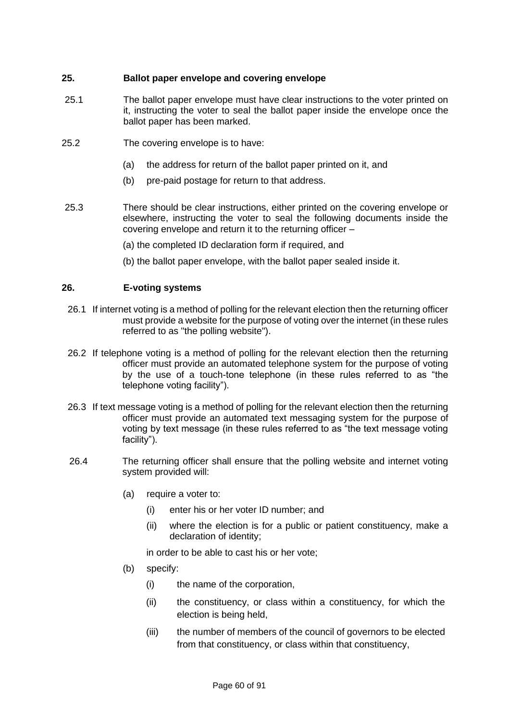# **25. Ballot paper envelope and covering envelope**

- 25.1 The ballot paper envelope must have clear instructions to the voter printed on it, instructing the voter to seal the ballot paper inside the envelope once the ballot paper has been marked.
- 25.2 The covering envelope is to have:
	- (a) the address for return of the ballot paper printed on it, and
	- (b) pre-paid postage for return to that address.
- 25.3 There should be clear instructions, either printed on the covering envelope or elsewhere, instructing the voter to seal the following documents inside the covering envelope and return it to the returning officer –
	- (a) the completed ID declaration form if required, and
	- (b) the ballot paper envelope, with the ballot paper sealed inside it.

### **26. E-voting systems**

- 26.1 If internet voting is a method of polling for the relevant election then the returning officer must provide a website for the purpose of voting over the internet (in these rules referred to as "the polling website").
- 26.2 If telephone voting is a method of polling for the relevant election then the returning officer must provide an automated telephone system for the purpose of voting by the use of a touch-tone telephone (in these rules referred to as "the telephone voting facility").
- 26.3 If text message voting is a method of polling for the relevant election then the returning officer must provide an automated text messaging system for the purpose of voting by text message (in these rules referred to as "the text message voting facility").
- 26.4 The returning officer shall ensure that the polling website and internet voting system provided will:
	- (a) require a voter to:
		- (i) enter his or her voter ID number; and
		- (ii) where the election is for a public or patient constituency, make a declaration of identity;

in order to be able to cast his or her vote;

- (b) specify:
	- (i) the name of the corporation,
	- (ii) the constituency, or class within a constituency, for which the election is being held,
	- (iii) the number of members of the council of governors to be elected from that constituency, or class within that constituency,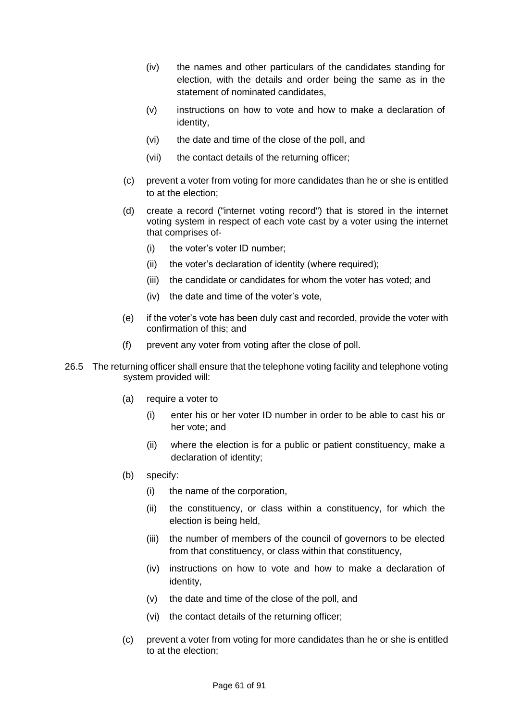- (iv) the names and other particulars of the candidates standing for election, with the details and order being the same as in the statement of nominated candidates,
- (v) instructions on how to vote and how to make a declaration of identity,
- (vi) the date and time of the close of the poll, and
- (vii) the contact details of the returning officer;
- (c) prevent a voter from voting for more candidates than he or she is entitled to at the election;
- (d) create a record ("internet voting record") that is stored in the internet voting system in respect of each vote cast by a voter using the internet that comprises of-
	- (i) the voter's voter ID number;
	- (ii) the voter's declaration of identity (where required);
	- (iii) the candidate or candidates for whom the voter has voted; and
	- (iv) the date and time of the voter's vote,
- (e) if the voter's vote has been duly cast and recorded, provide the voter with confirmation of this; and
- (f) prevent any voter from voting after the close of poll.
- 26.5 The returning officer shall ensure that the telephone voting facility and telephone voting system provided will:
	- (a) require a voter to
		- (i) enter his or her voter ID number in order to be able to cast his or her vote; and
		- (ii) where the election is for a public or patient constituency, make a declaration of identity;
	- (b) specify:
		- (i) the name of the corporation,
		- (ii) the constituency, or class within a constituency, for which the election is being held,
		- (iii) the number of members of the council of governors to be elected from that constituency, or class within that constituency,
		- (iv) instructions on how to vote and how to make a declaration of identity,
		- (v) the date and time of the close of the poll, and
		- (vi) the contact details of the returning officer;
	- (c) prevent a voter from voting for more candidates than he or she is entitled to at the election;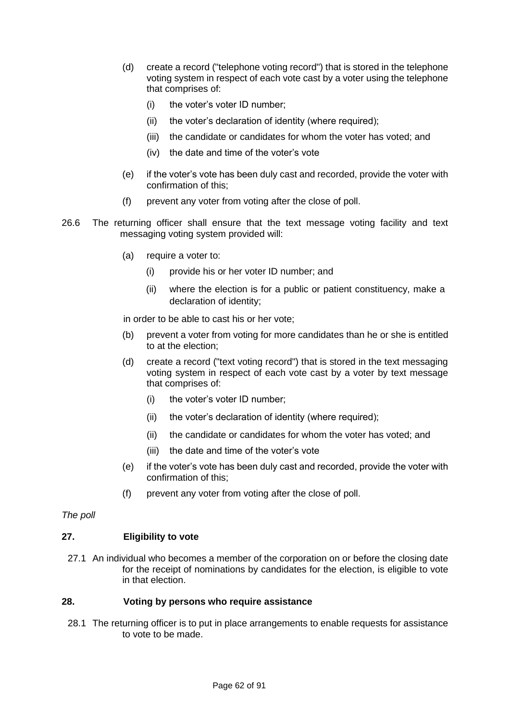- (d) create a record ("telephone voting record") that is stored in the telephone voting system in respect of each vote cast by a voter using the telephone that comprises of:
	- (i) the voter's voter ID number;
	- (ii) the voter's declaration of identity (where required);
	- (iii) the candidate or candidates for whom the voter has voted; and
	- (iv) the date and time of the voter's vote
- (e) if the voter's vote has been duly cast and recorded, provide the voter with confirmation of this;
- (f) prevent any voter from voting after the close of poll.
- 26.6 The returning officer shall ensure that the text message voting facility and text messaging voting system provided will:
	- (a) require a voter to:
		- (i) provide his or her voter ID number; and
		- (ii) where the election is for a public or patient constituency, make a declaration of identity;

in order to be able to cast his or her vote;

- (b) prevent a voter from voting for more candidates than he or she is entitled to at the election;
- (d) create a record ("text voting record") that is stored in the text messaging voting system in respect of each vote cast by a voter by text message that comprises of:
	- (i) the voter's voter ID number;
	- (ii) the voter's declaration of identity (where required);
	- (ii) the candidate or candidates for whom the voter has voted; and
	- (iii) the date and time of the voter's vote
- (e) if the voter's vote has been duly cast and recorded, provide the voter with confirmation of this;
- (f) prevent any voter from voting after the close of poll.

# *The poll*

# **27. Eligibility to vote**

27.1 An individual who becomes a member of the corporation on or before the closing date for the receipt of nominations by candidates for the election, is eligible to vote in that election.

# **28. Voting by persons who require assistance**

28.1 The returning officer is to put in place arrangements to enable requests for assistance to vote to be made.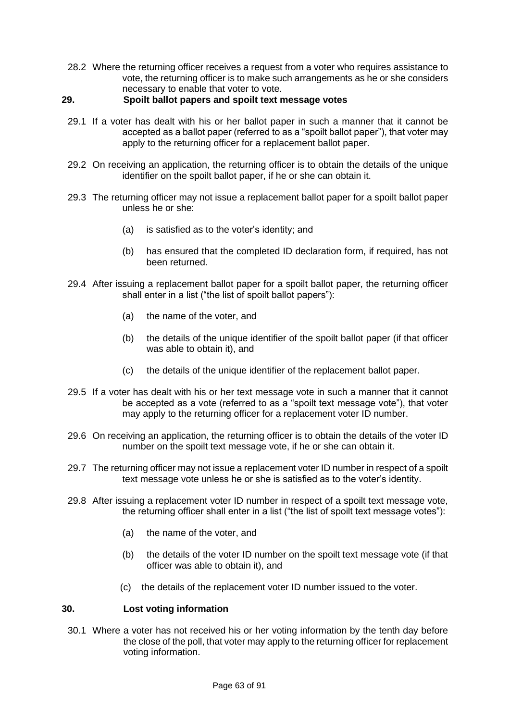28.2 Where the returning officer receives a request from a voter who requires assistance to vote, the returning officer is to make such arrangements as he or she considers necessary to enable that voter to vote.

# **29. Spoilt ballot papers and spoilt text message votes**

- 29.1 If a voter has dealt with his or her ballot paper in such a manner that it cannot be accepted as a ballot paper (referred to as a "spoilt ballot paper"), that voter may apply to the returning officer for a replacement ballot paper.
- 29.2 On receiving an application, the returning officer is to obtain the details of the unique identifier on the spoilt ballot paper, if he or she can obtain it.
- 29.3 The returning officer may not issue a replacement ballot paper for a spoilt ballot paper unless he or she:
	- (a) is satisfied as to the voter's identity; and
	- (b) has ensured that the completed ID declaration form, if required, has not been returned.
- 29.4 After issuing a replacement ballot paper for a spoilt ballot paper, the returning officer shall enter in a list ("the list of spoilt ballot papers"):
	- (a) the name of the voter, and
	- (b) the details of the unique identifier of the spoilt ballot paper (if that officer was able to obtain it), and
	- (c) the details of the unique identifier of the replacement ballot paper.
- 29.5 If a voter has dealt with his or her text message vote in such a manner that it cannot be accepted as a vote (referred to as a "spoilt text message vote"), that voter may apply to the returning officer for a replacement voter ID number.
- 29.6 On receiving an application, the returning officer is to obtain the details of the voter ID number on the spoilt text message vote, if he or she can obtain it.
- 29.7 The returning officer may not issue a replacement voter ID number in respect of a spoilt text message vote unless he or she is satisfied as to the voter's identity.
- 29.8 After issuing a replacement voter ID number in respect of a spoilt text message vote, the returning officer shall enter in a list ("the list of spoilt text message votes"):
	- (a) the name of the voter, and
	- (b) the details of the voter ID number on the spoilt text message vote (if that officer was able to obtain it), and
	- (c) the details of the replacement voter ID number issued to the voter.

#### **30. Lost voting information**

30.1 Where a voter has not received his or her voting information by the tenth day before the close of the poll, that voter may apply to the returning officer for replacement voting information.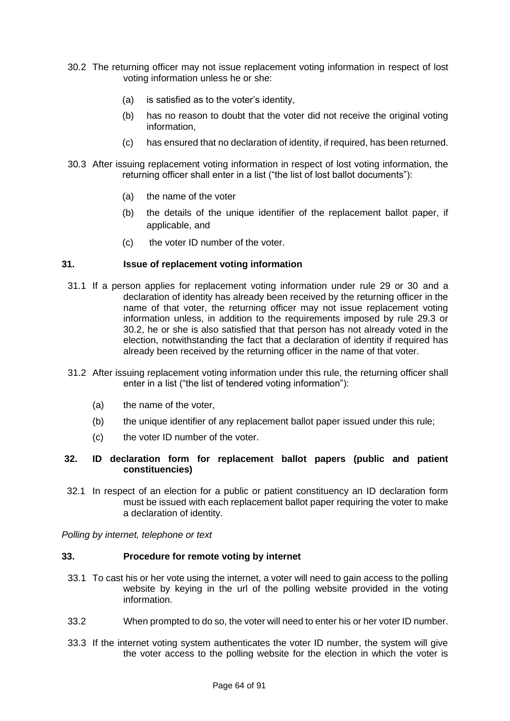- 30.2 The returning officer may not issue replacement voting information in respect of lost voting information unless he or she:
	- (a) is satisfied as to the voter's identity,
	- (b) has no reason to doubt that the voter did not receive the original voting information,
	- (c) has ensured that no declaration of identity, if required, has been returned.
- 30.3 After issuing replacement voting information in respect of lost voting information, the returning officer shall enter in a list ("the list of lost ballot documents"):
	- (a) the name of the voter
	- (b) the details of the unique identifier of the replacement ballot paper, if applicable, and
	- (c) the voter ID number of the voter.

### **31. Issue of replacement voting information**

- 31.1 If a person applies for replacement voting information under rule 29 or 30 and a declaration of identity has already been received by the returning officer in the name of that voter, the returning officer may not issue replacement voting information unless, in addition to the requirements imposed by rule 29.3 or 30.2, he or she is also satisfied that that person has not already voted in the election, notwithstanding the fact that a declaration of identity if required has already been received by the returning officer in the name of that voter.
- 31.2 After issuing replacement voting information under this rule, the returning officer shall enter in a list ("the list of tendered voting information"):
	- (a) the name of the voter,
	- (b) the unique identifier of any replacement ballot paper issued under this rule;
	- (c) the voter ID number of the voter.

### **32. ID declaration form for replacement ballot papers (public and patient constituencies)**

32.1 In respect of an election for a public or patient constituency an ID declaration form must be issued with each replacement ballot paper requiring the voter to make a declaration of identity.

*Polling by internet, telephone or text*

#### **33. Procedure for remote voting by internet**

- 33.1 To cast his or her vote using the internet, a voter will need to gain access to the polling website by keying in the url of the polling website provided in the voting information.
- 33.2 When prompted to do so, the voter will need to enter his or her voter ID number.
- 33.3 If the internet voting system authenticates the voter ID number, the system will give the voter access to the polling website for the election in which the voter is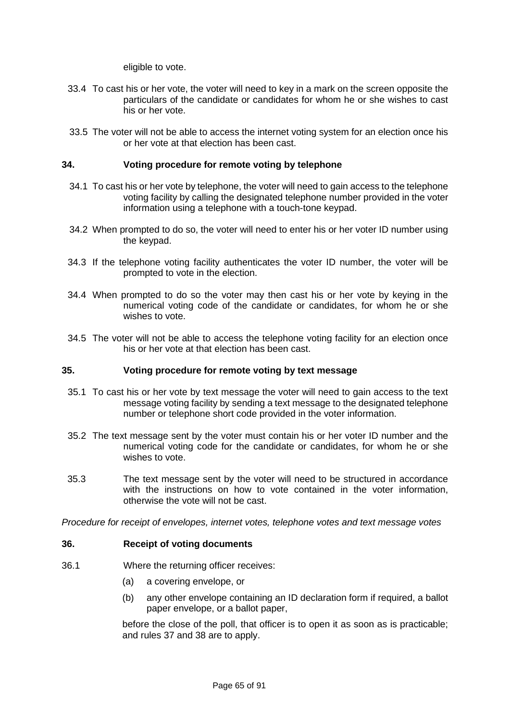eligible to vote.

- 33.4 To cast his or her vote, the voter will need to key in a mark on the screen opposite the particulars of the candidate or candidates for whom he or she wishes to cast his or her vote.
- 33.5 The voter will not be able to access the internet voting system for an election once his or her vote at that election has been cast.

### **34. Voting procedure for remote voting by telephone**

- 34.1 To cast his or her vote by telephone, the voter will need to gain access to the telephone voting facility by calling the designated telephone number provided in the voter information using a telephone with a touch-tone keypad.
- 34.2 When prompted to do so, the voter will need to enter his or her voter ID number using the keypad.
- 34.3 If the telephone voting facility authenticates the voter ID number, the voter will be prompted to vote in the election.
- 34.4 When prompted to do so the voter may then cast his or her vote by keying in the numerical voting code of the candidate or candidates, for whom he or she wishes to vote.
- 34.5 The voter will not be able to access the telephone voting facility for an election once his or her vote at that election has been cast.

# **35. Voting procedure for remote voting by text message**

- 35.1 To cast his or her vote by text message the voter will need to gain access to the text message voting facility by sending a text message to the designated telephone number or telephone short code provided in the voter information.
- 35.2 The text message sent by the voter must contain his or her voter ID number and the numerical voting code for the candidate or candidates, for whom he or she wishes to vote.
- 35.3 The text message sent by the voter will need to be structured in accordance with the instructions on how to vote contained in the voter information, otherwise the vote will not be cast.

*Procedure for receipt of envelopes, internet votes, telephone votes and text message votes*

#### **36. Receipt of voting documents**

- 36.1 Where the returning officer receives:
	- (a) a covering envelope, or
	- (b) any other envelope containing an ID declaration form if required, a ballot paper envelope, or a ballot paper,

before the close of the poll, that officer is to open it as soon as is practicable; and rules 37 and 38 are to apply.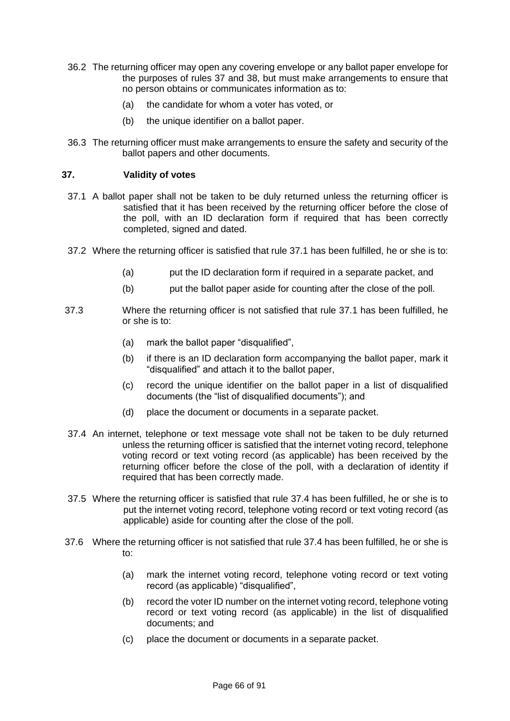- 36.2 The returning officer may open any covering envelope or any ballot paper envelope for the purposes of rules 37 and 38, but must make arrangements to ensure that no person obtains or communicates information as to:
	- (a) the candidate for whom a voter has voted, or
	- (b) the unique identifier on a ballot paper.
- 36.3 The returning officer must make arrangements to ensure the safety and security of the ballot papers and other documents.

### **37. Validity of votes**

- 37.1 A ballot paper shall not be taken to be duly returned unless the returning officer is satisfied that it has been received by the returning officer before the close of the poll, with an ID declaration form if required that has been correctly completed, signed and dated.
- 37.2 Where the returning officer is satisfied that rule 37.1 has been fulfilled, he or she is to:
	- (a) put the ID declaration form if required in a separate packet, and
	- (b) put the ballot paper aside for counting after the close of the poll.
- 37.3 Where the returning officer is not satisfied that rule 37.1 has been fulfilled, he or she is to:
	- (a) mark the ballot paper "disqualified",
	- (b) if there is an ID declaration form accompanying the ballot paper, mark it "disqualified" and attach it to the ballot paper,
	- (c) record the unique identifier on the ballot paper in a list of disqualified documents (the "list of disqualified documents"); and
	- (d) place the document or documents in a separate packet.
- 37.4 An internet, telephone or text message vote shall not be taken to be duly returned unless the returning officer is satisfied that the internet voting record, telephone voting record or text voting record (as applicable) has been received by the returning officer before the close of the poll, with a declaration of identity if required that has been correctly made.
- 37.5 Where the returning officer is satisfied that rule 37.4 has been fulfilled, he or she is to put the internet voting record, telephone voting record or text voting record (as applicable) aside for counting after the close of the poll.
- 37.6 Where the returning officer is not satisfied that rule 37.4 has been fulfilled, he or she is to:
	- (a) mark the internet voting record, telephone voting record or text voting record (as applicable) "disqualified",
	- (b) record the voter ID number on the internet voting record, telephone voting record or text voting record (as applicable) in the list of disqualified documents; and
	- (c) place the document or documents in a separate packet.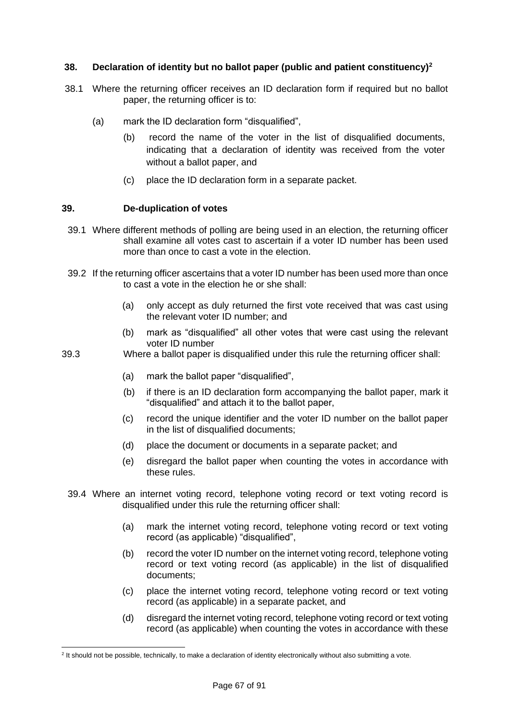# **38. Declaration of identity but no ballot paper (public and patient constituency)<sup>2</sup>**

- 38.1 Where the returning officer receives an ID declaration form if required but no ballot paper, the returning officer is to:
	- (a) mark the ID declaration form "disqualified",
		- (b) record the name of the voter in the list of disqualified documents, indicating that a declaration of identity was received from the voter without a ballot paper, and
		- (c) place the ID declaration form in a separate packet.

# **39. De-duplication of votes**

- 39.1 Where different methods of polling are being used in an election, the returning officer shall examine all votes cast to ascertain if a voter ID number has been used more than once to cast a vote in the election.
- 39.2 If the returning officer ascertains that a voter ID number has been used more than once to cast a vote in the election he or she shall:
	- (a) only accept as duly returned the first vote received that was cast using the relevant voter ID number; and
	- (b) mark as "disqualified" all other votes that were cast using the relevant voter ID number
- 39.3 Where a ballot paper is disqualified under this rule the returning officer shall:
	- (a) mark the ballot paper "disqualified",
	- (b) if there is an ID declaration form accompanying the ballot paper, mark it "disqualified" and attach it to the ballot paper,
	- (c) record the unique identifier and the voter ID number on the ballot paper in the list of disqualified documents;
	- (d) place the document or documents in a separate packet; and
	- (e) disregard the ballot paper when counting the votes in accordance with these rules.
	- 39.4 Where an internet voting record, telephone voting record or text voting record is disqualified under this rule the returning officer shall:
		- (a) mark the internet voting record, telephone voting record or text voting record (as applicable) "disqualified",
		- (b) record the voter ID number on the internet voting record, telephone voting record or text voting record (as applicable) in the list of disqualified documents;
		- (c) place the internet voting record, telephone voting record or text voting record (as applicable) in a separate packet, and
		- (d) disregard the internet voting record, telephone voting record or text voting record (as applicable) when counting the votes in accordance with these

<sup>&</sup>lt;sup>2</sup> It should not be possible, technically, to make a declaration of identity electronically without also submitting a vote.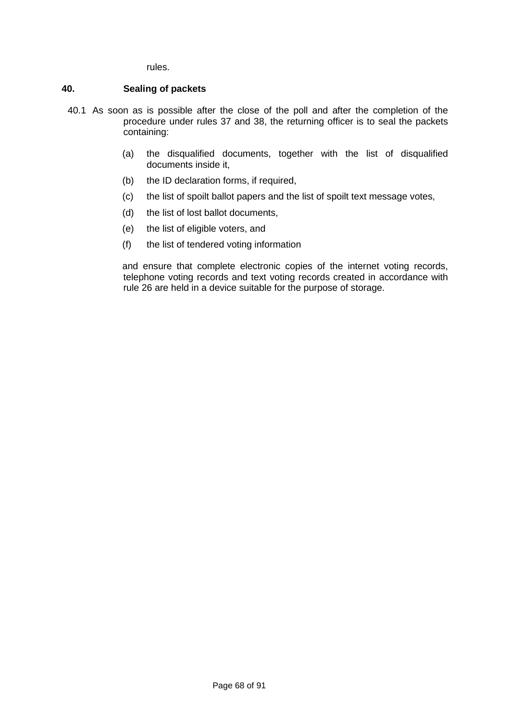rules.

### **40. Sealing of packets**

- 40.1 As soon as is possible after the close of the poll and after the completion of the procedure under rules 37 and 38, the returning officer is to seal the packets containing:
	- (a) the disqualified documents, together with the list of disqualified documents inside it,
	- (b) the ID declaration forms, if required,
	- (c) the list of spoilt ballot papers and the list of spoilt text message votes,
	- (d) the list of lost ballot documents,
	- (e) the list of eligible voters, and
	- (f) the list of tendered voting information

and ensure that complete electronic copies of the internet voting records, telephone voting records and text voting records created in accordance with rule 26 are held in a device suitable for the purpose of storage.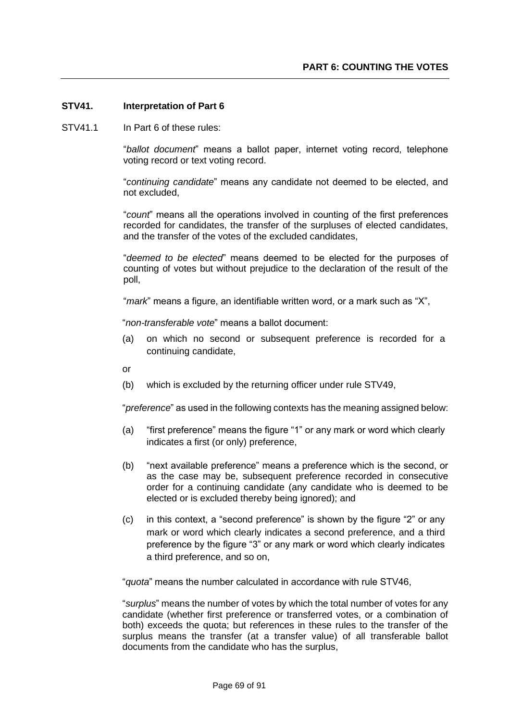### **STV41. Interpretation of Part 6**

STV41.1 In Part 6 of these rules:

"*ballot document*" means a ballot paper, internet voting record, telephone voting record or text voting record.

"*continuing candidate*" means any candidate not deemed to be elected, and not excluded,

"*count*" means all the operations involved in counting of the first preferences recorded for candidates, the transfer of the surpluses of elected candidates, and the transfer of the votes of the excluded candidates,

"*deemed to be elected*" means deemed to be elected for the purposes of counting of votes but without prejudice to the declaration of the result of the poll,

"*mark*" means a figure, an identifiable written word, or a mark such as "X",

"*non-transferable vote*" means a ballot document:

(a) on which no second or subsequent preference is recorded for a continuing candidate,

or

(b) which is excluded by the returning officer under rule STV49,

"*preference*" as used in the following contexts has the meaning assigned below:

- (a) "first preference" means the figure "1" or any mark or word which clearly indicates a first (or only) preference,
- (b) "next available preference" means a preference which is the second, or as the case may be, subsequent preference recorded in consecutive order for a continuing candidate (any candidate who is deemed to be elected or is excluded thereby being ignored); and
- (c) in this context, a "second preference" is shown by the figure "2" or any mark or word which clearly indicates a second preference, and a third preference by the figure "3" or any mark or word which clearly indicates a third preference, and so on,

"*quota*" means the number calculated in accordance with rule STV46,

"*surplus*" means the number of votes by which the total number of votes for any candidate (whether first preference or transferred votes, or a combination of both) exceeds the quota; but references in these rules to the transfer of the surplus means the transfer (at a transfer value) of all transferable ballot documents from the candidate who has the surplus,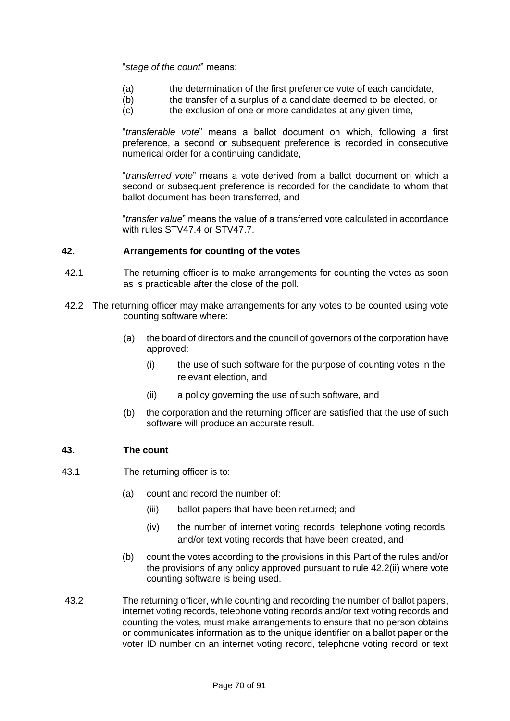"*stage of the count*" means:

- (a) the determination of the first preference vote of each candidate,
- (b) the transfer of a surplus of a candidate deemed to be elected, or
- (c) the exclusion of one or more candidates at any given time,

"*transferable vote*" means a ballot document on which, following a first preference, a second or subsequent preference is recorded in consecutive numerical order for a continuing candidate,

"*transferred vote*" means a vote derived from a ballot document on which a second or subsequent preference is recorded for the candidate to whom that ballot document has been transferred, and

"*transfer value*" means the value of a transferred vote calculated in accordance with rules STV47.4 or STV47.7.

# **42. Arrangements for counting of the votes**

- 42.1 The returning officer is to make arrangements for counting the votes as soon as is practicable after the close of the poll.
- 42.2 The returning officer may make arrangements for any votes to be counted using vote counting software where:
	- (a) the board of directors and the council of governors of the corporation have approved:
		- (i) the use of such software for the purpose of counting votes in the relevant election, and
		- (ii) a policy governing the use of such software, and
	- (b) the corporation and the returning officer are satisfied that the use of such software will produce an accurate result.

# **43. The count**

- 43.1 The returning officer is to:
	- (a) count and record the number of:
		- (iii) ballot papers that have been returned; and
		- (iv) the number of internet voting records, telephone voting records and/or text voting records that have been created, and
	- (b) count the votes according to the provisions in this Part of the rules and/or the provisions of any policy approved pursuant to rule 42.2(ii) where vote counting software is being used.
- 43.2 The returning officer, while counting and recording the number of ballot papers, internet voting records, telephone voting records and/or text voting records and counting the votes, must make arrangements to ensure that no person obtains or communicates information as to the unique identifier on a ballot paper or the voter ID number on an internet voting record, telephone voting record or text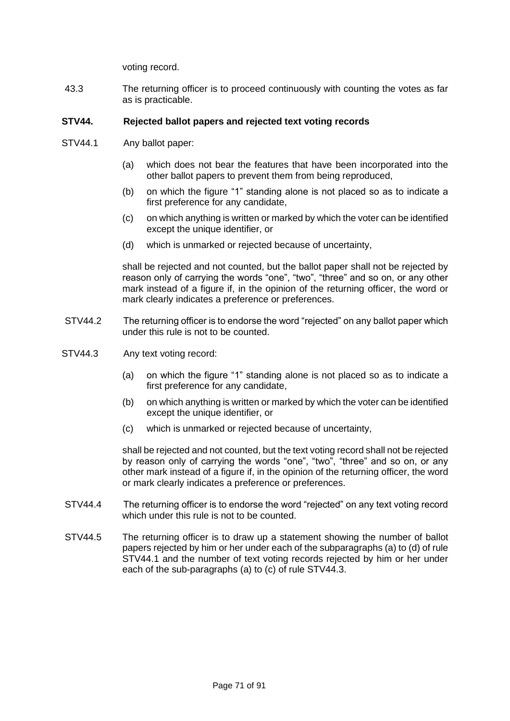voting record.

43.3 The returning officer is to proceed continuously with counting the votes as far as is practicable.

### **STV44. Rejected ballot papers and rejected text voting records**

- STV44.1 Any ballot paper:
	- (a) which does not bear the features that have been incorporated into the other ballot papers to prevent them from being reproduced,
	- (b) on which the figure "1" standing alone is not placed so as to indicate a first preference for any candidate,
	- (c) on which anything is written or marked by which the voter can be identified except the unique identifier, or
	- (d) which is unmarked or rejected because of uncertainty,

shall be rejected and not counted, but the ballot paper shall not be rejected by reason only of carrying the words "one", "two", "three" and so on, or any other mark instead of a figure if, in the opinion of the returning officer, the word or mark clearly indicates a preference or preferences.

- STV44.2 The returning officer is to endorse the word "rejected" on any ballot paper which under this rule is not to be counted.
- STV44.3 Any text voting record:
	- (a) on which the figure "1" standing alone is not placed so as to indicate a first preference for any candidate,
	- (b) on which anything is written or marked by which the voter can be identified except the unique identifier, or
	- (c) which is unmarked or rejected because of uncertainty,

shall be rejected and not counted, but the text voting record shall not be rejected by reason only of carrying the words "one", "two", "three" and so on, or any other mark instead of a figure if, in the opinion of the returning officer, the word or mark clearly indicates a preference or preferences.

- STV44.4 The returning officer is to endorse the word "rejected" on any text voting record which under this rule is not to be counted.
- STV44.5 The returning officer is to draw up a statement showing the number of ballot papers rejected by him or her under each of the subparagraphs (a) to (d) of rule STV44.1 and the number of text voting records rejected by him or her under each of the sub-paragraphs (a) to (c) of rule STV44.3.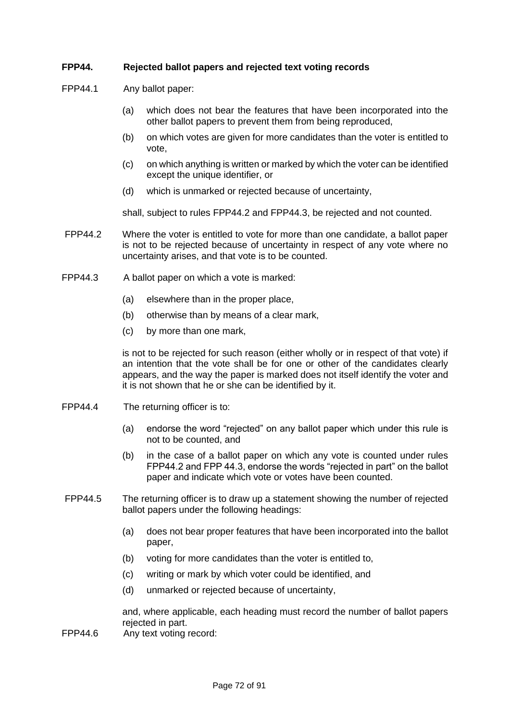# **FPP44. Rejected ballot papers and rejected text voting records**

- FPP44.1 Any ballot paper:
	- (a) which does not bear the features that have been incorporated into the other ballot papers to prevent them from being reproduced,
	- (b) on which votes are given for more candidates than the voter is entitled to vote,
	- (c) on which anything is written or marked by which the voter can be identified except the unique identifier, or
	- (d) which is unmarked or rejected because of uncertainty,

shall, subject to rules FPP44.2 and FPP44.3, be rejected and not counted.

- FPP44.2 Where the voter is entitled to vote for more than one candidate, a ballot paper is not to be rejected because of uncertainty in respect of any vote where no uncertainty arises, and that vote is to be counted.
- FPP44.3 A ballot paper on which a vote is marked:
	- (a) elsewhere than in the proper place,
	- (b) otherwise than by means of a clear mark,
	- (c) by more than one mark,

is not to be rejected for such reason (either wholly or in respect of that vote) if an intention that the vote shall be for one or other of the candidates clearly appears, and the way the paper is marked does not itself identify the voter and it is not shown that he or she can be identified by it.

- FPP44.4 The returning officer is to:
	- (a) endorse the word "rejected" on any ballot paper which under this rule is not to be counted, and
	- (b) in the case of a ballot paper on which any vote is counted under rules FPP44.2 and FPP 44.3, endorse the words "rejected in part" on the ballot paper and indicate which vote or votes have been counted.
- FPP44.5 The returning officer is to draw up a statement showing the number of rejected ballot papers under the following headings:
	- (a) does not bear proper features that have been incorporated into the ballot paper,
	- (b) voting for more candidates than the voter is entitled to,
	- (c) writing or mark by which voter could be identified, and
	- (d) unmarked or rejected because of uncertainty,

and, where applicable, each heading must record the number of ballot papers rejected in part.

FPP44.6 Any text voting record: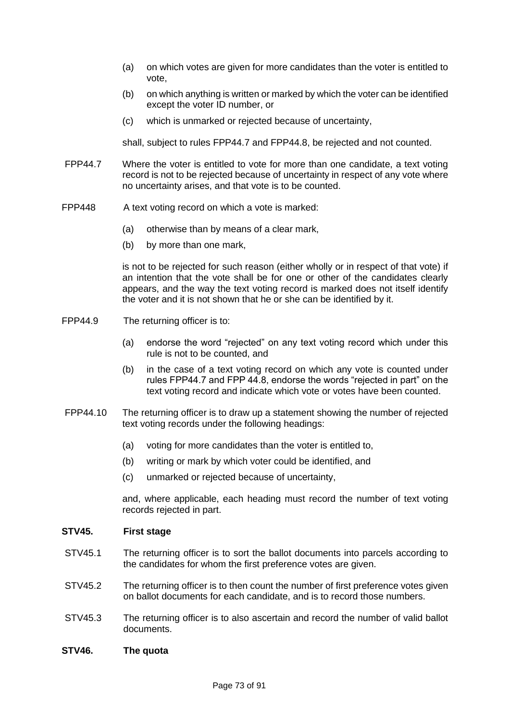- (a) on which votes are given for more candidates than the voter is entitled to vote,
- (b) on which anything is written or marked by which the voter can be identified except the voter ID number, or
- (c) which is unmarked or rejected because of uncertainty,

shall, subject to rules FPP44.7 and FPP44.8, be rejected and not counted.

- FPP44.7 Where the voter is entitled to vote for more than one candidate, a text voting record is not to be rejected because of uncertainty in respect of any vote where no uncertainty arises, and that vote is to be counted.
- FPP448 A text voting record on which a vote is marked:
	- (a) otherwise than by means of a clear mark,
	- (b) by more than one mark,

is not to be rejected for such reason (either wholly or in respect of that vote) if an intention that the vote shall be for one or other of the candidates clearly appears, and the way the text voting record is marked does not itself identify the voter and it is not shown that he or she can be identified by it.

- FPP44.9 The returning officer is to:
	- (a) endorse the word "rejected" on any text voting record which under this rule is not to be counted, and
	- (b) in the case of a text voting record on which any vote is counted under rules FPP44.7 and FPP 44.8, endorse the words "rejected in part" on the text voting record and indicate which vote or votes have been counted.
- FPP44.10 The returning officer is to draw up a statement showing the number of rejected text voting records under the following headings:
	- (a) voting for more candidates than the voter is entitled to,
	- (b) writing or mark by which voter could be identified, and
	- (c) unmarked or rejected because of uncertainty,

and, where applicable, each heading must record the number of text voting records rejected in part.

### **STV45. First stage**

- STV45.1 The returning officer is to sort the ballot documents into parcels according to the candidates for whom the first preference votes are given.
- STV45.2 The returning officer is to then count the number of first preference votes given on ballot documents for each candidate, and is to record those numbers.
- STV45.3 The returning officer is to also ascertain and record the number of valid ballot documents.

### **STV46. The quota**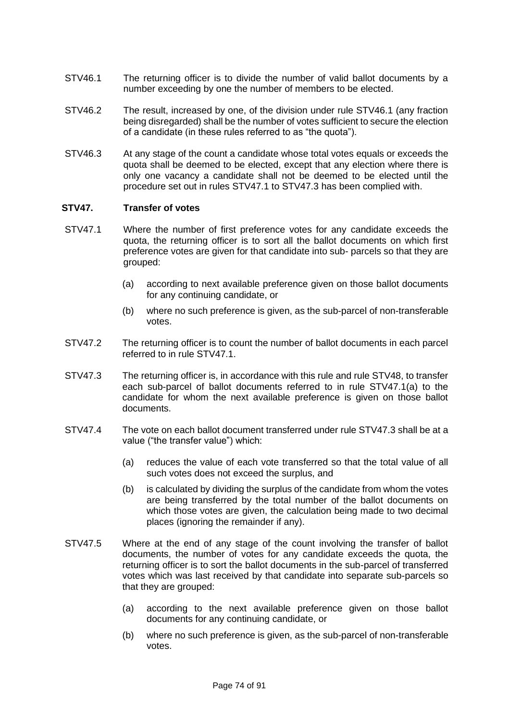- STV46.1 The returning officer is to divide the number of valid ballot documents by a number exceeding by one the number of members to be elected.
- STV46.2 The result, increased by one, of the division under rule STV46.1 (any fraction being disregarded) shall be the number of votes sufficient to secure the election of a candidate (in these rules referred to as "the quota").
- STV46.3 At any stage of the count a candidate whose total votes equals or exceeds the quota shall be deemed to be elected, except that any election where there is only one vacancy a candidate shall not be deemed to be elected until the procedure set out in rules STV47.1 to STV47.3 has been complied with.

## **STV47. Transfer of votes**

- STV47.1 Where the number of first preference votes for any candidate exceeds the quota, the returning officer is to sort all the ballot documents on which first preference votes are given for that candidate into sub- parcels so that they are grouped:
	- (a) according to next available preference given on those ballot documents for any continuing candidate, or
	- (b) where no such preference is given, as the sub-parcel of non-transferable votes.
- STV47.2 The returning officer is to count the number of ballot documents in each parcel referred to in rule STV47.1.
- STV47.3 The returning officer is, in accordance with this rule and rule STV48, to transfer each sub-parcel of ballot documents referred to in rule STV47.1(a) to the candidate for whom the next available preference is given on those ballot documents.
- STV47.4 The vote on each ballot document transferred under rule STV47.3 shall be at a value ("the transfer value") which:
	- (a) reduces the value of each vote transferred so that the total value of all such votes does not exceed the surplus, and
	- (b) is calculated by dividing the surplus of the candidate from whom the votes are being transferred by the total number of the ballot documents on which those votes are given, the calculation being made to two decimal places (ignoring the remainder if any).
- STV47.5 Where at the end of any stage of the count involving the transfer of ballot documents, the number of votes for any candidate exceeds the quota, the returning officer is to sort the ballot documents in the sub-parcel of transferred votes which was last received by that candidate into separate sub-parcels so that they are grouped:
	- (a) according to the next available preference given on those ballot documents for any continuing candidate, or
	- (b) where no such preference is given, as the sub-parcel of non-transferable votes.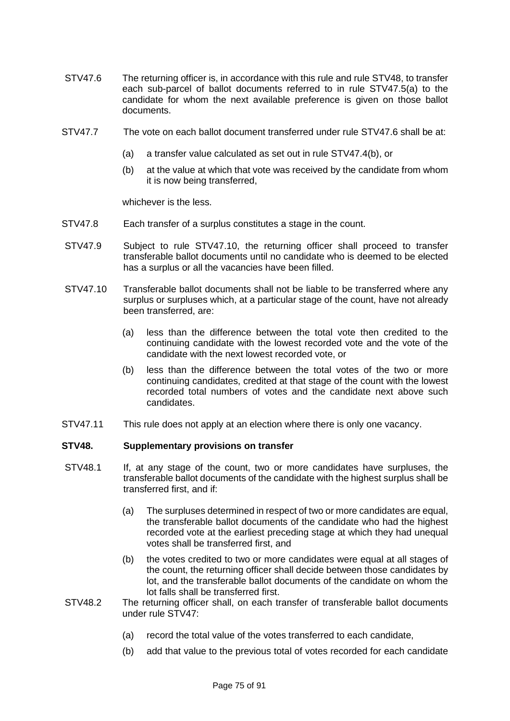- STV47.6 The returning officer is, in accordance with this rule and rule STV48, to transfer each sub-parcel of ballot documents referred to in rule STV47.5(a) to the candidate for whom the next available preference is given on those ballot documents.
- STV47.7 The vote on each ballot document transferred under rule STV47.6 shall be at:
	- (a) a transfer value calculated as set out in rule STV47.4(b), or
	- (b) at the value at which that vote was received by the candidate from whom it is now being transferred,

whichever is the less.

- STV47.8 Each transfer of a surplus constitutes a stage in the count.
- STV47.9 Subject to rule STV47.10, the returning officer shall proceed to transfer transferable ballot documents until no candidate who is deemed to be elected has a surplus or all the vacancies have been filled.
- STV47.10 Transferable ballot documents shall not be liable to be transferred where any surplus or surpluses which, at a particular stage of the count, have not already been transferred, are:
	- (a) less than the difference between the total vote then credited to the continuing candidate with the lowest recorded vote and the vote of the candidate with the next lowest recorded vote, or
	- (b) less than the difference between the total votes of the two or more continuing candidates, credited at that stage of the count with the lowest recorded total numbers of votes and the candidate next above such candidates.
- STV47.11 This rule does not apply at an election where there is only one vacancy.

# **STV48. Supplementary provisions on transfer**

- STV48.1 If, at any stage of the count, two or more candidates have surpluses, the transferable ballot documents of the candidate with the highest surplus shall be transferred first, and if:
	- (a) The surpluses determined in respect of two or more candidates are equal, the transferable ballot documents of the candidate who had the highest recorded vote at the earliest preceding stage at which they had unequal votes shall be transferred first, and
	- (b) the votes credited to two or more candidates were equal at all stages of the count, the returning officer shall decide between those candidates by lot, and the transferable ballot documents of the candidate on whom the lot falls shall be transferred first.
- STV48.2 The returning officer shall, on each transfer of transferable ballot documents under rule STV47:
	- (a) record the total value of the votes transferred to each candidate,
	- (b) add that value to the previous total of votes recorded for each candidate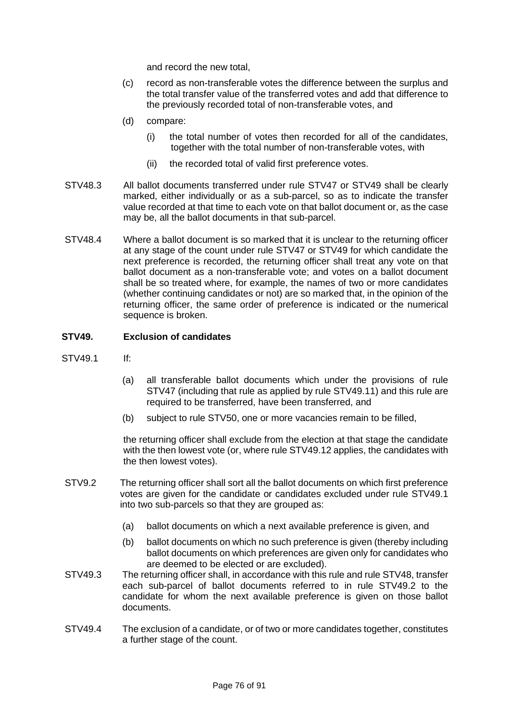and record the new total,

- (c) record as non-transferable votes the difference between the surplus and the total transfer value of the transferred votes and add that difference to the previously recorded total of non-transferable votes, and
- (d) compare:
	- (i) the total number of votes then recorded for all of the candidates, together with the total number of non-transferable votes, with
	- (ii) the recorded total of valid first preference votes.
- STV48.3 All ballot documents transferred under rule STV47 or STV49 shall be clearly marked, either individually or as a sub-parcel, so as to indicate the transfer value recorded at that time to each vote on that ballot document or, as the case may be, all the ballot documents in that sub-parcel.
- STV48.4 Where a ballot document is so marked that it is unclear to the returning officer at any stage of the count under rule STV47 or STV49 for which candidate the next preference is recorded, the returning officer shall treat any vote on that ballot document as a non-transferable vote; and votes on a ballot document shall be so treated where, for example, the names of two or more candidates (whether continuing candidates or not) are so marked that, in the opinion of the returning officer, the same order of preference is indicated or the numerical sequence is broken.

## **STV49. Exclusion of candidates**

- STV49.1 If:
	- (a) all transferable ballot documents which under the provisions of rule STV47 (including that rule as applied by rule STV49.11) and this rule are required to be transferred, have been transferred, and
	- (b) subject to rule STV50, one or more vacancies remain to be filled,

the returning officer shall exclude from the election at that stage the candidate with the then lowest vote (or, where rule STV49.12 applies, the candidates with the then lowest votes).

- STV9.2 The returning officer shall sort all the ballot documents on which first preference votes are given for the candidate or candidates excluded under rule STV49.1 into two sub-parcels so that they are grouped as:
	- (a) ballot documents on which a next available preference is given, and
	- (b) ballot documents on which no such preference is given (thereby including ballot documents on which preferences are given only for candidates who are deemed to be elected or are excluded).
- STV49.3 The returning officer shall, in accordance with this rule and rule STV48, transfer each sub-parcel of ballot documents referred to in rule STV49.2 to the candidate for whom the next available preference is given on those ballot documents.
- STV49.4 The exclusion of a candidate, or of two or more candidates together, constitutes a further stage of the count.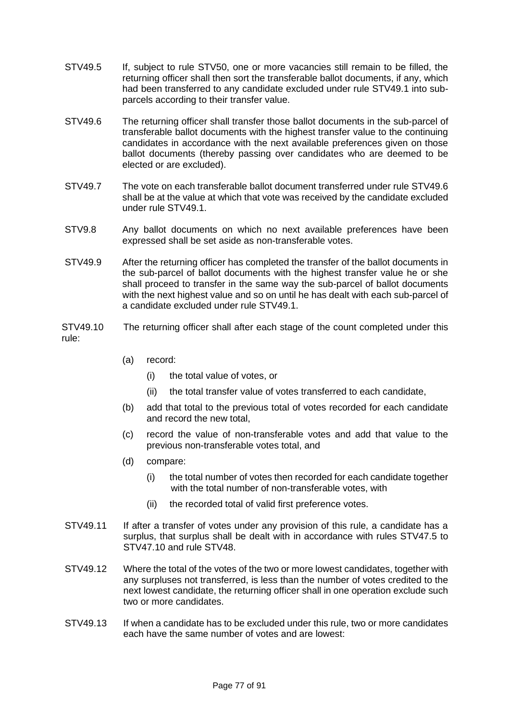- STV49.5 If, subject to rule STV50, one or more vacancies still remain to be filled, the returning officer shall then sort the transferable ballot documents, if any, which had been transferred to any candidate excluded under rule STV49.1 into subparcels according to their transfer value.
- STV49.6 The returning officer shall transfer those ballot documents in the sub-parcel of transferable ballot documents with the highest transfer value to the continuing candidates in accordance with the next available preferences given on those ballot documents (thereby passing over candidates who are deemed to be elected or are excluded).
- STV49.7 The vote on each transferable ballot document transferred under rule STV49.6 shall be at the value at which that vote was received by the candidate excluded under rule STV49.1.
- STV9.8 Any ballot documents on which no next available preferences have been expressed shall be set aside as non-transferable votes.
- STV49.9 After the returning officer has completed the transfer of the ballot documents in the sub-parcel of ballot documents with the highest transfer value he or she shall proceed to transfer in the same way the sub-parcel of ballot documents with the next highest value and so on until he has dealt with each sub-parcel of a candidate excluded under rule STV49.1.
- STV49.10 The returning officer shall after each stage of the count completed under this rule:
	- (a) record:
		- (i) the total value of votes, or
		- (ii) the total transfer value of votes transferred to each candidate,
	- (b) add that total to the previous total of votes recorded for each candidate and record the new total,
	- (c) record the value of non-transferable votes and add that value to the previous non-transferable votes total, and
	- (d) compare:
		- (i) the total number of votes then recorded for each candidate together with the total number of non-transferable votes, with
		- (ii) the recorded total of valid first preference votes.
- STV49.11 If after a transfer of votes under any provision of this rule, a candidate has a surplus, that surplus shall be dealt with in accordance with rules STV47.5 to STV47.10 and rule STV48.
- STV49.12 Where the total of the votes of the two or more lowest candidates, together with any surpluses not transferred, is less than the number of votes credited to the next lowest candidate, the returning officer shall in one operation exclude such two or more candidates.
- STV49.13 If when a candidate has to be excluded under this rule, two or more candidates each have the same number of votes and are lowest: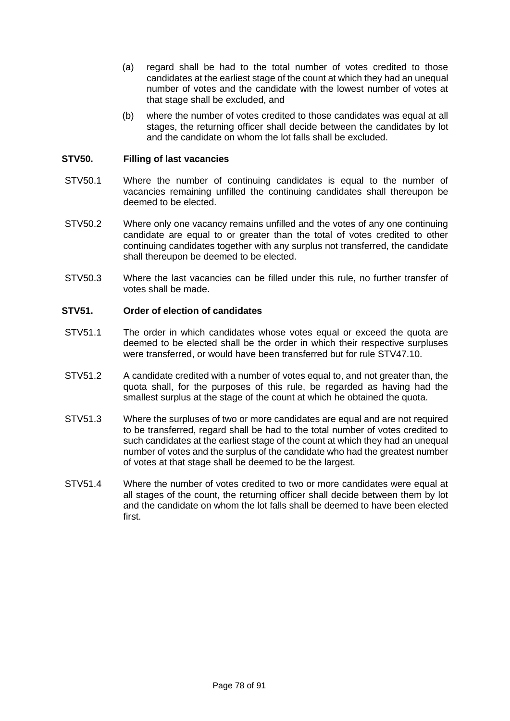- (a) regard shall be had to the total number of votes credited to those candidates at the earliest stage of the count at which they had an unequal number of votes and the candidate with the lowest number of votes at that stage shall be excluded, and
- (b) where the number of votes credited to those candidates was equal at all stages, the returning officer shall decide between the candidates by lot and the candidate on whom the lot falls shall be excluded.

# **STV50. Filling of last vacancies**

- STV50.1 Where the number of continuing candidates is equal to the number of vacancies remaining unfilled the continuing candidates shall thereupon be deemed to be elected.
- STV50.2 Where only one vacancy remains unfilled and the votes of any one continuing candidate are equal to or greater than the total of votes credited to other continuing candidates together with any surplus not transferred, the candidate shall thereupon be deemed to be elected.
- STV50.3 Where the last vacancies can be filled under this rule, no further transfer of votes shall be made.

## **STV51. Order of election of candidates**

- STV51.1 The order in which candidates whose votes equal or exceed the quota are deemed to be elected shall be the order in which their respective surpluses were transferred, or would have been transferred but for rule STV47.10.
- STV51.2 A candidate credited with a number of votes equal to, and not greater than, the quota shall, for the purposes of this rule, be regarded as having had the smallest surplus at the stage of the count at which he obtained the quota.
- STV51.3 Where the surpluses of two or more candidates are equal and are not required to be transferred, regard shall be had to the total number of votes credited to such candidates at the earliest stage of the count at which they had an unequal number of votes and the surplus of the candidate who had the greatest number of votes at that stage shall be deemed to be the largest.
- STV51.4 Where the number of votes credited to two or more candidates were equal at all stages of the count, the returning officer shall decide between them by lot and the candidate on whom the lot falls shall be deemed to have been elected first.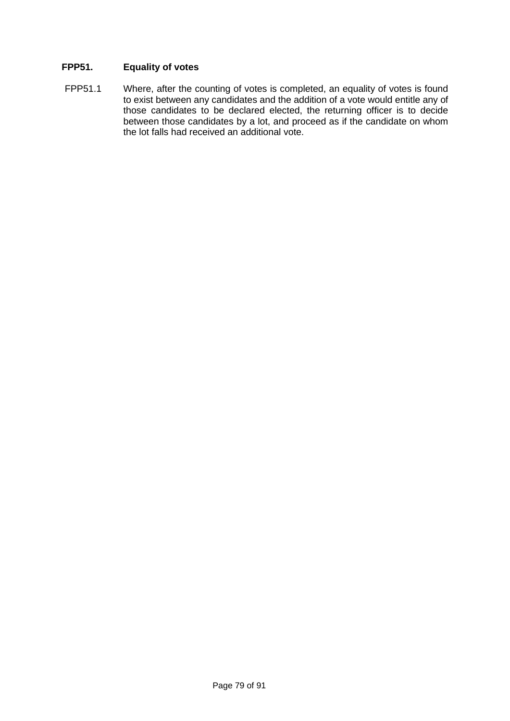# **FPP51. Equality of votes**

FPP51.1 Where, after the counting of votes is completed, an equality of votes is found to exist between any candidates and the addition of a vote would entitle any of those candidates to be declared elected, the returning officer is to decide between those candidates by a lot, and proceed as if the candidate on whom the lot falls had received an additional vote.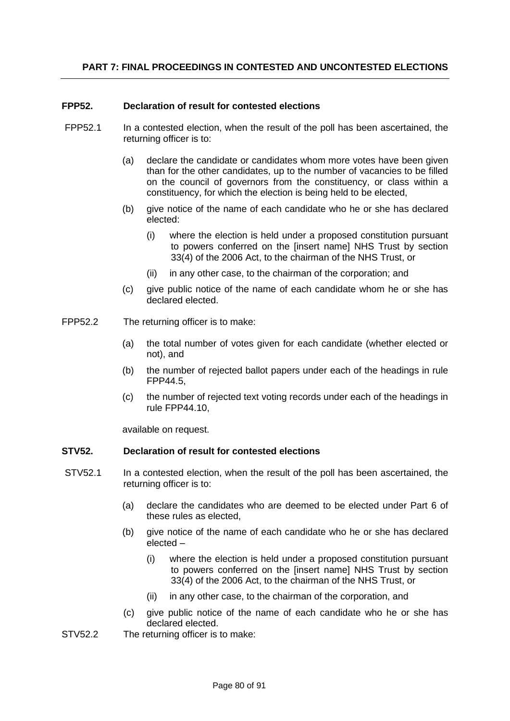# **FPP52. Declaration of result for contested elections**

- FPP52.1 In a contested election, when the result of the poll has been ascertained, the returning officer is to:
	- (a) declare the candidate or candidates whom more votes have been given than for the other candidates, up to the number of vacancies to be filled on the council of governors from the constituency, or class within a constituency, for which the election is being held to be elected,
	- (b) give notice of the name of each candidate who he or she has declared elected:
		- (i) where the election is held under a proposed constitution pursuant to powers conferred on the [insert name] NHS Trust by section 33(4) of the 2006 Act, to the chairman of the NHS Trust, or
		- (ii) in any other case, to the chairman of the corporation; and
	- (c) give public notice of the name of each candidate whom he or she has declared elected.
- FPP52.2 The returning officer is to make:
	- (a) the total number of votes given for each candidate (whether elected or not), and
	- (b) the number of rejected ballot papers under each of the headings in rule FPP44.5,
	- (c) the number of rejected text voting records under each of the headings in rule FPP44.10,

available on request.

### **STV52. Declaration of result for contested elections**

- STV52.1 In a contested election, when the result of the poll has been ascertained, the returning officer is to:
	- (a) declare the candidates who are deemed to be elected under Part 6 of these rules as elected,
	- (b) give notice of the name of each candidate who he or she has declared elected –
		- (i) where the election is held under a proposed constitution pursuant to powers conferred on the [insert name] NHS Trust by section 33(4) of the 2006 Act, to the chairman of the NHS Trust, or
		- (ii) in any other case, to the chairman of the corporation, and
	- (c) give public notice of the name of each candidate who he or she has declared elected.
- STV52.2 The returning officer is to make: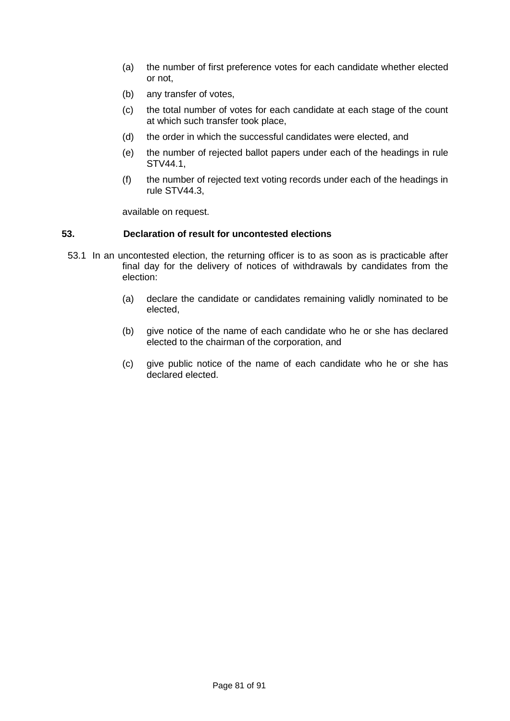- (a) the number of first preference votes for each candidate whether elected or not,
- (b) any transfer of votes,
- (c) the total number of votes for each candidate at each stage of the count at which such transfer took place,
- (d) the order in which the successful candidates were elected, and
- (e) the number of rejected ballot papers under each of the headings in rule STV44.1,
- (f) the number of rejected text voting records under each of the headings in rule STV44.3,

available on request.

### **53. Declaration of result for uncontested elections**

- 53.1 In an uncontested election, the returning officer is to as soon as is practicable after final day for the delivery of notices of withdrawals by candidates from the election:
	- (a) declare the candidate or candidates remaining validly nominated to be elected,
	- (b) give notice of the name of each candidate who he or she has declared elected to the chairman of the corporation, and
	- (c) give public notice of the name of each candidate who he or she has declared elected.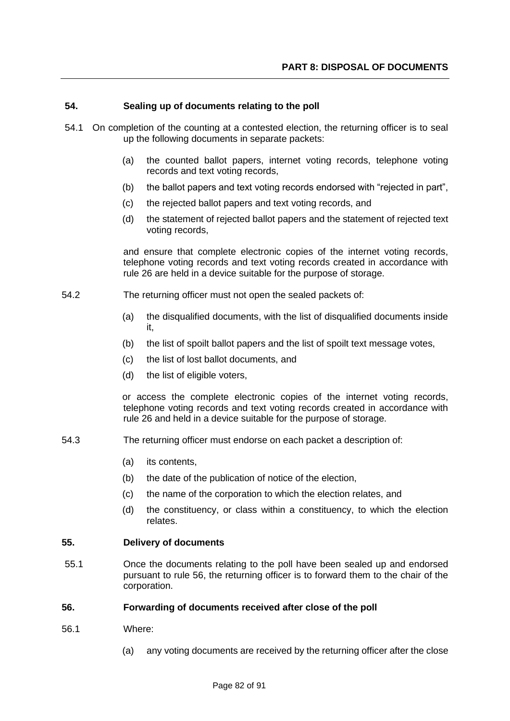# **54. Sealing up of documents relating to the poll**

- 54.1 On completion of the counting at a contested election, the returning officer is to seal up the following documents in separate packets:
	- (a) the counted ballot papers, internet voting records, telephone voting records and text voting records,
	- (b) the ballot papers and text voting records endorsed with "rejected in part",
	- (c) the rejected ballot papers and text voting records, and
	- (d) the statement of rejected ballot papers and the statement of rejected text voting records,

and ensure that complete electronic copies of the internet voting records, telephone voting records and text voting records created in accordance with rule 26 are held in a device suitable for the purpose of storage.

- 54.2 The returning officer must not open the sealed packets of:
	- (a) the disqualified documents, with the list of disqualified documents inside it,
	- (b) the list of spoilt ballot papers and the list of spoilt text message votes,
	- (c) the list of lost ballot documents, and
	- (d) the list of eligible voters,

or access the complete electronic copies of the internet voting records, telephone voting records and text voting records created in accordance with rule 26 and held in a device suitable for the purpose of storage.

- 54.3 The returning officer must endorse on each packet a description of:
	- (a) its contents,
	- (b) the date of the publication of notice of the election,
	- (c) the name of the corporation to which the election relates, and
	- (d) the constituency, or class within a constituency, to which the election relates.

### **55. Delivery of documents**

55.1 Once the documents relating to the poll have been sealed up and endorsed pursuant to rule 56, the returning officer is to forward them to the chair of the corporation.

### **56. Forwarding of documents received after close of the poll**

- 56.1 Where:
	- (a) any voting documents are received by the returning officer after the close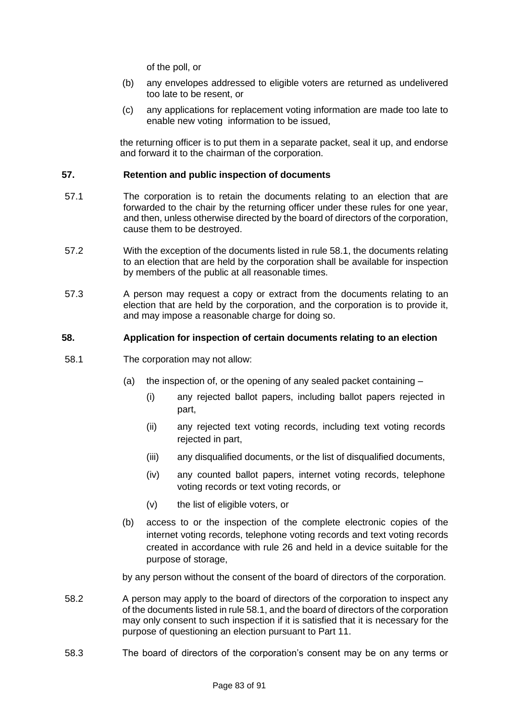of the poll, or

- (b) any envelopes addressed to eligible voters are returned as undelivered too late to be resent, or
- (c) any applications for replacement voting information are made too late to enable new voting information to be issued,

the returning officer is to put them in a separate packet, seal it up, and endorse and forward it to the chairman of the corporation.

### **57. Retention and public inspection of documents**

- 57.1 The corporation is to retain the documents relating to an election that are forwarded to the chair by the returning officer under these rules for one year, and then, unless otherwise directed by the board of directors of the corporation, cause them to be destroyed.
- 57.2 With the exception of the documents listed in rule 58.1, the documents relating to an election that are held by the corporation shall be available for inspection by members of the public at all reasonable times.
- 57.3 A person may request a copy or extract from the documents relating to an election that are held by the corporation, and the corporation is to provide it, and may impose a reasonable charge for doing so.

## **58. Application for inspection of certain documents relating to an election**

- 58.1 The corporation may not allow:
	- (a) the inspection of, or the opening of any sealed packet containing
		- (i) any rejected ballot papers, including ballot papers rejected in part,
		- (ii) any rejected text voting records, including text voting records rejected in part,
		- (iii) any disqualified documents, or the list of disqualified documents,
		- (iv) any counted ballot papers, internet voting records, telephone voting records or text voting records, or
		- (v) the list of eligible voters, or
	- (b) access to or the inspection of the complete electronic copies of the internet voting records, telephone voting records and text voting records created in accordance with rule 26 and held in a device suitable for the purpose of storage,

by any person without the consent of the board of directors of the corporation.

- 58.2 A person may apply to the board of directors of the corporation to inspect any of the documents listed in rule 58.1, and the board of directors of the corporation may only consent to such inspection if it is satisfied that it is necessary for the purpose of questioning an election pursuant to Part 11.
- 58.3 The board of directors of the corporation's consent may be on any terms or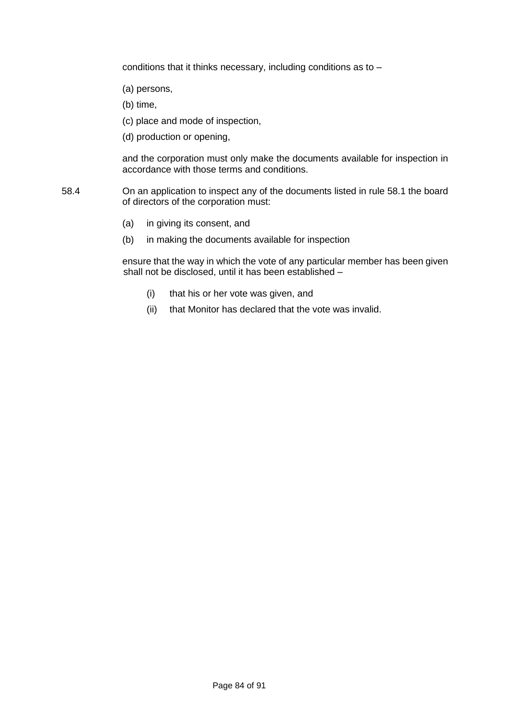conditions that it thinks necessary, including conditions as to –

- (a) persons,
- (b) time,
- (c) place and mode of inspection,
- (d) production or opening,

and the corporation must only make the documents available for inspection in accordance with those terms and conditions.

- 58.4 On an application to inspect any of the documents listed in rule 58.1 the board of directors of the corporation must:
	- (a) in giving its consent, and
	- (b) in making the documents available for inspection

ensure that the way in which the vote of any particular member has been given shall not be disclosed, until it has been established –

- (i) that his or her vote was given, and
- (ii) that Monitor has declared that the vote was invalid.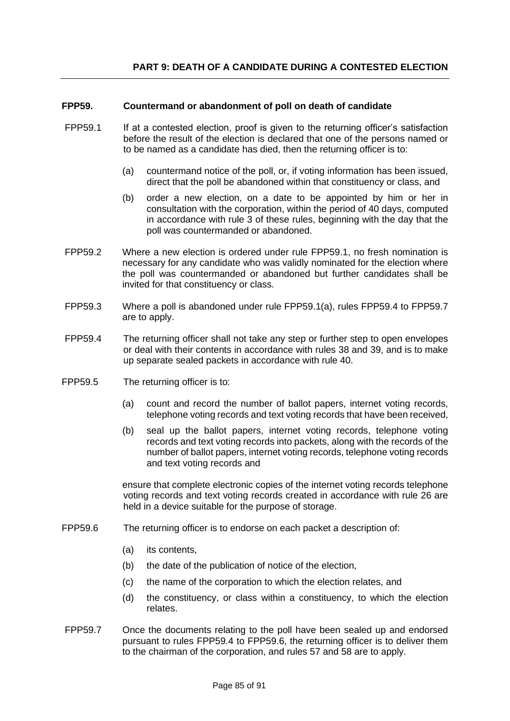## **FPP59. Countermand or abandonment of poll on death of candidate**

- FPP59.1 If at a contested election, proof is given to the returning officer's satisfaction before the result of the election is declared that one of the persons named or to be named as a candidate has died, then the returning officer is to:
	- (a) countermand notice of the poll, or, if voting information has been issued, direct that the poll be abandoned within that constituency or class, and
	- (b) order a new election, on a date to be appointed by him or her in consultation with the corporation, within the period of 40 days, computed in accordance with rule 3 of these rules, beginning with the day that the poll was countermanded or abandoned.
- FPP59.2 Where a new election is ordered under rule FPP59.1, no fresh nomination is necessary for any candidate who was validly nominated for the election where the poll was countermanded or abandoned but further candidates shall be invited for that constituency or class.
- FPP59.3 Where a poll is abandoned under rule FPP59.1(a), rules FPP59.4 to FPP59.7 are to apply.
- FPP59.4 The returning officer shall not take any step or further step to open envelopes or deal with their contents in accordance with rules 38 and 39, and is to make up separate sealed packets in accordance with rule 40.
- FPP59.5 The returning officer is to:
	- (a) count and record the number of ballot papers, internet voting records, telephone voting records and text voting records that have been received,
	- (b) seal up the ballot papers, internet voting records, telephone voting records and text voting records into packets, along with the records of the number of ballot papers, internet voting records, telephone voting records and text voting records and

ensure that complete electronic copies of the internet voting records telephone voting records and text voting records created in accordance with rule 26 are held in a device suitable for the purpose of storage.

- FPP59.6 The returning officer is to endorse on each packet a description of:
	- (a) its contents,
	- (b) the date of the publication of notice of the election,
	- (c) the name of the corporation to which the election relates, and
	- (d) the constituency, or class within a constituency, to which the election relates.
- FPP59.7 Once the documents relating to the poll have been sealed up and endorsed pursuant to rules FPP59.4 to FPP59.6, the returning officer is to deliver them to the chairman of the corporation, and rules 57 and 58 are to apply.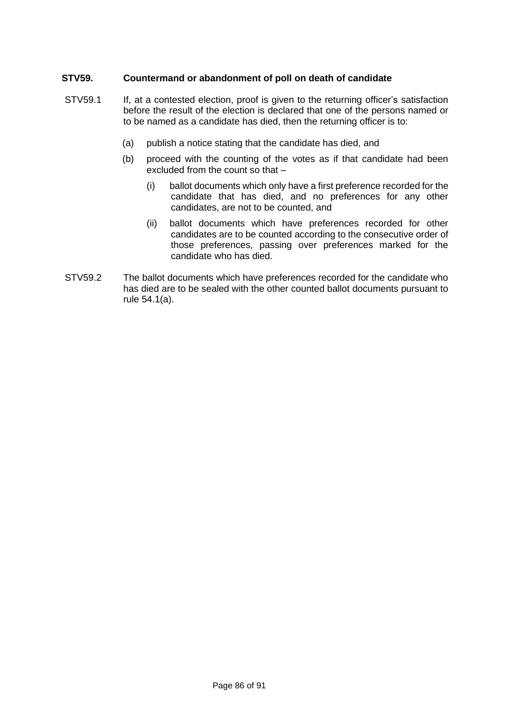# **STV59. Countermand or abandonment of poll on death of candidate**

- STV59.1 If, at a contested election, proof is given to the returning officer's satisfaction before the result of the election is declared that one of the persons named or to be named as a candidate has died, then the returning officer is to:
	- (a) publish a notice stating that the candidate has died, and
	- (b) proceed with the counting of the votes as if that candidate had been excluded from the count so that –
		- (i) ballot documents which only have a first preference recorded for the candidate that has died, and no preferences for any other candidates, are not to be counted, and
		- (ii) ballot documents which have preferences recorded for other candidates are to be counted according to the consecutive order of those preferences, passing over preferences marked for the candidate who has died.
- STV59.2 The ballot documents which have preferences recorded for the candidate who has died are to be sealed with the other counted ballot documents pursuant to rule 54.1(a).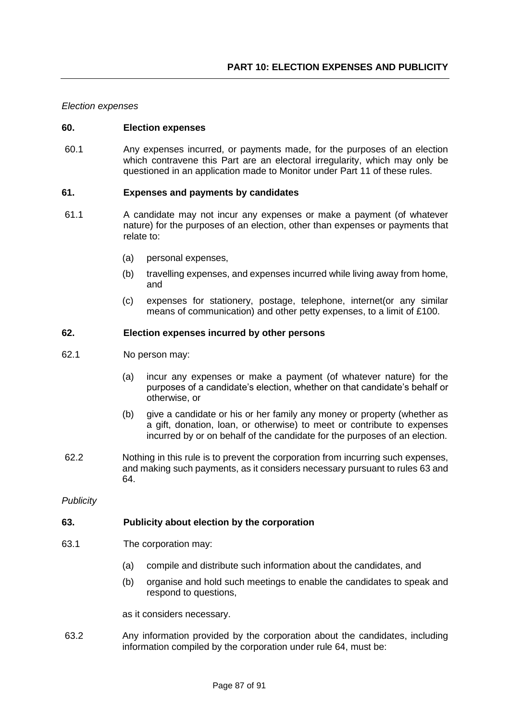### *Election expenses*

### **60. Election expenses**

60.1 Any expenses incurred, or payments made, for the purposes of an election which contravene this Part are an electoral irregularity, which may only be questioned in an application made to Monitor under Part 11 of these rules.

## **61. Expenses and payments by candidates**

- 61.1 A candidate may not incur any expenses or make a payment (of whatever nature) for the purposes of an election, other than expenses or payments that relate to:
	- (a) personal expenses,
	- (b) travelling expenses, and expenses incurred while living away from home, and
	- (c) expenses for stationery, postage, telephone, internet(or any similar means of communication) and other petty expenses, to a limit of £100.

# **62. Election expenses incurred by other persons**

- 62.1 No person may:
	- (a) incur any expenses or make a payment (of whatever nature) for the purposes of a candidate's election, whether on that candidate's behalf or otherwise, or
	- (b) give a candidate or his or her family any money or property (whether as a gift, donation, loan, or otherwise) to meet or contribute to expenses incurred by or on behalf of the candidate for the purposes of an election.
- 62.2 Nothing in this rule is to prevent the corporation from incurring such expenses, and making such payments, as it considers necessary pursuant to rules 63 and 64.

### *Publicity*

# **63. Publicity about election by the corporation**

- 63.1 The corporation may:
	- (a) compile and distribute such information about the candidates, and
	- (b) organise and hold such meetings to enable the candidates to speak and respond to questions,

as it considers necessary.

63.2 Any information provided by the corporation about the candidates, including information compiled by the corporation under rule 64, must be: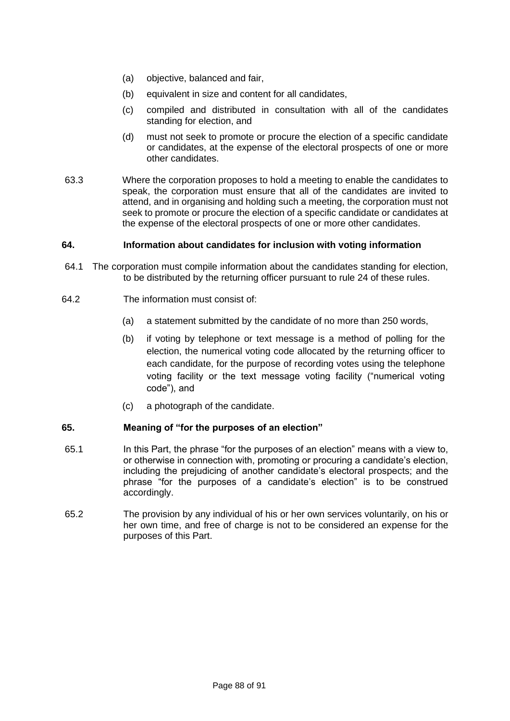- (a) objective, balanced and fair,
- (b) equivalent in size and content for all candidates,
- (c) compiled and distributed in consultation with all of the candidates standing for election, and
- (d) must not seek to promote or procure the election of a specific candidate or candidates, at the expense of the electoral prospects of one or more other candidates.
- 63.3 Where the corporation proposes to hold a meeting to enable the candidates to speak, the corporation must ensure that all of the candidates are invited to attend, and in organising and holding such a meeting, the corporation must not seek to promote or procure the election of a specific candidate or candidates at the expense of the electoral prospects of one or more other candidates.

## **64. Information about candidates for inclusion with voting information**

- 64.1 The corporation must compile information about the candidates standing for election, to be distributed by the returning officer pursuant to rule 24 of these rules.
- 64.2 The information must consist of:
	- (a) a statement submitted by the candidate of no more than 250 words,
	- (b) if voting by telephone or text message is a method of polling for the election, the numerical voting code allocated by the returning officer to each candidate, for the purpose of recording votes using the telephone voting facility or the text message voting facility ("numerical voting code"), and
	- (c) a photograph of the candidate.

# **65. Meaning of "for the purposes of an election"**

- 65.1 In this Part, the phrase "for the purposes of an election" means with a view to, or otherwise in connection with, promoting or procuring a candidate's election, including the prejudicing of another candidate's electoral prospects; and the phrase "for the purposes of a candidate's election" is to be construed accordingly.
- 65.2 The provision by any individual of his or her own services voluntarily, on his or her own time, and free of charge is not to be considered an expense for the purposes of this Part.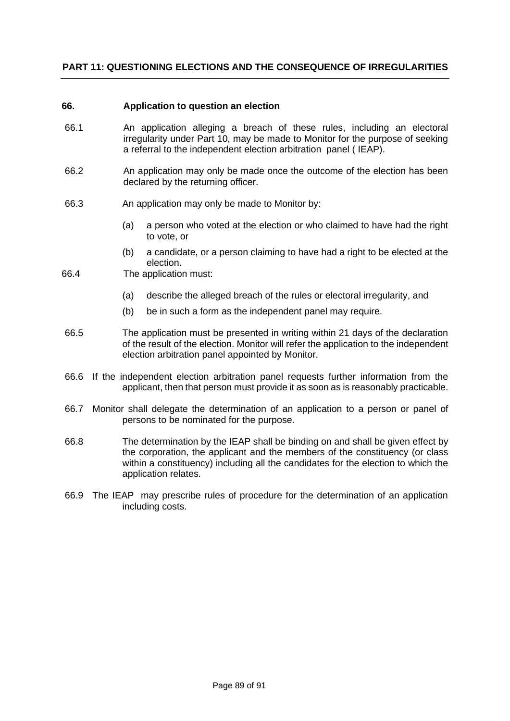# **PART 11: QUESTIONING ELECTIONS AND THE CONSEQUENCE OF IRREGULARITIES**

## **66. Application to question an election**

- 66.1 An application alleging a breach of these rules, including an electoral irregularity under Part 10, may be made to Monitor for the purpose of seeking a referral to the independent election arbitration panel ( IEAP).
- 66.2 An application may only be made once the outcome of the election has been declared by the returning officer.
- 66.3 An application may only be made to Monitor by:
	- (a) a person who voted at the election or who claimed to have had the right to vote, or
	- (b) a candidate, or a person claiming to have had a right to be elected at the election.
- 66.4 The application must:
	- (a) describe the alleged breach of the rules or electoral irregularity, and
	- (b) be in such a form as the independent panel may require.
- 66.5 The application must be presented in writing within 21 days of the declaration of the result of the election. Monitor will refer the application to the independent election arbitration panel appointed by Monitor.
- 66.6 If the independent election arbitration panel requests further information from the applicant, then that person must provide it as soon as is reasonably practicable.
- 66.7 Monitor shall delegate the determination of an application to a person or panel of persons to be nominated for the purpose.
- 66.8 The determination by the IEAP shall be binding on and shall be given effect by the corporation, the applicant and the members of the constituency (or class within a constituency) including all the candidates for the election to which the application relates.
- 66.9 The IEAP may prescribe rules of procedure for the determination of an application including costs.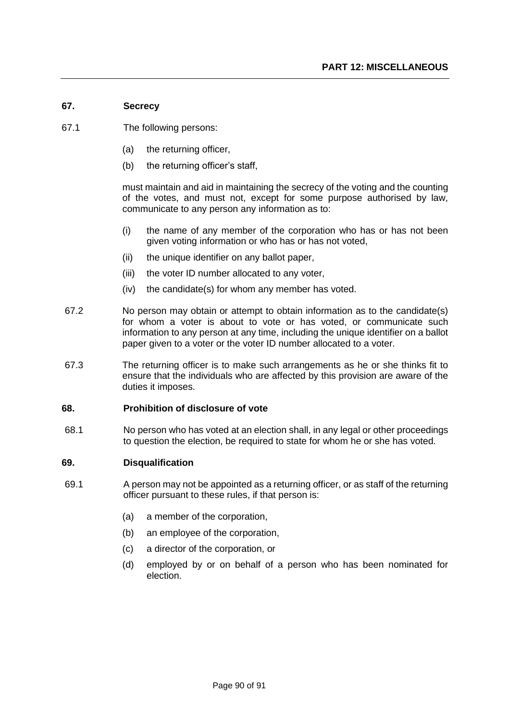### **67. Secrecy**

- 67.1 The following persons:
	- (a) the returning officer,
	- (b) the returning officer's staff,

must maintain and aid in maintaining the secrecy of the voting and the counting of the votes, and must not, except for some purpose authorised by law, communicate to any person any information as to:

- (i) the name of any member of the corporation who has or has not been given voting information or who has or has not voted,
- (ii) the unique identifier on any ballot paper,
- (iii) the voter ID number allocated to any voter,
- (iv) the candidate(s) for whom any member has voted.
- 67.2 No person may obtain or attempt to obtain information as to the candidate(s) for whom a voter is about to vote or has voted, or communicate such information to any person at any time, including the unique identifier on a ballot paper given to a voter or the voter ID number allocated to a voter.
- 67.3 The returning officer is to make such arrangements as he or she thinks fit to ensure that the individuals who are affected by this provision are aware of the duties it imposes.

### **68. Prohibition of disclosure of vote**

68.1 No person who has voted at an election shall, in any legal or other proceedings to question the election, be required to state for whom he or she has voted.

### **69. Disqualification**

- 69.1 A person may not be appointed as a returning officer, or as staff of the returning officer pursuant to these rules, if that person is:
	- (a) a member of the corporation,
	- (b) an employee of the corporation,
	- (c) a director of the corporation, or
	- (d) employed by or on behalf of a person who has been nominated for election.